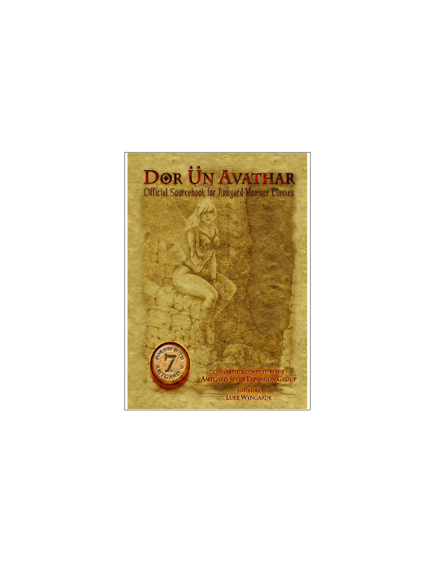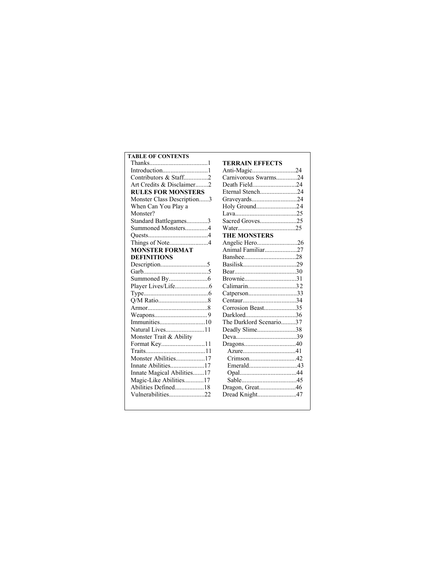# **TABLE OF CONTENTS** Thanks....................................1 Introduction............................1 Contributors & Staff...............2 Art Credits & Disclaimer........2 **RULES FOR MONSTERS** Monster Class Description......3 When Can You Play a Monster? Standard Battlegames.............3 Summoned Monsters..............4 Quests.....................................4 Things of Note........................4 **MONSTER FORMAT DEFINITIONS** Description.............................5 Garb........................................5 Summoned By........................6 Player Lives/Life.....................6 Type........................................6 Q/M Ratio...............................8 Armor.....................................8 Weapons.................................9 Immunities............................10 Natural Lives........................11 Monster Trait & Ability Format Key...........................11 Traits.....................................11 Monster Abilities..................17 Innate Abilities.....................17 Innate Magical Abilities.......17 Magic-Like Abilities............17 Abilities Defined..................18 Vulnerabilities......................22

| <b>TERRAIN EFFECTS</b>  |  |
|-------------------------|--|
| Anti-Magic24            |  |
| Carnivorous Swarms24    |  |
| Death Field24           |  |
| Eternal Stench24        |  |
| Graveyards24            |  |
| Holy Ground24           |  |
|                         |  |
| Sacred Groves25         |  |
|                         |  |
| <b>THE MONSTERS</b>     |  |
| Angelic Hero26          |  |
| Animal Familiar27       |  |
|                         |  |
|                         |  |
|                         |  |
|                         |  |
| Calimarin32             |  |
| Catperson33             |  |
|                         |  |
| Corrosion Beast35       |  |
| Darklord36              |  |
| The Darklord Scenario37 |  |
| Deadly Slime38          |  |
|                         |  |
|                         |  |
|                         |  |
| Crimson42               |  |
|                         |  |
|                         |  |
|                         |  |
| Dragon, Great46         |  |
| Dread Knight47          |  |
|                         |  |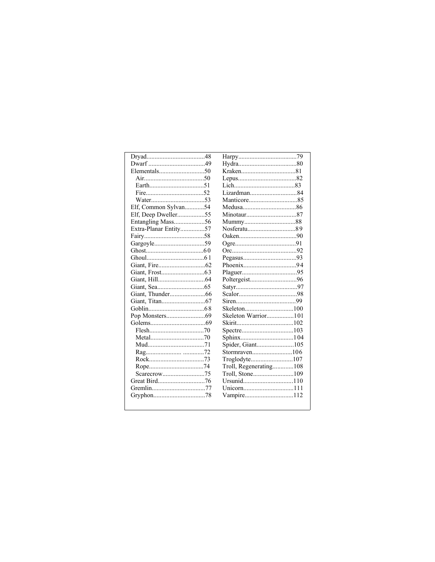| Elf, Common Sylvan54  |                        |
|-----------------------|------------------------|
| Elf, Deep Dweller55   |                        |
| Entangling Mass56     |                        |
| Extra-Planar Entity57 |                        |
|                       |                        |
|                       |                        |
|                       |                        |
|                       |                        |
|                       |                        |
|                       |                        |
|                       |                        |
|                       |                        |
|                       |                        |
|                       |                        |
|                       |                        |
|                       | Skeleton Warrior101    |
|                       |                        |
|                       |                        |
|                       |                        |
|                       | Spider, Giant105       |
|                       |                        |
|                       | Troglodyte107          |
|                       | Troll, Regenerating108 |
|                       | Troll, Stone109        |
|                       |                        |
|                       |                        |
|                       | Vampire112             |
|                       |                        |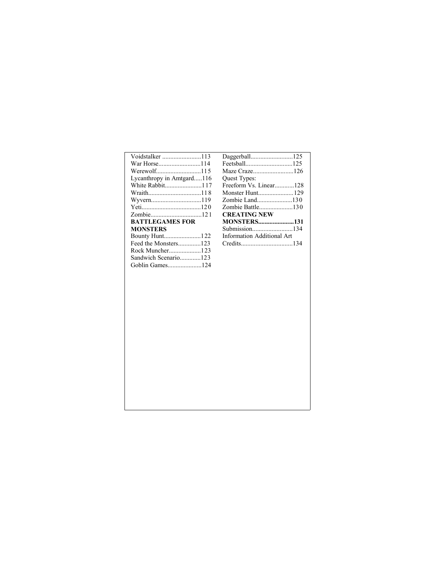| Maze Craze126              |  |
|----------------------------|--|
| Quest Types:               |  |
| Freeform Vs. Linear128     |  |
|                            |  |
| Zombie Land130             |  |
| Zombie Battle130           |  |
| <b>CREATING NEW</b>        |  |
| <b>MONSTERS131</b>         |  |
|                            |  |
| Information Additional Art |  |
|                            |  |
|                            |  |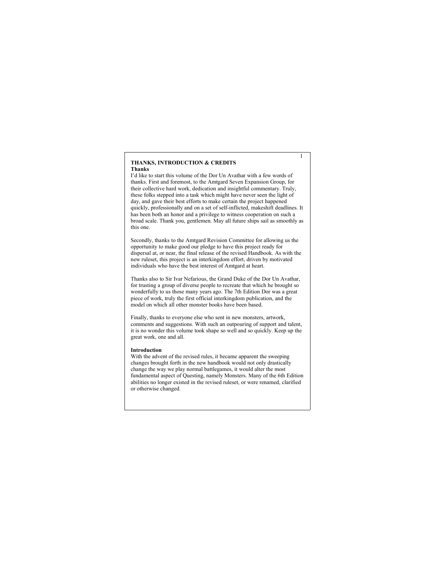### **THANKS, INTRODUCTION & CREDITS Thanks**

I'd like to start this volume of the Dor Un Avathar with a few words of thanks. First and foremost, to the Amtgard Seven Expansion Group, for their collective hard work, dedication and insightful commentary. Truly, these folks stepped into a task which might have never seen the light of day, and gave their best efforts to make certain the project happened quickly, professionally and on a set of self-inflicted, makeshift deadlines. It has been both an honor and a privilege to witness cooperation on such a broad scale. Thank you, gentlemen. May all future ships sail as smoothly as this one.

Secondly, thanks to the Amtgard Revision Committee for allowing us the opportunity to make good our pledge to have this project ready for dispersal at, or near, the final release of the revised Handbook. As with the new ruleset, this project is an interkingdom effort, driven by motivated individuals who have the best interest of Amtgard at heart.

Thanks also to Sir Ivar Nefarious, the Grand Duke of the Dor Un Avathar, for trusting a group of diverse people to recreate that which he brought so wonderfully to us those many years ago. The 7th Edition Dor was a great piece of work, truly the first official interkingdom publication, and the model on which all other monster books have been based.

Finally, thanks to everyone else who sent in new monsters, artwork, comments and suggestions. With such an outpouring of support and talent, it is no wonder this volume took shape so well and so quickly. Keep up the great work, one and all.

### **Introduction**

With the advent of the revised rules, it became apparent the sweeping changes brought forth in the new handbook would not only drastically change the way we play normal battlegames, it would alter the most fundamental aspect of Questing, namely Monsters. Many of the 6th Edition abilities no longer existed in the revised ruleset, or were renamed, clarified or otherwise changed.

1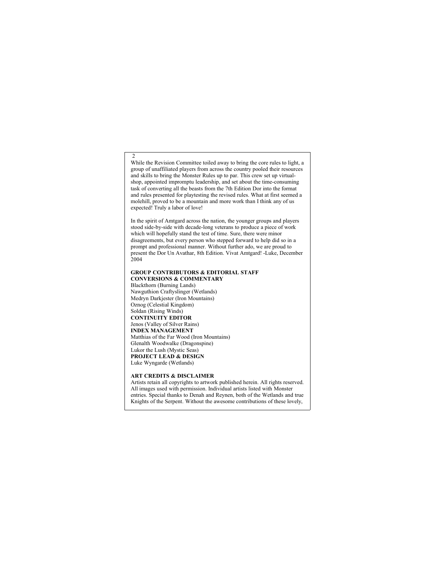While the Revision Committee toiled away to bring the core rules to light, a group of unaffiliated players from across the country pooled their resources and skills to bring the Monster Rules up to par. This crew set up virtualshop, appointed impromptu leadership, and set about the time-consuming task of converting all the beasts from the 7th Edition Dor into the format and rules presented for playtesting the revised rules. What at first seemed a molehill, proved to be a mountain and more work than I think any of us expected! Truly a labor of love!

In the spirit of Amtgard across the nation, the younger groups and players stood side-by-side with decade-long veterans to produce a piece of work which will hopefully stand the test of time. Sure, there were minor disagreements, but every person who stepped forward to help did so in a prompt and professional manner. Without further ado, we are proud to present the Dor Un Avathar, 8th Edition. Vivat Amtgard! -Luke, December 2004

### **GROUP CONTRIBUTORS & EDITORIAL STAFF CONVERSIONS & COMMENTARY**

Blackthorn (Burning Lands) Nawguthion Craftyslinger (Wetlands) Medryn Darkjester (Iron Mountains) Oznog (Celestial Kingdom) Soldan (Rising Winds) **CONTINUITY EDITOR** Jenos (Valley of Silver Rains) **INDEX MANAGEMENT** Matthias of the Far Wood (Iron Mountains) Glenalth Woodwalke (Dragonspine) Lukor the Lush (Mystic Seas) **PROJECT LEAD & DESIGN** Luke Wyngarde (Wetlands)

 $\mathcal{L}$ 

### **ART CREDITS & DISCLAIMER**

Artists retain all copyrights to artwork published herein. All rights reserved. All images used with permission. Individual artists listed with Monster entries. Special thanks to Denah and Reynen, both of the Wetlands and true Knights of the Serpent. Without the awesome contributions of these lovely,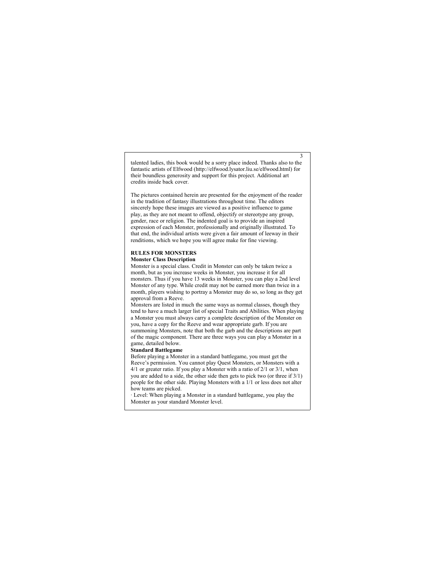talented ladies, this book would be a sorry place indeed. Thanks also to the fantastic artists of Elfwood (http://elfwood.lysator.liu.se/elfwood.html) for their boundless generosity and support for this project. Additional art credits inside back cover.

3

The pictures contained herein are presented for the enjoyment of the reader in the tradition of fantasy illustrations throughout time. The editors sincerely hope these images are viewed as a positive influence to game play, as they are not meant to offend, objectify or stereotype any group, gender, race or religion. The indented goal is to provide an inspired expression of each Monster, professionally and originally illustrated. To that end, the individual artists were given a fair amount of leeway in their renditions, which we hope you will agree make for fine viewing.

# **RULES FOR MONSTERS**

# **Monster Class Description**

Monster is a special class. Credit in Monster can only be taken twice a month, but as you increase weeks in Monster, you increase it for all monsters. Thus if you have 13 weeks in Monster, you can play a 2nd level Monster of any type. While credit may not be earned more than twice in a month, players wishing to portray a Monster may do so, so long as they get approval from a Reeve.

Monsters are listed in much the same ways as normal classes, though they tend to have a much larger list of special Traits and Abilities. When playing a Monster you must always carry a complete description of the Monster on you, have a copy for the Reeve and wear appropriate garb. If you are summoning Monsters, note that both the garb and the descriptions are part of the magic component. There are three ways you can play a Monster in a game, detailed below.

### **Standard Battlegame**

Before playing a Monster in a standard battlegame, you must get the Reeve's permission. You cannot play Quest Monsters, or Monsters with a 4/1 or greater ratio. If you play a Monster with a ratio of 2/1 or 3/1, when you are added to a side, the other side then gets to pick two (or three if 3/1) people for the other side. Playing Monsters with a 1/1 or less does not alter how teams are picked.

· Level: When playing a Monster in a standard battlegame, you play the Monster as your standard Monster level.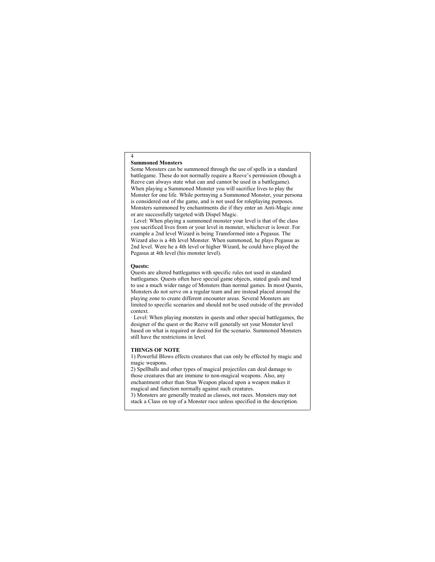### **Summoned Monsters**

4

Some Monsters can be summoned through the use of spells in a standard battlegame. These do not normally require a Reeve's permission (though a Reeve can always state what can and cannot be used in a battlegame). When playing a Summoned Monster you will sacrifice lives to play the Monster for one life. While portraying a Summoned Monster, your persona is considered out of the game, and is not used for roleplaying purposes. Monsters summoned by enchantments die if they enter an Anti-Magic zone or are successfully targeted with Dispel Magic.

· Level: When playing a summoned monster your level is that of the class you sacrificed lives from or your level in monster, whichever is lower. For example a 2nd level Wizard is being Transformed into a Pegasus. The Wizard also is a 4th level Monster. When summoned, he plays Pegasus as 2nd level. Were he a 4th level or higher Wizard, he could have played the Pegasus at 4th level (his monster level).

### **Quests:**

Quests are altered battlegames with specific rules not used in standard battlegames. Quests often have special game objects, stated goals and tend to use a much wider range of Monsters than normal games. In most Quests, Monsters do not serve on a regular team and are instead placed around the playing zone to create different encounter areas. Several Monsters are limited to specific scenarios and should not be used outside of the provided context.

· Level: When playing monsters in quests and other special battlegames, the designer of the quest or the Reeve will generally set your Monster level based on what is required or desired for the scenario. Summoned Monsters still have the restrictions in level.

### **THINGS OF NOTE**

1) Powerful Blows effects creatures that can only be effected by magic and magic weapons.

2) Spellballs and other types of magical projectiles can deal damage to those creatures that are immune to non-magical weapons. Also, any enchantment other than Stun Weapon placed upon a weapon makes it magical and function normally against such creatures.

3) Monsters are generally treated as classes, not races. Monsters may not stack a Class on top of a Monster race unless specified in the description.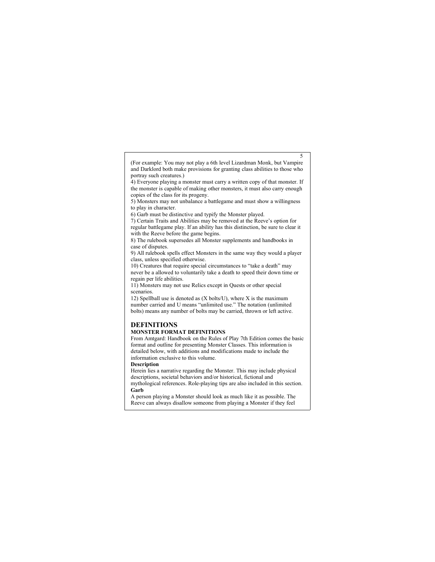(For example: You may not play a 6th level Lizardman Monk, but Vampire and Darklord both make provisions for granting class abilities to those who portray such creatures.)

5

4) Everyone playing a monster must carry a written copy of that monster. If the monster is capable of making other monsters, it must also carry enough copies of the class for its progeny.

5) Monsters may not unbalance a battlegame and must show a willingness to play in character.

6) Garb must be distinctive and typify the Monster played.

7) Certain Traits and Abilities may be removed at the Reeve's option for regular battlegame play. If an ability has this distinction, be sure to clear it with the Reeve before the game begins.

8) The rulebook supersedes all Monster supplements and handbooks in case of disputes.

9) All rulebook spells effect Monsters in the same way they would a player class, unless specified otherwise.

10) Creatures that require special circumstances to "take a death" may never be a allowed to voluntarily take a death to speed their down time or regain per life abilities.

11) Monsters may not use Relics except in Quests or other special scenarios.

12) Spellball use is denoted as  $(X$  bolts/U), where  $X$  is the maximum number carried and U means "unlimited use." The notation (unlimited bolts) means any number of bolts may be carried, thrown or left active.

# **DEFINITIONS**

## **MONSTER FORMAT DEFINITIONS**

From Amtgard: Handbook on the Rules of Play 7th Edition comes the basic format and outline for presenting Monster Classes. This information is detailed below, with additions and modifications made to include the information exclusive to this volume.

**Description**

Herein lies a narrative regarding the Monster. This may include physical descriptions, societal behaviors and/or historical, fictional and mythological references. Role-playing tips are also included in this section. **Garb**

A person playing a Monster should look as much like it as possible. The Reeve can always disallow someone from playing a Monster if they feel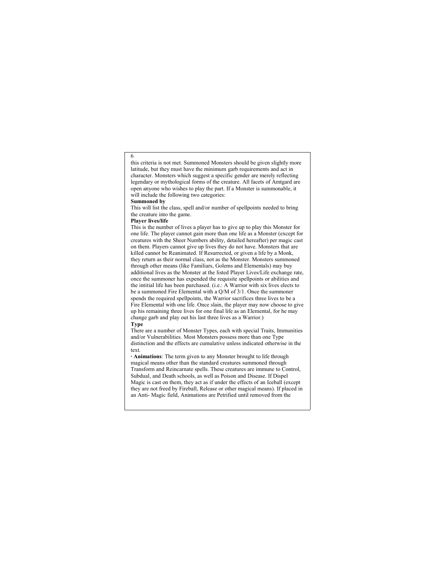this criteria is not met. Summoned Monsters should be given slightly more latitude, but they must have the minimum garb requirements and act in character. Monsters which suggest a specific gender are merely reflecting legendary or mythological forms of the creature. All facets of Amtgard are open anyone who wishes to play the part. If a Monster is summonable, it will include the following two categories:

### **Summoned by**

This will list the class, spell and/or number of spellpoints needed to bring the creature into the game.

### **Player lives/life**

This is the number of lives a player has to give up to play this Monster for one life. The player cannot gain more than one life as a Monster (except for creatures with the Sheer Numbers ability, detailed hereafter) per magic cast on them. Players cannot give up lives they do not have. Monsters that are killed cannot be Reanimated. If Resurrected, or given a life by a Monk, they return as their normal class, not as the Monster. Monsters summoned through other means (like Familiars, Golems and Elementals) may buy additional lives as the Monster at the listed Player Lives/Life exchange rate, once the summoner has expended the requisite spellpoints or abilities and the intitial life has been purchased. (i.e.: A Warrior with six lives elects to be a summoned Fire Elemental with a Q/M of 3/1. Once the summoner spends the required spellpoints, the Warrior sacrifices three lives to be a Fire Elemental with one life. Once slain, the player may now choose to give up his remaining three lives for one final life as an Elemental, for he may change garb and play out his last three lives as a Warrior.) **Type**

There are a number of Monster Types, each with special Traits, Immunities and/or Vulnerabilities. Most Monsters possess more than one Type distinction and the effects are cumulative unless indicated otherwise in the text.

**· Animations**: The term given to any Monster brought to life through magical means other than the standard creatures summoned through Transform and Reincarnate spells. These creatures are immune to Control, Subdual, and Death schools, as well as Poison and Disease. If Dispel Magic is cast on them, they act as if under the effects of an Iceball (except they are not freed by Fireball, Release or other magical means). If placed in an Anti- Magic field, Animations are Petrified until removed from the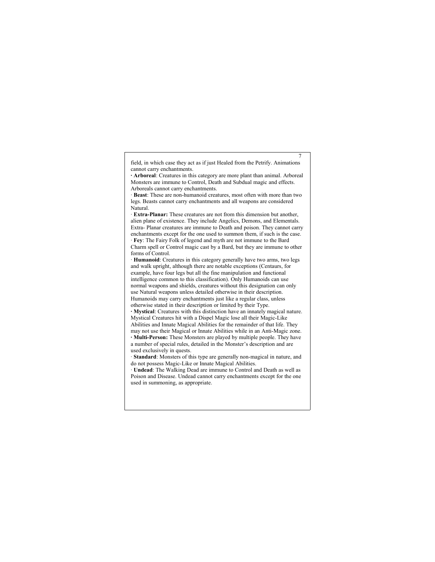field, in which case they act as if just Healed from the Petrify. Animations cannot carry enchantments.

7

**· Arboreal**: Creatures in this category are more plant than animal. Arboreal Monsters are immune to Control, Death and Subdual magic and effects. Arboreals cannot carry enchantments.

· **Beast**: These are non-humanoid creatures, most often with more than two legs. Beasts cannot carry enchantments and all weapons are considered Natural.

· **Extra-Planar:** These creatures are not from this dimension but another, alien plane of existence. They include Angelics, Demons, and Elementals. Extra- Planar creatures are immune to Death and poison. They cannot carry enchantments except for the one used to summon them, if such is the case. · **Fey**: The Fairy Folk of legend and myth are not immune to the Bard Charm spell or Control magic cast by a Bard, but they are immune to other forms of Control.

· **Humanoid**: Creatures in this category generally have two arms, two legs and walk upright, although there are notable exceptions (Centaurs, for example, have four legs but all the fine manipulation and functional intelligence common to this classification). Only Humanoids can use normal weapons and shields, creatures without this designation can only use Natural weapons unless detailed otherwise in their description. Humanoids may carry enchantments just like a regular class, unless otherwise stated in their description or limited by their Type.

**· Mystical**: Creatures with this distinction have an innately magical nature. Mystical Creatures hit with a Dispel Magic lose all their Magic-Like Abilities and Innate Magical Abilities for the remainder of that life. They

may not use their Magical or Innate Abilities while in an Anti-Magic zone. **· Multi-Person:** These Monsters are played by multiple people. They have a number of special rules, detailed in the Monster's description and are used exclusively in quests.

· **Standard**: Monsters of this type are generally non-magical in nature, and do not possess Magic-Like or Innate Magical Abilities.

· **Undead**: The Walking Dead are immune to Control and Death as well as Poison and Disease. Undead cannot carry enchantments except for the one used in summoning, as appropriate.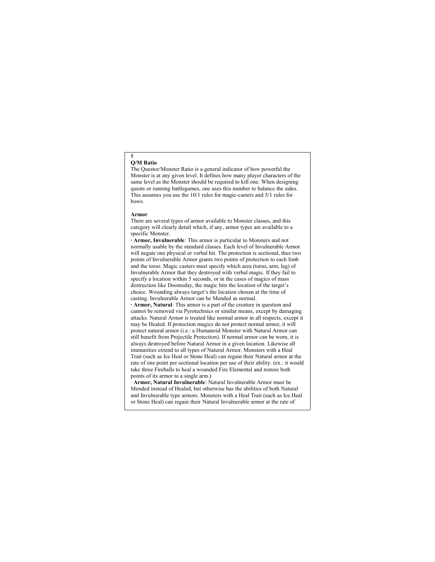#### 8 **Q/M Ratio**

The Questor/Monster Ratio is a general indicator of how powerful the Monster is at any given level. It defines how many player characters of the same level as the Monster should be required to kill one. When designing quests or running battlegames, one uses this number to balance the sides. This assumes you use the 10/1 rules for magic-casters and 5/1 rules for bows.

### **Armor**

There are several types of armor available to Monster classes, and this category will clearly detail which, if any, armor types are available to a specific Monster.

**· Armor, Invulnerable**: This armor is particular to Monsters and not normally usable by the standard classes. Each level of Invulnerable Armor will negate one physical or verbal hit. The protection is sectional, thus two points of Invulnerable Armor grants two points of protection to each limb and the torso. Magic casters must specify which area (torso, arm, leg) of Invulnerable Armor that they destroyed with verbal magic. If they fail to specify a location within 5 seconds, or in the cases of magics of mass destruction like Doomsday, the magic hits the location of the target's choice. Wounding always target's the location chosen at the time of casting. Invulnerable Armor can be Mended as normal.

**· Armor, Natural**: This armor is a part of the creature in question and cannot be removed via Pyrotechnics or similar means, except by damaging attacks. Natural Armor is treated like normal armor in all respects, except it may be Healed. If protection magics do not protect normal armor, it will protect natural armor (i.e.: a Humanoid Monster with Natural Armor can still benefit from Projectile Protection). If normal armor can be worn, it is always destroyed before Natural Armor in a given location. Likewise all immunities extend to all types of Natural Armor. Monsters with a Heal Trait (such as Ice Heal or Stone Heal) can regain their Natural armor at the rate of one point per sectional location per use of their ability. (ex.: it would take three Fireballs to heal a wounded Fire Elemental and restore both points of its armor to a single arm.)

· **Armor, Natural Invulnerable**: Natural Invulnerable Armor must be Mended instead of Healed, but otherwise has the abilities of both Natural and Invulnerable type armors. Monsters with a Heal Trait (such as Ice Heal or Stone Heal) can regain their Natural Invulnerable armor at the rate of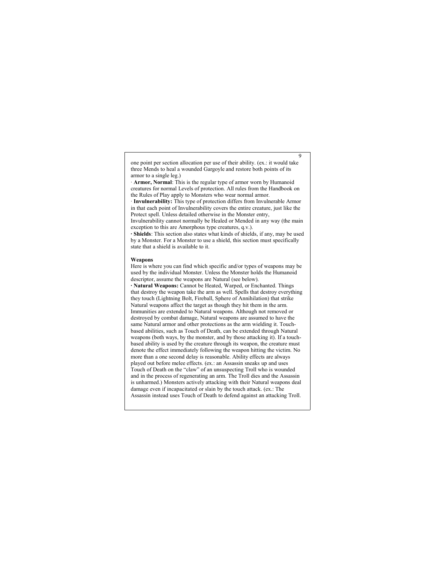one point per section allocation per use of their ability. (ex.: it would take three Mends to heal a wounded Gargoyle and restore both points of its armor to a single leg.)

9

· **Armor, Normal**: This is the regular type of armor worn by Humanoid creatures for normal Levels of protection. All rules from the Handbook on the Rules of Play apply to Monsters who wear normal armor.

· **Invulnerability:** This type of protection differs from Invulnerable Armor in that each point of Invulnerability covers the entire creature, just like the Protect spell. Unless detailed otherwise in the Monster entry,

Invulnerability cannot normally be Healed or Mended in any way (the main exception to this are Amorphous type creatures, q.v.).

**· Shields**: This section also states what kinds of shields, if any, may be used by a Monster. For a Monster to use a shield, this section must specifically state that a shield is available to it.

### **Weapons**

Here is where you can find which specific and/or types of weapons may be used by the individual Monster. Unless the Monster holds the Humanoid descriptor, assume the weapons are Natural (see below).

**· Natural Weapons:** Cannot be Heated, Warped, or Enchanted. Things that destroy the weapon take the arm as well. Spells that destroy everything they touch (Lightning Bolt, Fireball, Sphere of Annihilation) that strike Natural weapons affect the target as though they hit them in the arm. Immunities are extended to Natural weapons. Although not removed or destroyed by combat damage, Natural weapons are assumed to have the same Natural armor and other protections as the arm wielding it. Touchbased abilities, such as Touch of Death, can be extended through Natural weapons (both ways, by the monster, and by those attacking it). If a touchbased ability is used by the creature through its weapon, the creature must denote the effect immediately following the weapon hitting the victim. No more than a one second delay is reasonable. Ability effects are always played out before melee effects. (ex.: an Assassin sneaks up and uses Touch of Death on the "claw" of an unsuspecting Troll who is wounded and in the process of regenerating an arm. The Troll dies and the Assassin is unharmed.) Monsters actively attacking with their Natural weapons deal damage even if incapacitated or slain by the touch attack. (ex.: The Assassin instead uses Touch of Death to defend against an attacking Troll.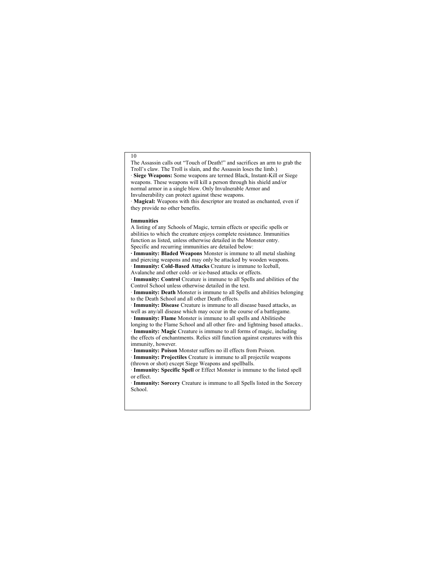The Assassin calls out "Touch of Death!" and sacrifices an arm to grab the Troll's claw. The Troll is slain, and the Assassin loses the limb.) · **Siege Weapons:** Some weapons are termed Black, Instant-Kill or Siege weapons. These weapons will kill a person through his shield and/or normal armor in a single blow. Only Invulnerable Armor and Invulnerability can protect against these weapons.

· **Magical:** Weapons with this descriptor are treated as enchanted, even if they provide no other benefits.

### **Immunities**

A listing of any Schools of Magic, terrain effects or specific spells or abilities to which the creature enjoys complete resistance. Immunities function as listed, unless otherwise detailed in the Monster entry. Specific and recurring immunities are detailed below: **· Immunity: Bladed Weapons** Monster is immune to all metal slashing and piercing weapons and may only be attacked by wooden weapons. · **Immunity: Cold-Based Attacks** Creature is immune to Iceball, Avalanche and other cold- or ice-based attacks or effects. · **Immunity: Control** Creature is immune to all Spells and abilities of the Control School unless otherwise detailed in the text. · **Immunity: Death** Monster is immune to all Spells and abilities belonging to the Death School and all other Death effects. · **Immunity: Disease** Creature is immune to all disease based attacks, as well as any/all disease which may occur in the course of a battlegame. · **Immunity: Flame** Monster is immune to all spells and Abilitiesbe longing to the Flame School and all other fire- and lightning based attacks.. · **Immunity: Magic** Creature is immune to all forms of magic, including the effects of enchantments. Relics still function against creatures with this immunity, however. · **Immunity: Poison** Monster suffers no ill effects from Poison. · **Immunity: Projectiles** Creature is immune to all projectile weapons (thrown or shot) except Siege Weapons and spellballs.

· **Immunity: Specific Spell** or Effect Monster is immune to the listed spell or effect.

· **Immunity: Sorcery** Creature is immune to all Spells listed in the Sorcery School.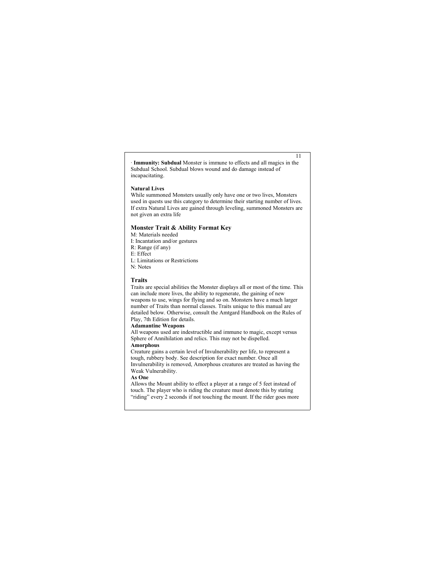· **Immunity: Subdual** Monster is immune to effects and all magics in the Subdual School. Subdual blows wound and do damage instead of incapacitating.

11

### **Natural Lives**

While summoned Monsters usually only have one or two lives, Monsters used in quests use this category to determine their starting number of lives. If extra Natural Lives are gained through leveling, summoned Monsters are not given an extra life

### **Monster Trait & Ability Format Key**

M: Materials needed I: Incantation and/or gestures R: Range (if any) E: Effect L: Limitations or Restrictions N: Notes

### **Traits**

Traits are special abilities the Monster displays all or most of the time. This can include more lives, the ability to regenerate, the gaining of new weapons to use, wings for flying and so on. Monsters have a much larger number of Traits than normal classes. Traits unique to this manual are detailed below. Otherwise, consult the Amtgard Handbook on the Rules of Play, 7th Edition for details.

### **Adamantine Weapons**

All weapons used are indestructible and immune to magic, except versus Sphere of Annihilation and relics. This may not be dispelled. **Amorphous**

Creature gains a certain level of Invulnerability per life, to represent a tough, rubbery body. See description for exact number. Once all Invulnerability is removed, Amorphous creatures are treated as having the Weak Vulnerability.

### **As One**

Allows the Mount ability to effect a player at a range of 5 feet instead of touch. The player who is riding the creature must denote this by stating "riding" every 2 seconds if not touching the mount. If the rider goes more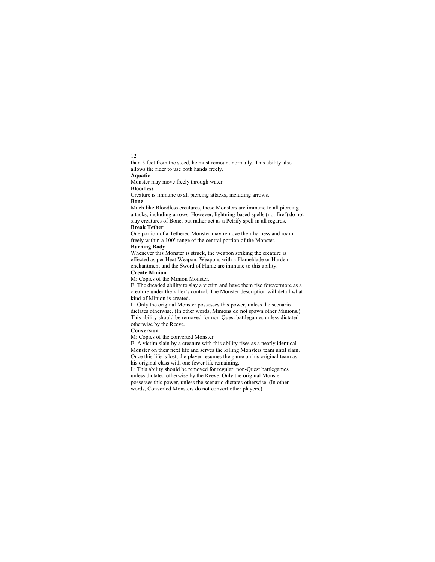than 5 feet from the steed, he must remount normally. This ability also allows the rider to use both hands freely.

# **Aquatic**

12

Monster may move freely through water.

# **Bloodless**

Creature is immune to all piercing attacks, including arrows. **Bone**

Much like Bloodless creatures, these Monsters are immune to all piercing attacks, including arrows. However, lightning-based spells (not fire!) do not slay creatures of Bone, but rather act as a Petrify spell in all regards.

#### **Break Tether**

One portion of a Tethered Monster may remove their harness and roam freely within a 100' range of the central portion of the Monster. **Burning Body**

Whenever this Monster is struck, the weapon striking the creature is effected as per Heat Weapon. Weapons with a Flameblade or Harden enchantment and the Sword of Flame are immune to this ability.

# **Create Minion**

M: Copies of the Minion Monster.

E: The dreaded ability to slay a victim and have them rise forevermore as a creature under the killer's control. The Monster description will detail what kind of Minion is created.

L: Only the original Monster possesses this power, unless the scenario dictates otherwise. (In other words, Minions do not spawn other Minions.) This ability should be removed for non-Quest battlegames unless dictated otherwise by the Reeve.

### **Conversion**

M: Copies of the converted Monster.

E: A victim slain by a creature with this ability rises as a nearly identical Monster on their next life and serves the killing Monsters team until slain. Once this life is lost, the player resumes the game on his original team as his original class with one fewer life remaining.

L: This ability should be removed for regular, non-Quest battlegames unless dictated otherwise by the Reeve. Only the original Monster possesses this power, unless the scenario dictates otherwise. (In other words, Converted Monsters do not convert other players.)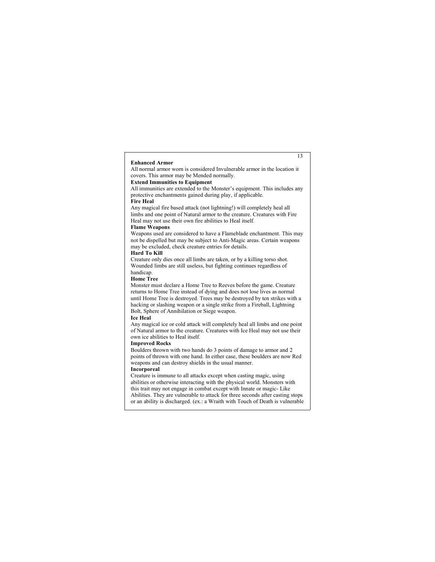### **Enhanced Armor**

13

All normal armor worn is considered Invulnerable armor in the location it covers. This armor may be Mended normally.

# **Extend Immunities to Equipment**

All immunities are extended to the Monster's equipment. This includes any protective enchantments gained during play, if applicable.

### **Fire Heal**

Any magical fire based attack (not lightning!) will completely heal all limbs and one point of Natural armor to the creature. Creatures with Fire Heal may not use their own fire abilities to Heal itself.

# **Flame Weapons**

Weapons used are considered to have a Flameblade enchantment. This may not be dispelled but may be subject to Anti-Magic areas. Certain weapons may be excluded, check creature entries for details.

# **Hard To Kill**

Creature only dies once all limbs are taken, or by a killing torso shot. Wounded limbs are still useless, but fighting continues regardless of handicap.

### **Home Tree**

Monster must declare a Home Tree to Reeves before the game. Creature returns to Home Tree instead of dying and does not lose lives as normal until Home Tree is destroyed. Trees may be destroyed by ten strikes with a hacking or slashing weapon or a single strike from a Fireball, Lightning Bolt, Sphere of Annihilation or Siege weapon.

### **Ice Heal**

Any magical ice or cold attack will completely heal all limbs and one point of Natural armor to the creature. Creatures with Ice Heal may not use their own ice abilities to Heal itself.

# **Improved Rocks**

Boulders thrown with two hands do 3 points of damage to armor and 2 points of thrown with one hand. In either case, these boulders are now Red weapons and can destroy shields in the usual manner.

### **Incorporeal**

Creature is immune to all attacks except when casting magic, using abilities or otherwise interacting with the physical world. Monsters with this trait may not engage in combat except with Innate or magic- Like Abilities. They are vulnerable to attack for three seconds after casting stops or an ability is discharged. (ex.: a Wraith with Touch of Death is vulnerable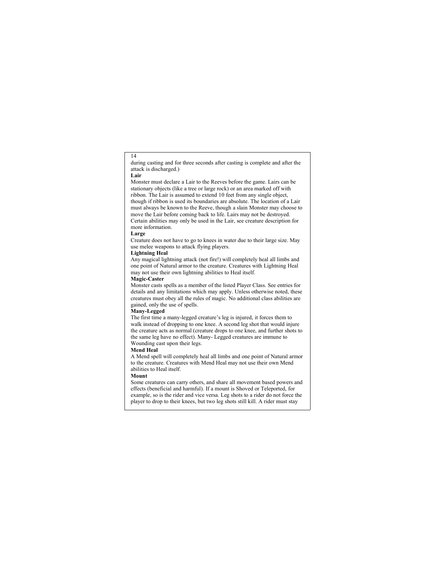during casting and for three seconds after casting is complete and after the attack is discharged.)

**Lair**

Monster must declare a Lair to the Reeves before the game. Lairs can be stationary objects (like a tree or large rock) or an area marked off with ribbon. The Lair is assumed to extend 10 feet from any single object, though if ribbon is used its boundaries are absolute. The location of a Lair must always be known to the Reeve, though a slain Monster may choose to move the Lair before coming back to life. Lairs may not be destroyed. Certain abilities may only be used in the Lair, see creature description for more information.

### **Large**

Creature does not have to go to knees in water due to their large size. May use melee weapons to attack flying players.

# **Lightning Heal**

Any magical lightning attack (not fire!) will completely heal all limbs and one point of Natural armor to the creature. Creatures with Lightning Heal may not use their own lightning abilities to Heal itself.

### **Magic-Caster**

Monster casts spells as a member of the listed Player Class. See entries for details and any limitations which may apply. Unless otherwise noted, these creatures must obey all the rules of magic. No additional class abilities are gained, only the use of spells.

### **Many-Legged**

The first time a many-legged creature's leg is injured, it forces them to walk instead of dropping to one knee. A second leg shot that would injure the creature acts as normal (creature drops to one knee, and further shots to the same leg have no effect). Many- Legged creatures are immune to Wounding cast upon their legs.

### **Mend Heal**

A Mend spell will completely heal all limbs and one point of Natural armor to the creature. Creatures with Mend Heal may not use their own Mend abilities to Heal itself.

#### **Mount**

Some creatures can carry others, and share all movement based powers and effects (beneficial and harmful). If a mount is Shoved or Teleported, for example, so is the rider and vice versa. Leg shots to a rider do not force the player to drop to their knees, but two leg shots still kill. A rider must stay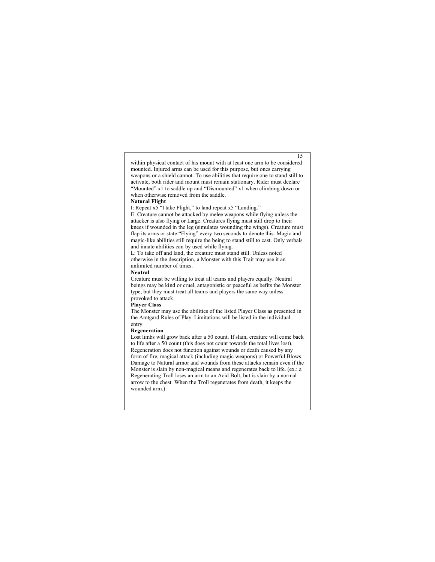### within physical contact of his mount with at least one arm to be considered mounted. Injured arms can be used for this purpose, but ones carrying weapons or a shield cannot. To use abilities that require one to stand still to activate, both rider and mount must remain stationary. Rider must declare "Mounted" x1 to saddle up and "Dismounted" x1 when climbing down or when otherwise removed from the saddle.

15

### **Natural Flight**

I: Repeat x5 "I take Flight," to land repeat x5 "Landing."

E: Creature cannot be attacked by melee weapons while flying unless the attacker is also flying or Large. Creatures flying must still drop to their knees if wounded in the leg (simulates wounding the wings). Creature must flap its arms or state "Flying" every two seconds to denote this. Magic and magic-like abilities still require the being to stand still to cast. Only verbals and innate abilities can by used while flying.

L: To take off and land, the creature must stand still. Unless noted otherwise in the description, a Monster with this Trait may use it an unlimited number of times.

### **Neutral**

Creature must be willing to treat all teams and players equally. Neutral beings may be kind or cruel, antagonistic or peaceful as befits the Monster type, but they must treat all teams and players the same way unless provoked to attack.

### **Player Class**

The Monster may use the abilities of the listed Player Class as presented in the Amtgard Rules of Play. Limitations will be listed in the individual entry.

### **Regeneration**

Lost limbs will grow back after a 50 count. If slain, creature will come back to life after a 50 count (this does not count towards the total lives lost). Regeneration does not function against wounds or death caused by any form of fire, magical attack (including magic weapons) or Powerful Blows. Damage to Natural armor and wounds from these attacks remain even if the Monster is slain by non-magical means and regenerates back to life. (ex.: a Regenerating Troll loses an arm to an Acid Bolt, but is slain by a normal arrow to the chest. When the Troll regenerates from death, it keeps the wounded arm.)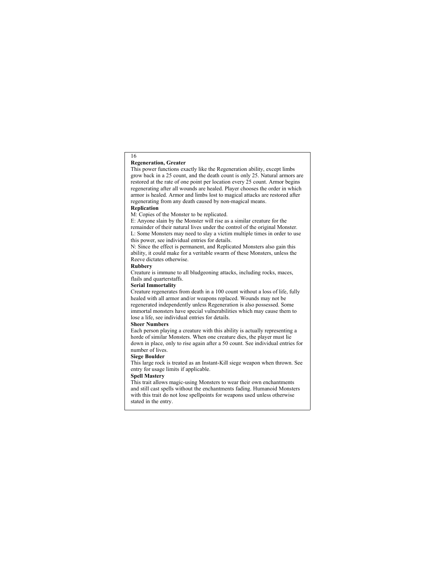### **Regeneration, Greater**

16

This power functions exactly like the Regeneration ability, except limbs grow back in a 25 count, and the death count is only 25. Natural armors are restored at the rate of one point per location every 25 count. Armor begins regenerating after all wounds are healed. Player chooses the order in which armor is healed. Armor and limbs lost to magical attacks are restored after regenerating from any death caused by non-magical means.

# **Replication**

M: Copies of the Monster to be replicated.

E: Anyone slain by the Monster will rise as a similar creature for the remainder of their natural lives under the control of the original Monster. L: Some Monsters may need to slay a victim multiple times in order to use this power, see individual entries for details.

N: Since the effect is permanent, and Replicated Monsters also gain this ability, it could make for a veritable swarm of these Monsters, unless the Reeve dictates otherwise.

### **Rubbery**

Creature is immune to all bludgeoning attacks, including rocks, maces, flails and quarterstaffs.

### **Serial Immortality**

Creature regenerates from death in a 100 count without a loss of life, fully healed with all armor and/or weapons replaced. Wounds may not be regenerated independently unless Regeneration is also possessed. Some immortal monsters have special vulnerabilities which may cause them to lose a life, see individual entries for details.

### **Sheer Numbers**

Each person playing a creature with this ability is actually representing a horde of similar Monsters. When one creature dies, the player must lie down in place, only to rise again after a 50 count. See individual entries for number of lives.

### **Siege Boulder**

This large rock is treated as an Instant-Kill siege weapon when thrown. See entry for usage limits if applicable.

### **Spell Mastery**

This trait allows magic-using Monsters to wear their own enchantments and still cast spells without the enchantments fading. Humanoid Monsters with this trait do not lose spellpoints for weapons used unless otherwise stated in the entry.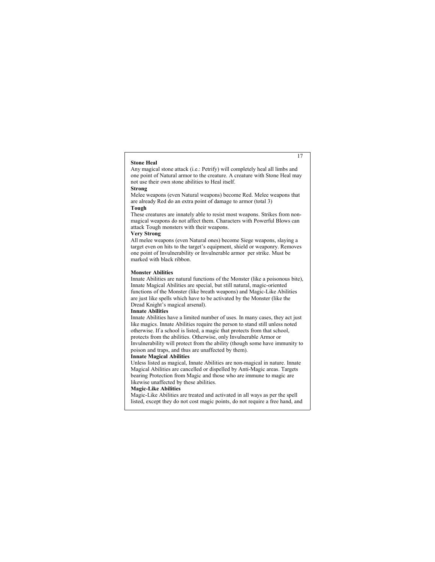### **Stone Heal**

Any magical stone attack (i.e.: Petrify) will completely heal all limbs and one point of Natural armor to the creature. A creature with Stone Heal may not use their own stone abilities to Heal itself.

17

### **Strong**

Melee weapons (even Natural weapons) become Red. Melee weapons that are already Red do an extra point of damage to armor (total 3)

### **Tough**

These creatures are innately able to resist most weapons. Strikes from nonmagical weapons do not affect them. Characters with Powerful Blows can attack Tough monsters with their weapons.

### **Very Strong**

All melee weapons (even Natural ones) become Siege weapons, slaying a target even on hits to the target's equipment, shield or weaponry. Removes one point of Invulnerability or Invulnerable armor per strike. Must be marked with black ribbon.

### **Monster Abilities**

Innate Abilities are natural functions of the Monster (like a poisonous bite), Innate Magical Abilities are special, but still natural, magic-oriented functions of the Monster (like breath weapons) and Magic-Like Abilities are just like spells which have to be activated by the Monster (like the Dread Knight's magical arsenal).

### **Innate Abilities**

Innate Abilities have a limited number of uses. In many cases, they act just like magics. Innate Abilities require the person to stand still unless noted otherwise. If a school is listed, a magic that protects from that school, protects from the abilities. Otherwise, only Invulnerable Armor or Invulnerability will protect from the ability (though some have immunity to poison and traps, and thus are unaffected by them).

### **Innate Magical Abilities**

Unless listed as magical, Innate Abilities are non-magical in nature. Innate Magical Abilities are cancelled or dispelled by Anti-Magic areas. Targets bearing Protection from Magic and those who are immune to magic are likewise unaffected by these abilities.

# **Magic-Like Abilities**

Magic-Like Abilities are treated and activated in all ways as per the spell listed, except they do not cost magic points, do not require a free hand, and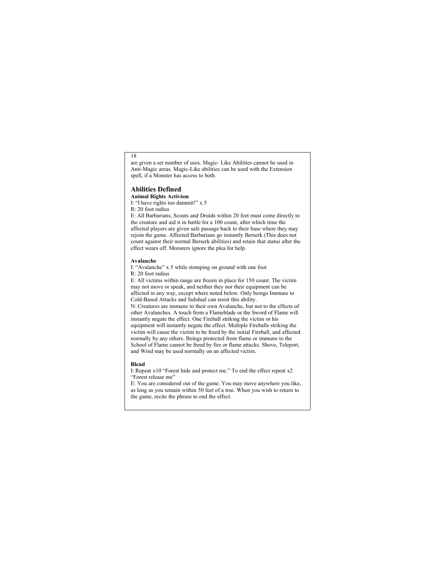are given a set number of uses. Magic- Like Abilities cannot be used in Anti-Magic areas. Magic-Like abilities can be used with the Extension spell, if a Monster has access to both.

### **Abilities Defined**

**Animal Rights Activism** I: "I have rights too dammit!" x 5

R: 20 foot radius

E: All Barbarians, Scouts and Druids within 20 feet must come directly to the creature and aid it in battle for a 100 count, after which time the affected players are given safe passage back to their base where they may rejoin the game. Affected Barbarians go instantly Berserk (This does not count against their normal Berserk abilities) and retain that status after the effect wears off. Monsters ignore the plea for help.

### **Avalanche**

I: "Avalanche" x 5 while stomping on ground with one foot R: 20 foot radius

E: All victims within range are frozen in place for 150 count. The victim may not move or speak, and neither they nor their equipment can be affected in any way, except where noted below. Only beings Immune to Cold-Based Attacks and Subdual can resist this ability. N: Creatures are immune to their own Avalanche, but not to the effects of other Avalanches. A touch from a Flameblade or the Sword of Flame will instantly negate the effect. One Fireball striking the victim or his equipment will instantly negate the effect. Multiple Fireballs striking the victim will cause the victim to be freed by the initial Fireball, and affected normally by any others. Beings protected from flame or immune to the School of Flame cannot be freed by fire or flame attacks. Shove, Teleport, and Wind may be used normally on an affected victim.

### **Blend**

I: Repeat x10 "Forest hide and protect me." To end the effect repeat x2 "Forest release me"

E: You are considered out of the game. You may move anywhere you like, as long as you remain within 50 feet of a tree. When you wish to return to the game, recite the phrase to end the effect.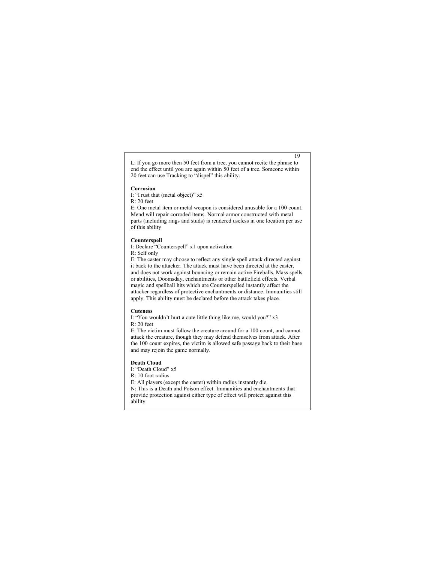L: If you go more then 50 feet from a tree, you cannot recite the phrase to end the effect until you are again within 50 feet of a tree. Someone within 20 feet can use Tracking to "dispel" this ability.

#### **Corrosion**

I: "I rust that (metal object)" x5 R: 20 feet

E: One metal item or metal weapon is considered unusable for a 100 count. Mend will repair corroded items. Normal armor constructed with metal parts (including rings and studs) is rendered useless in one location per use of this ability

### **Counterspell**

I: Declare "Counterspell" x1 upon activation R: Self only

E: The caster may choose to reflect any single spell attack directed against it back to the attacker. The attack must have been directed at the caster, and does not work against bouncing or remain active Fireballs, Mass spells or abilities, Doomsday, enchantments or other battlefield effects. Verbal magic and spellball hits which are Counterspelled instantly affect the attacker regardless of protective enchantments or distance. Immunities still apply. This ability must be declared before the attack takes place.

### **Cuteness**

I: "You wouldn't hurt a cute little thing like me, would you?" x3 R: 20 feet

E: The victim must follow the creature around for a 100 count, and cannot attack the creature, though they may defend themselves from attack. After the 100 count expires, the victim is allowed safe passage back to their base and may rejoin the game normally.

### **Death Cloud**

I: "Death Cloud" x5

R: 10 foot radius

E: All players (except the caster) within radius instantly die.

N: This is a Death and Poison effect. Immunities and enchantments that provide protection against either type of effect will protect against this ability.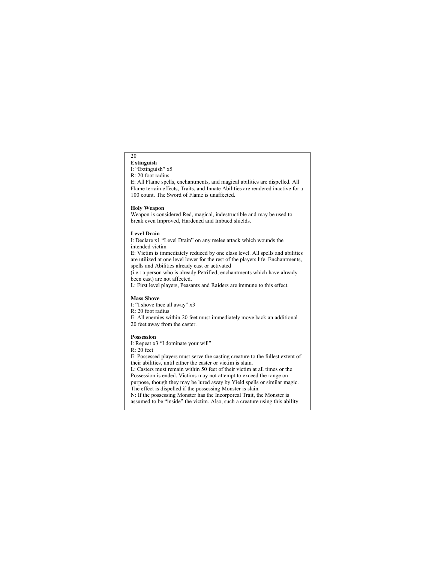### 20 **Extinguish**

I: "Extinguish" x5

R: 20 foot radius

E: All Flame spells, enchantments, and magical abilities are dispelled. All Flame terrain effects, Traits, and Innate Abilities are rendered inactive for a 100 count. The Sword of Flame is unaffected.

### **Holy Weapon**

Weapon is considered Red, magical, indestructible and may be used to break even Improved, Hardened and Imbued shields.

### **Level Drain**

I: Declare x1 "Level Drain" on any melee attack which wounds the intended victim

E: Victim is immediately reduced by one class level. All spells and abilities are utilized at one level lower for the rest of the players life. Enchantments, spells and Abilities already cast or activated

(i.e.: a person who is already Petrified, enchantments which have already been cast) are not affected.

L: First level players, Peasants and Raiders are immune to this effect.

### **Mass Shove**

I: "I shove thee all away" x3

R: 20 foot radius

E: All enemies within 20 feet must immediately move back an additional 20 feet away from the caster.

### **Possession**

I: Repeat x3 "I dominate your will"

R: 20 feet

E: Possessed players must serve the casting creature to the fullest extent of their abilities, until either the caster or victim is slain.

L: Casters must remain within 50 feet of their victim at all times or the Possession is ended. Victims may not attempt to exceed the range on purpose, though they may be lured away by Yield spells or similar magic. The effect is dispelled if the possessing Monster is slain.

N: If the possessing Monster has the Incorporeal Trait, the Monster is assumed to be "inside" the victim. Also, such a creature using this ability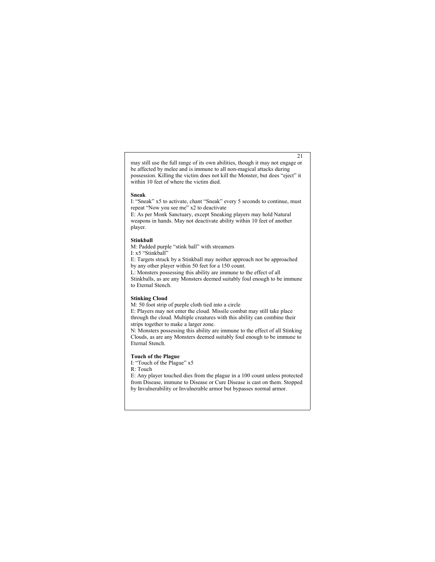may still use the full range of its own abilities, though it may not engage or be affected by melee and is immune to all non-magical attacks during possession. Killing the victim does not kill the Monster, but does "eject" it within 10 feet of where the victim died.

### **Sneak**

I: "Sneak" x5 to activate, chant "Sneak" every 5 seconds to continue, must repeat "Now you see me" x2 to deactivate

E: As per Monk Sanctuary, except Sneaking players may hold Natural weapons in hands. May not deactivate ability within 10 feet of another player.

### **Stinkball**

M: Padded purple "stink ball" with streamers I: x5 "Stinkball"

E: Targets struck by a Stinkball may neither approach nor be approached by any other player within 50 feet for a 150 count.

L: Monsters possessing this ability are immune to the effect of all

Stinkballs, as are any Monsters deemed suitably foul enough to be immune to Eternal Stench.

### **Stinking Cloud**

M: 50 foot strip of purple cloth tied into a circle

E: Players may not enter the cloud. Missile combat may still take place through the cloud. Multiple creatures with this ability can combine their strips together to make a larger zone.

N: Monsters possessing this ability are immune to the effect of all Stinking Clouds, as are any Monsters deemed suitably foul enough to be immune to Eternal Stench.

### **Touch of the Plague**

- I: "Touch of the Plague" x5
- R: Touch

E: Any player touched dies from the plague in a 100 count unless protected from Disease, immune to Disease or Cure Disease is cast on them. Stopped by Invulnerability or Invulnerable armor but bypasses normal armor.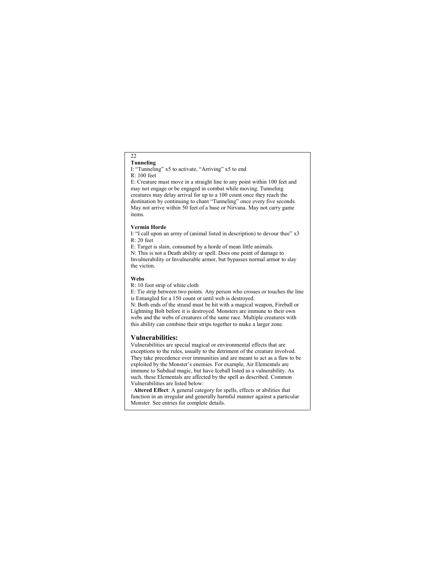### 22 **Tunneling**

I: "Tunneling" x5 to activate, "Arriving" x5 to end R: 100 feet

E: Creature must move in a straight line to any point within 100 feet and may not engage or be engaged in combat while moving. Tunneling creatures may delay arrival for up to a 100 count once they reach the destination by continuing to chant "Tunneling" once every five seconds. May not arrive within 50 feet of a base or Nirvana. May not carry game items.

### **Vermin Horde**

I: "I call upon an army of (animal listed in description) to devour thee" x3 R: 20 feet

E: Target is slain, consumed by a horde of mean little animals.

N: This is not a Death ability or spell. Does one point of damage to Invulnerability or Invulnerable armor, but bypasses normal armor to slay the victim.

### **Webs**

R: 10 foot strip of white cloth

E: Tie strip between two points. Any person who crosses or touches the line is Entangled for a 150 count or until web is destroyed.

N: Both ends of the strand must be hit with a magical weapon, Fireball or Lightning Bolt before it is destroyed. Monsters are immune to their own webs and the webs of creatures of the same race. Multiple creatures with this ability can combine their strips together to make a larger zone.

# **Vulnerabilities:**

Vulnerabilities are special magical or environmental effects that are exceptions to the rules, usually to the detriment of the creature involved. They take precedence over immunities and are meant to act as a flaw to be exploited by the Monster's enemies. For example, Air Elementals are immune to Subdual magic, but have Iceball listed as a vulnerability. As such, these Elementals are affected by the spell as described. Common Vulnerabilities are listed below:

· **Altered Effect**: A general category for spells, effects or abilities that function in an irregular and generally harmful manner against a particular Monster. See entries for complete details.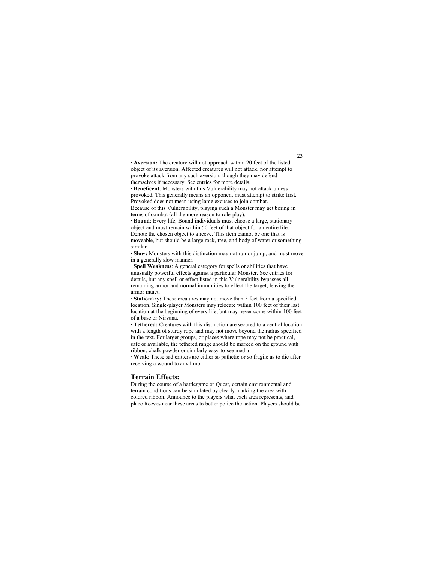**· Aversion:** The creature will not approach within 20 feet of the listed object of its aversion. Affected creatures will not attack, nor attempt to provoke attack from any such aversion, though they may defend themselves if necessary. See entries for more details.

**· Beneficent**: Monsters with this Vulnerability may not attack unless provoked. This generally means an opponent must attempt to strike first. Provoked does not mean using lame excuses to join combat. Because of this Vulnerability, playing such a Monster may get boring in terms of combat (all the more reason to role-play).

**· Bound**: Every life, Bound individuals must choose a large, stationary object and must remain within 50 feet of that object for an entire life. Denote the chosen object to a reeve. This item cannot be one that is moveable, but should be a large rock, tree, and body of water or something similar.

**· Slow:** Monsters with this distinction may not run or jump, and must move in a generally slow manner.

· **Spell Weakness**: A general category for spells or abilities that have unusually powerful effects against a particular Monster. See entries for details, but any spell or effect listed in this Vulnerability bypasses all remaining armor and normal immunities to effect the target, leaving the armor intact.

· **Stationary:** These creatures may not move than 5 feet from a specified location. Single-player Monsters may relocate within 100 feet of their last location at the beginning of every life, but may never come within 100 feet of a base or Nirvana.

**· Tethered:** Creatures with this distinction are secured to a central location with a length of sturdy rope and may not move beyond the radius specified in the text. For larger groups, or places where rope may not be practical, safe or available, the tethered range should be marked on the ground with ribbon, chalk powder or similarly easy-to-see media.

· **Weak**: These sad critters are either so pathetic or so fragile as to die after receiving a wound to any limb.

### **Terrain Effects:**

During the course of a battlegame or Quest, certain environmental and terrain conditions can be simulated by clearly marking the area with colored ribbon. Announce to the players what each area represents, and place Reeves near these areas to better police the action. Players should be

23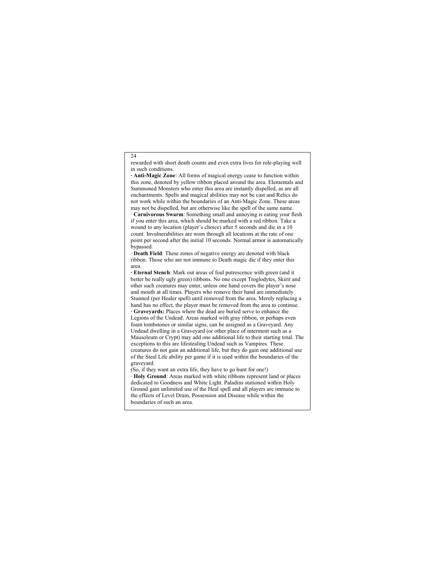rewarded with short death counts and even extra lives for role-playing well in such conditions.

**· Anti-Magic Zone**: All forms of magical energy cease to function within this zone, denoted by yellow ribbon placed around the area. Elementals and Summoned Monsters who enter this area are instantly dispelled, as are all enchantments. Spells and magical abilities may not be cast and Relics do not work while within the boundaries of an Anti-Magic Zone. These areas may not be dispelled, but are otherwise like the spell of the same name.

· **Carnivorous Swarm**: Something small and annoying is eating your flesh if you enter this area, which should be marked with a red ribbon. Take a wound to any location (player's choice) after 5 seconds and die in a 10 count. Invulnerabilities are worn through all locations at the rate of one point per second after the initial 10 seconds. Normal armor is automatically bypassed.

· **Death Field**: These zones of negative energy are denoted with black ribbon. Those who are not immune to Death magic die if they enter this area.

**· Eternal Stench**: Mark out areas of foul putrescence with green (and it better be really ugly green) ribbons. No one except Troglodytes, Skirit and other such creatures may enter, unless one hand covers the player's nose and mouth at all times. Players who remove their hand are immediately Stunned (per Healer spell) until removed from the area. Merely replacing a hand has no effect, the player must be removed from the area to continue. **· Graveyards:** Places where the dead are buried serve to enhance the Legions of the Undead. Areas marked with gray ribbon, or perhaps even foam tombstones or similar signs, can be assigned as a Graveyard. Any Undead dwelling in a Graveyard (or other place of interment such as a Mausoleum or Crypt) may add one additional life to their starting total. The exceptions to this are lifestealing Undead such as Vampires. These creatures do not gain an additional life, but they do gain one additional use of the Steal Life ability per game if it is used within the boundaries of the graveyard.

(So, if they want an extra life, they have to go hunt for one!)

· **Holy Ground**: Areas marked with white ribbons represent land or places dedicated to Goodness and White Light. Paladins stationed within Holy Ground gain unlimited use of the Heal spell and all players are immune to the effects of Level Drain, Possession and Disease while within the boundaries of such an area.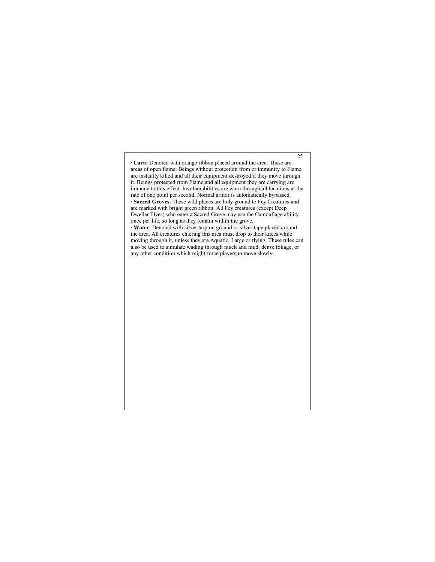**· Lava:** Denoted with orange ribbon placed around the area. These are areas of open flame. Beings without protection from or immunity to Flame are instantly killed and all their equipment destroyed if they move through it. Beings protected from Flame and all equipment they are carrying are immune to this effect. Invulnerabilities are worn through all locations at the rate of one point per second. Normal armor is automatically bypassed. · **Sacred Groves**: These wild places are holy ground to Fey Creatures and are marked with bright green ribbon. All Fey creatures (except Deep Dweller Elves) who enter a Sacred Grove may use the Camouflage ability once per life, so long as they remain within the grove. · **Water**: Denoted with silver tarp on ground or silver tape placed around

25

the area. All creatures entering this area must drop to their knees while moving through it, unless they are Aquatic, Large or flying. These rules can also be used to simulate wading through muck and mud, dense foliage, or any other condition which might force players to move slowly.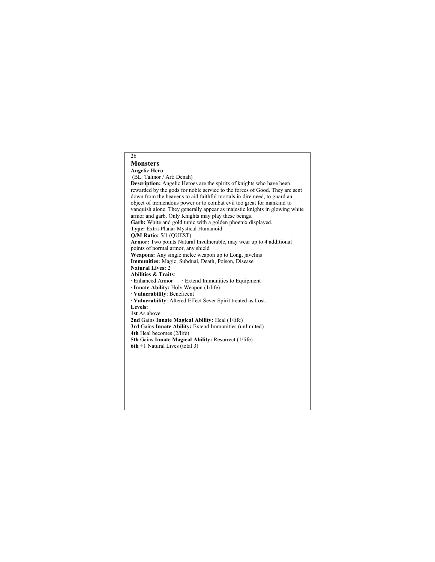# 26 **Monsters Angelic Hero** (BL: Talinor / Art: Denah) **Description:** Angelic Heroes are the spirits of knights who have been rewarded by the gods for noble service to the forces of Good. They are sent down from the heavens to aid faithful mortals in dire need, to guard an object of tremendous power or to combat evil too great for mankind to vanquish alone. They generally appear as majestic knights in glowing white armor and garb. Only Knights may play these beings. Garb: White and gold tunic with a golden phoenix displayed. **Type:** Extra-Planar Mystical Humanoid **Q/M Ratio:** 5/1 (QUEST) **Armor:** Two points Natural Invulnerable, may wear up to 4 additional points of normal armor, any shield **Weapons:** Any single melee weapon up to Long, javelins **Immunities:** Magic, Subdual, Death, Poison, Disease **Natural Lives:** 2 **Abilities & Traits**: · Extend Immunities to Equipment · **Innate Ability:** Holy Weapon (1/life) · **Vulnerability**: Beneficent · **Vulnerability**: Altered Effect Sever Spirit treated as Lost. **Levels: 1st** As above **2nd** Gains **Innate Magical Ability:** Heal (1/life) **3rd** Gains **Innate Ability:** Extend Immunities (unlimited) **4th** Heal becomes (2/life) **5th** Gains **Innate Magical Ability:** Resurrect (1/life) **6th** +1 Natural Lives (total 3)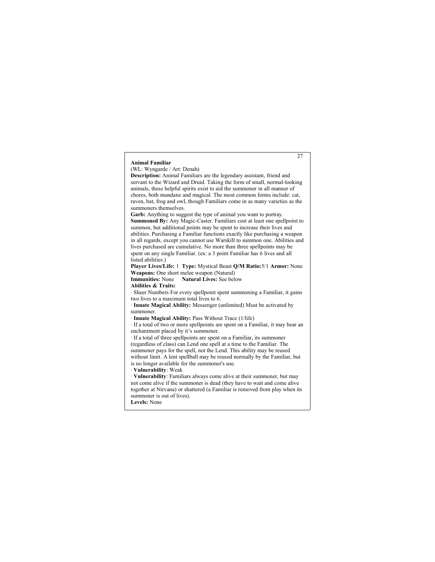### **Animal Familiar**

(WL: Wyngarde / Art: Denah)

**Description:** Animal Familiars are the legendary assistant, friend and servant to the Wizard and Druid. Taking the form of small, normal-looking animals, these helpful spirits exist to aid the summoner in all manner of chores, both mundane and magical. The most common forms include: cat, raven, bat, frog and owl, though Familiars come in as many varieties as the summoners themselves.

**Garb:** Anything to suggest the type of animal you want to portray. **Summoned By:** Any Magic-Caster. Familiars cost at least one spellpoint to summon, but additional points may be spent to increase their lives and abilities. Purchasing a Familiar functions exactly like purchasing a weapon in all regards, except you cannot use Warskill to summon one. Abilities and lives purchased are cumulative. No more than three spellpoints may be spent on any single Familiar. (ex: a 3 point Familiar has 6 lives and all listed abilities.)

**Player Lives/Life:** 1 **Type:** Mystical Beast **Q/M Ratio:**5/1 **Armor:** None **Weapons:** One short melee weapon (Natural)

**Immunities:** None **Natural Lives:** See below

**Abilities & Traits:**

· Sheer Numbers For every spellpoint spent summoning a Familiar, it gains two lives to a maximum total lives to 6.

· **Innate Magical Ability:** Messenger (unlimited) Must be activated by summoner.

· **Innate Magical Ability:** Pass Without Trace (1/life)

· If a total of two or more spellpoints are spent on a Familiar, it may bear an enchantment placed by it's summoner.

· If a total of three spellpoints are spent on a Familiar, its summoner (regardless of class) can Lend one spell at a time to the Familiar. The summoner pays for the spell, not the Lend. This ability may be reused without limit. A lent spellball may be reused normally by the Familiar, but is no longer available for the summoner's use.

· **Vulnerability**: Weak

· **Vulnerability**: Familiars always come alive at their summoner, but may not come alive if the summoner is dead (they have to wait and come alive together at Nirvana) or shattered (a Familiar is removed from play when its summoner is out of lives).

**Levels:** None

27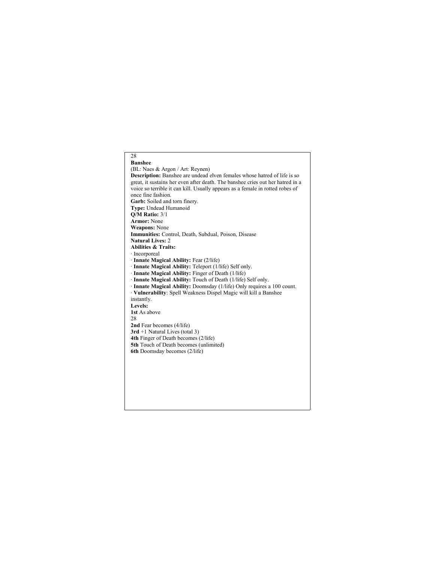# 28 **Banshee** (BL: Naes & Argon / Art: Reynen) **Description:** Banshee are undead elven females whose hatred of life is so great, it sustains her even after death. The banshee cries out her hatred in a voice so terrible it can kill. Usually appears as a female in rotted robes of once fine fashion. **Garb:** Soiled and torn finery. **Type:** Undead Humanoid **Q/M Ratio:** 3/1 **Armor:** None **Weapons:** None **Immunities:** Control, Death, Subdual, Poison, Disease **Natural Lives:** 2 **Abilities & Traits:** · Incorporeal · **Innate Magical Ability:** Fear (2/life) · **Innate Magical Ability:** Teleport (1/life) Self only. · **Innate Magical Ability:** Finger of Death (1/life) · **Innate Magical Ability:** Touch of Death (1/life) Self only. · **Innate Magical Ability:** Doomsday (1/life) Only requires a 100 count. · **Vulnerability**: Spell Weakness Dispel Magic will kill a Banshee instantly. **Levels: 1st** As above 28 **2nd** Fear becomes (4/life) **3rd** +1 Natural Lives (total 3) **4th** Finger of Death becomes (2/life) **5th** Touch of Death becomes (unlimited) **6th** Doomsday becomes (2/life)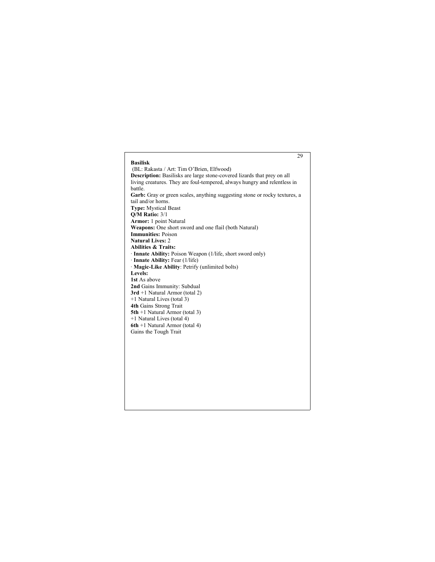|                                                                                | 29 |
|--------------------------------------------------------------------------------|----|
| <b>Basilisk</b>                                                                |    |
| (BL: Rakasta / Art: Tim O'Brien, Elfwood)                                      |    |
| <b>Description:</b> Basilisks are large stone-covered lizards that prey on all |    |
| living creatures. They are foul-tempered, always hungry and relentless in      |    |
| battle.                                                                        |    |
| Garb: Gray or green scales, anything suggesting stone or rocky textures, a     |    |
| tail and/or horns.                                                             |    |
| <b>Type: Mystical Beast</b>                                                    |    |
| $O/M$ Ratio: $3/1$                                                             |    |
| Armor: 1 point Natural                                                         |    |
| <b>Weapons:</b> One short sword and one flail (both Natural)                   |    |
| <b>Immunities: Poison</b>                                                      |    |
| <b>Natural Lives: 2</b>                                                        |    |
| <b>Abilities &amp; Traits:</b>                                                 |    |
| · Innate Ability: Poison Weapon (1/life, short sword only)                     |    |
| $\cdot$ Innate Ability: Fear (1/life)                                          |    |
| · Magic-Like Ability: Petrify (unlimited bolts)                                |    |
| Levels:                                                                        |    |
| 1st As above                                                                   |    |
| 2nd Gains Immunity: Subdual                                                    |    |
| $3rd + 1$ Natural Armor (total 2)                                              |    |
| +1 Natural Lives (total 3)                                                     |    |
| 4th Gains Strong Trait                                                         |    |
| $5th + 1$ Natural Armor (total 3)                                              |    |
| +1 Natural Lives (total 4)                                                     |    |
| 6th +1 Natural Armor (total 4)                                                 |    |
| Gains the Tough Trait                                                          |    |
|                                                                                |    |
|                                                                                |    |
|                                                                                |    |
|                                                                                |    |
|                                                                                |    |
|                                                                                |    |
|                                                                                |    |
|                                                                                |    |
|                                                                                |    |
|                                                                                |    |
|                                                                                |    |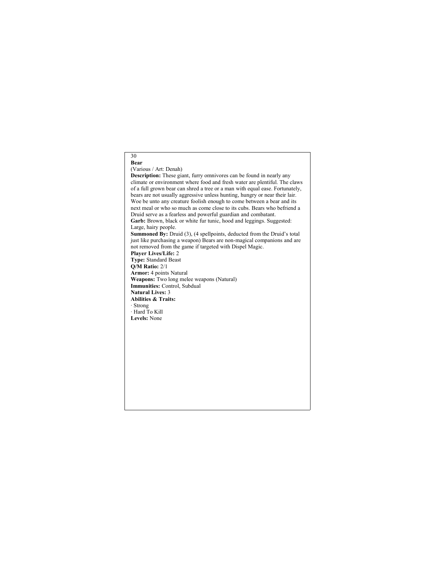### 30 **Bear**

### (Various / Art: Denah)

**Description:** These giant, furry omnivores can be found in nearly any climate or environment where food and fresh water are plentiful. The claws of a full grown bear can shred a tree or a man with equal ease. Fortunately, bears are not usually aggressive unless hunting, hungry or near their lair. Woe be unto any creature foolish enough to come between a bear and its next meal or who so much as come close to its cubs. Bears who befriend a Druid serve as a fearless and powerful guardian and combatant. Garb: Brown, black or white fur tunic, hood and leggings. Suggested: Large, hairy people. **Summoned By:** Druid (3), (4 spellpoints, deducted from the Druid's total just like purchasing a weapon) Bears are non-magical companions and are not removed from the game if targeted with Dispel Magic. **Player Lives/Life:** 2 **Type:** Standard Beast **Q/M Ratio:** 2/1 **Armor:** 4 points Natural **Weapons:** Two long melee weapons (Natural) **Immunities:** Control, Subdual **Natural Lives:** 3 **Abilities & Traits:** · Strong · Hard To Kill **Levels:** None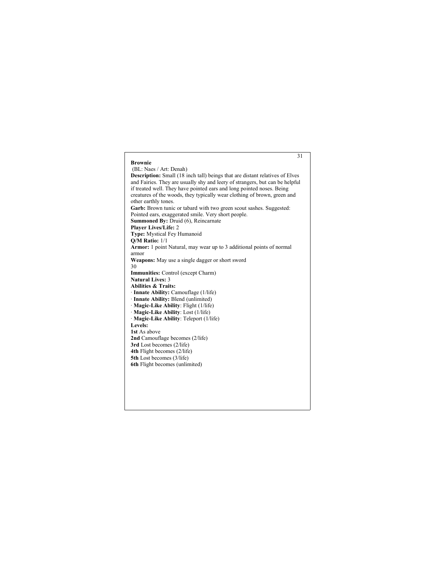### **Brownie** (BL: Naes / Art: Denah)

**Description:** Small (18 inch tall) beings that are distant relatives of Elves and Fairies. They are usually shy and leery of strangers, but can be helpful if treated well. They have pointed ears and long pointed noses. Being creatures of the woods, they typically wear clothing of brown, green and other earthly tones. Garb: Brown tunic or tabard with two green scout sashes. Suggested: Pointed ears, exaggerated smile. Very short people. **Summoned By:** Druid (6), Reincarnate **Player Lives/Life:** 2 **Type:** Mystical Fey Humanoid **Q/M Ratio:** 1/1 **Armor:** 1 point Natural, may wear up to 3 additional points of normal armor **Weapons:** May use a single dagger or short sword 30 **Immunities:** Control (except Charm) **Natural Lives:** 3 **Abilities & Traits:** · **Innate Ability:** Camouflage (1/life) · **Innate Ability:** Blend (unlimited) · **Magic-Like Ability**: Flight (1/life) · **Magic-Like Ability**: Lost (1/life) · **Magic-Like Ability**: Teleport (1/life) **Levels: 1st** As above **2nd** Camouflage becomes (2/life) **3rd** Lost becomes (2/life) **4th** Flight becomes (2/life) **5th** Lost becomes (3/life) **6th** Flight becomes (unlimited)

31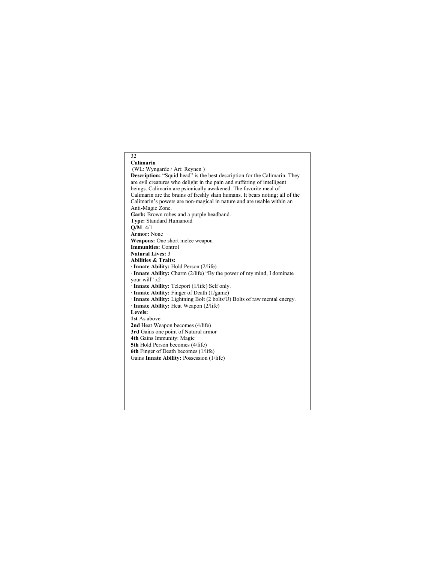# 32 **Calimarin** (WL: Wyngarde / Art: Reynen ) **Description:** "Squid head" is the best description for the Calimarin. They are evil creatures who delight in the pain and suffering of intelligent beings. Calimarin are psionically awakened. The favorite meal of Calimarin are the brains of freshly slain humans. It bears noting; all of the Calimarin's powers are non-magical in nature and are usable within an Anti-Magic Zone. **Garb:** Brown robes and a purple headband. **Type:** Standard Humanoid **Q/M**: 4/1 **Armor:** None **Weapons:** One short melee weapon **Immunities:** Control **Natural Lives:** 3 **Abilities & Traits:** · **Innate Ability:** Hold Person (2/life) · **Innate Ability:** Charm (2/life) "By the power of my mind, I dominate your will" x2 · **Innate Ability:** Teleport (1/life) Self only. · **Innate Ability:** Finger of Death (1/game) · **Innate Ability:** Lightning Bolt (2 bolts/U) Bolts of raw mental energy. · **Innate Ability:** Heat Weapon (2/life) **Levels: 1st** As above **2nd** Heat Weapon becomes (4/life) **3rd** Gains one point of Natural armor **4th** Gains Immunity: Magic **5th** Hold Person becomes (4/life) **6th** Finger of Death becomes (1/life) Gains **Innate Ability:** Possession (1/life)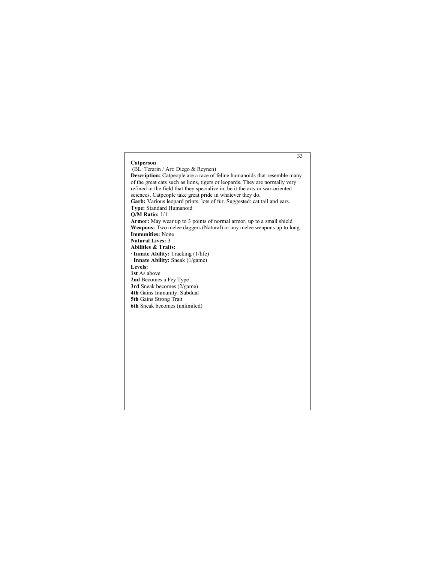# **Catperson** (BL: Terarin / Art: Diego & Reynen) **Description:** Catpeople are a race of feline humanoids that resemble many of the great cats such as lions, tigers or leopards. They are normally very refined in the field that they specialize in, be it the arts or war-oriented sciences. Catpeople take great pride in whatever they do. Garb: Various leopard prints, lots of fur. Suggested: cat tail and ears. **Type:** Standard Humanoid **Q/M Ratio:** 1/1 **Armor:** May wear up to 3 points of normal armor, up to a small shield **Weapons:** Two melee daggers (Natural) or any melee weapons up to long **Immunities:** None **Natural Lives:** 3 **Abilities & Traits:** · **Innate Ability:** Tracking (1/life) · **Innate Ability:** Sneak (1/game) **Levels: 1st** As above **2nd** Becomes a Fey Type **3rd** Sneak becomes (2/game) **4th** Gains Immunity: Subdual **5th** Gains Strong Trait **6th** Sneak becomes (unlimited)

33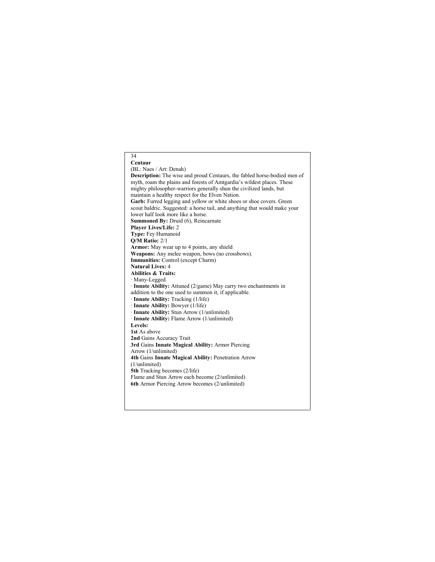#### 34 **Centaur** (BL: Naes / Art: Denah) **Description:** The wise and proud Centaurs, the fabled horse-bodied men of myth, roam the plains and forests of Amtgardia's wildest places. These mighty philosopher-warriors generally shun the civilized lands, but maintain a healthy respect for the Elven Nation. Garb: Furred legging and yellow or white shoes or shoe covers. Green scout baldric. Suggested: a horse tail, and anything that would make your lower half look more like a horse. **Summoned By:** Druid (6), Reincarnate **Player Lives/Life:** 2 **Type:** Fey Humanoid **Q/M Ratio:** 2/1 **Armor:** May wear up to 4 points, any shield **Weapons:** Any melee weapon, bows (no crossbows). **Immunities:** Control (except Charm) **Natural Lives:** 4 **Abilities & Traits:** · Many-Legged · **Innate Ability:** Attuned (2/game) May carry two enchantments in addition to the one used to summon it, if applicable. · **Innate Ability:** Tracking (1/life) · **Innate Ability:** Bowyer (1/life) · **Innate Ability:** Stun Arrow (1/unlimited) · **Innate Ability:** Flame Arrow (1/unlimited) **Levels: 1st** As above **2nd** Gains Accuracy Trait **3rd** Gains **Innate Magical Ability:** Armor Piercing Arrow (1/unlimited) **4th** Gains **Innate Magical Ability:** Penetration Arrow (1/unlimited) **5th** Tracking becomes (2/life) Flame and Stun Arrow each become (2/unlimited) **6th** Armor Piercing Arrow becomes (2/unlimited)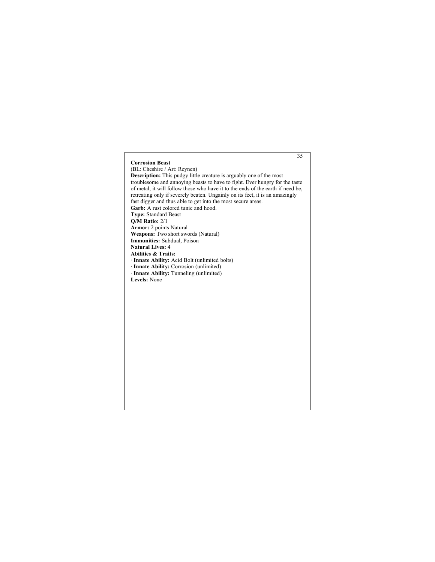# **Corrosion Beast** (BL: Cheshire / Art: Reynen) **Description:** This pudgy little creature is arguably one of the most troublesome and annoying beasts to have to fight. Ever hungry for the taste of metal, it will follow those who have it to the ends of the earth if need be, retreating only if severely beaten. Ungainly on its feet, it is an amazingly fast digger and thus able to get into the most secure areas. Garb: A rust colored tunic and hood. **Type:** Standard Beast **Q/M Ratio:** 2/1 **Armor:** 2 points Natural **Weapons:** Two short swords (Natural) **Immunities:** Subdual, Poison **Natural Lives:** 4 **Abilities & Traits:** · **Innate Ability:** Acid Bolt (unlimited bolts) · **Innate Ability:** Corrosion (unlimited) · **Innate Ability:** Tunneling (unlimited) **Levels:** None

35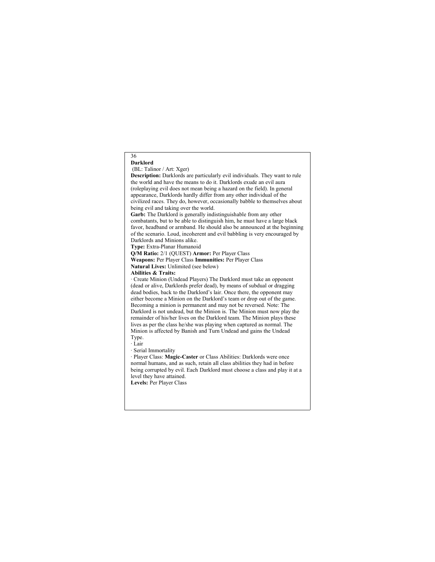#### 36 **Darklord**

#### (BL: Talinor / Art: Xger)

**Description:** Darklords are particularly evil individuals. They want to rule the world and have the means to do it. Darklords exude an evil aura (roleplaying evil does not mean being a hazard on the field). In general appearance, Darklords hardly differ from any other individual of the civilized races. They do, however, occasionally babble to themselves about being evil and taking over the world. **Garb:** The Darklord is generally indistinguishable from any other combatants, but to be able to distinguish him, he must have a large black favor, headband or armband. He should also be announced at the beginning of the scenario. Loud, incoherent and evil babbling is very encouraged by Darklords and Minions alike. **Type:** Extra-Planar Humanoid **Q/M Ratio:** 2/1 (QUEST) **Armor:** Per Player Class **Weapons:** Per Player Class **Immunities:** Per Player Class **Natural Lives:** Unlimited (see below) **Abilities & Traits:** · Create Minion (Undead Players) The Darklord must take an opponent (dead or alive, Darklords prefer dead), by means of subdual or dragging dead bodies, back to the Darklord's lair. Once there, the opponent may either become a Minion on the Darklord's team or drop out of the game. Becoming a minion is permanent and may not be reversed. Note: The Darklord is not undead, but the Minion is. The Minion must now play the remainder of his/her lives on the Darklord team. The Minion plays these lives as per the class he/she was playing when captured as normal. The Minion is affected by Banish and Turn Undead and gains the Undead Type. · Lair · Serial Immortality · Player Class: **Magic-Caster** or Class Abilities: Darklords were once normal humans, and as such, retain all class abilities they had in before

being corrupted by evil. Each Darklord must choose a class and play it at a level they have attained. **Levels:** Per Player Class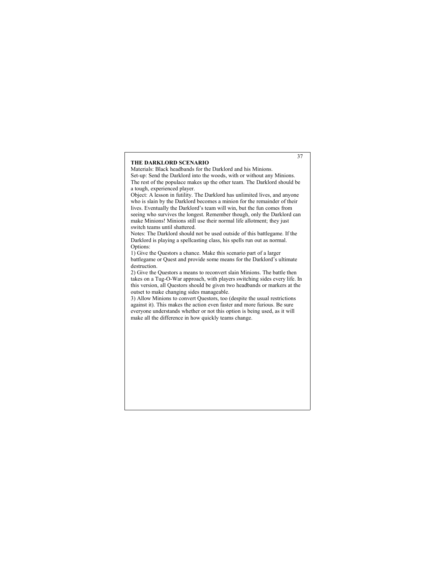#### **THE DARKLORD SCENARIO**

Materials: Black headbands for the Darklord and his Minions. Set-up: Send the Darklord into the woods, with or without any Minions. The rest of the populace makes up the other team. The Darklord should be a tough, experienced player.

Object: A lesson in futility. The Darklord has unlimited lives, and anyone who is slain by the Darklord becomes a minion for the remainder of their lives. Eventually the Darklord's team will win, but the fun comes from seeing who survives the longest. Remember though, only the Darklord can make Minions! Minions still use their normal life allotment; they just switch teams until shattered.

Notes: The Darklord should not be used outside of this battlegame. If the Darklord is playing a spellcasting class, his spells run out as normal. Options:

1) Give the Questors a chance. Make this scenario part of a larger battlegame or Quest and provide some means for the Darklord's ultimate destruction.

2) Give the Questors a means to reconvert slain Minions. The battle then takes on a Tug-O-War approach, with players switching sides every life. In this version, all Questors should be given two headbands or markers at the outset to make changing sides manageable.

3) Allow Minions to convert Questors, too (despite the usual restrictions against it). This makes the action even faster and more furious. Be sure everyone understands whether or not this option is being used, as it will make all the difference in how quickly teams change.

37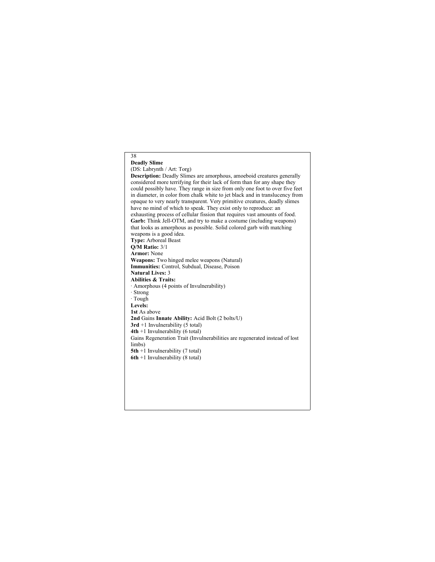#### 38 **Deadly Slime**

(DS: Labrynth / Art: Torg)

**Description:** Deadly Slimes are amorphous, amoeboid creatures generally considered more terrifying for their lack of form than for any shape they could possibly have. They range in size from only one foot to over five feet in diameter, in color from chalk white to jet black and in translucency from opaque to very nearly transparent. Very primitive creatures, deadly slimes have no mind of which to speak. They exist only to reproduce: an exhausting process of cellular fission that requires vast amounts of food. **Garb:** Think Jell-OTM, and try to make a costume (including weapons) that looks as amorphous as possible. Solid colored garb with matching weapons is a good idea. **Type:** Arboreal Beast **Q/M Ratio:** 3/1 **Armor:** None **Weapons:** Two hinged melee weapons (Natural) **Immunities:** Control, Subdual, Disease, Poison **Natural Lives:** 3 **Abilities & Traits:** · Amorphous (4 points of Invulnerability) · Strong · Tough **Levels: 1st** As above **2nd** Gains **Innate Ability:** Acid Bolt (2 bolts/U)  $3rd +1$  Invulnerability (5 total) **4th** +1 Invulnerability (6 total) Gains Regeneration Trait (Invulnerabilities are regenerated instead of lost limbs) **5th** +1 Invulnerability (7 total) **6th** +1 Invulnerability (8 total)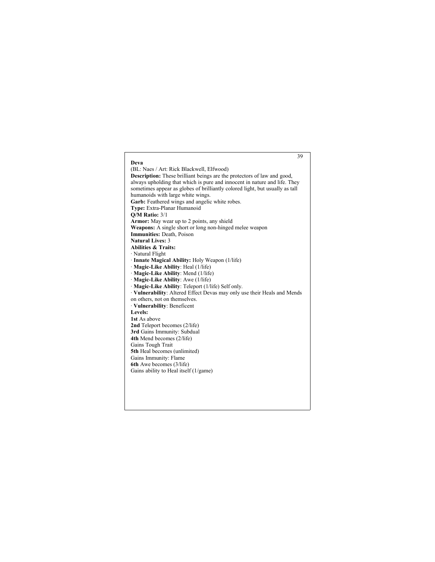### 39 **Deva** (BL: Naes / Art: Rick Blackwell, Elfwood) **Description:** These brilliant beings are the protectors of law and good, always upholding that which is pure and innocent in nature and life. They sometimes appear as globes of brilliantly colored light, but usually as tall humanoids with large white wings. Garb: Feathered wings and angelic white robes. **Type:** Extra-Planar Humanoid **Q/M Ratio:** 3/1 **Armor:** May wear up to 2 points, any shield **Weapons:** A single short or long non-hinged melee weapon **Immunities:** Death, Poison **Natural Lives:** 3 **Abilities & Traits:** · Natural Flight · **Innate Magical Ability:** Holy Weapon (1/life) · **Magic-Like Ability**: Heal (1/life) · **Magic-Like Ability**: Mend (1/life) · **Magic-Like Ability**: Awe (1/life) · **Magic-Like Ability**: Teleport (1/life) Self only. · **Vulnerability**: Altered Effect Devas may only use their Heals and Mends on others, not on themselves. · **Vulnerability**: Beneficent **Levels: 1st** As above **2nd** Teleport becomes (2/life) **3rd** Gains Immunity: Subdual **4th** Mend becomes (2/life) Gains Tough Trait **5th** Heal becomes (unlimited) Gains Immunity: Flame **6th** Awe becomes (3/life) Gains ability to Heal itself (1/game)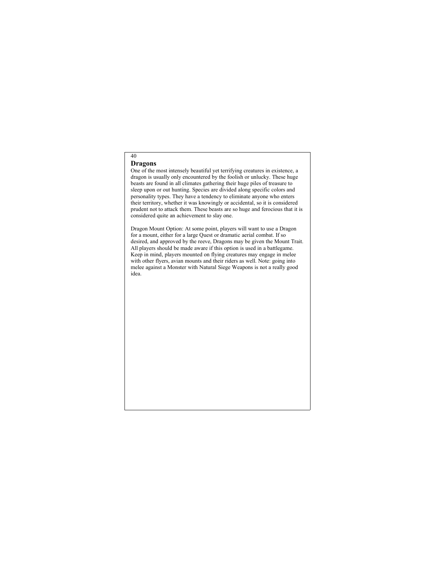## **Dragons**

40

One of the most intensely beautiful yet terrifying creatures in existence, a dragon is usually only encountered by the foolish or unlucky. These huge beasts are found in all climates gathering their huge piles of treasure to sleep upon or out hunting. Species are divided along specific colors and personality types. They have a tendency to eliminate anyone who enters their territory, whether it was knowingly or accidental, so it is considered prudent not to attack them. These beasts are so huge and ferocious that it is considered quite an achievement to slay one.

Dragon Mount Option: At some point, players will want to use a Dragon for a mount, either for a large Quest or dramatic aerial combat. If so desired, and approved by the reeve, Dragons may be given the Mount Trait. All players should be made aware if this option is used in a battlegame. Keep in mind, players mounted on flying creatures may engage in melee with other flyers, avian mounts and their riders as well. Note: going into melee against a Monster with Natural Siege Weapons is not a really good idea.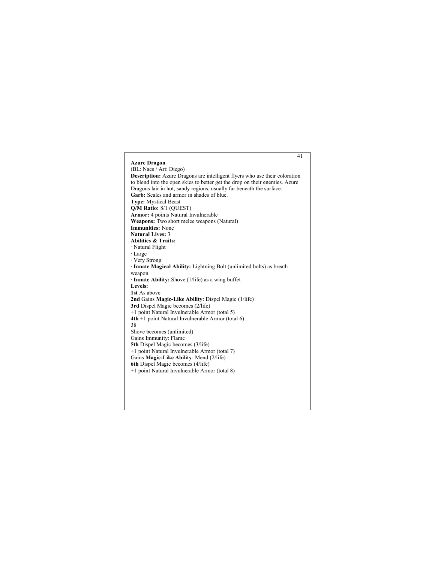### 41 **Azure Dragon** (BL: Naes / Art: Diego) **Description:** Azure Dragons are intelligent flyers who use their coloration to blend into the open skies to better get the drop on their enemies. Azure Dragons lair in hot, sandy regions, usually far beneath the surface. **Garb:** Scales and armor in shades of blue. **Type:** Mystical Beast **Q/M Ratio:** 8/1 (QUEST) **Armor:** 4 points Natural Invulnerable **Weapons:** Two short melee weapons (Natural) **Immunities:** None **Natural Lives:** 3 **Abilities & Traits:** · Natural Flight · Large · Very Strong · **Innate Magical Ability:** Lightning Bolt (unlimited bolts) as breath weapon · **Innate Ability:** Shove (1/life) as a wing buffet **Levels: 1st** As above **2nd** Gains **Magic-Like Ability**: Dispel Magic (1/life) **3rd** Dispel Magic becomes (2/life) +1 point Natural Invulnerable Armor (total 5) **4th** +1 point Natural Invulnerable Armor (total 6) 38 Shove becomes (unlimited) Gains Immunity: Flame **5th** Dispel Magic becomes (3/life) +1 point Natural Invulnerable Armor (total 7) Gains **Magic-Like Ability**: Mend (2/life) **6th** Dispel Magic becomes (4/life) +1 point Natural Invulnerable Armor (total 8)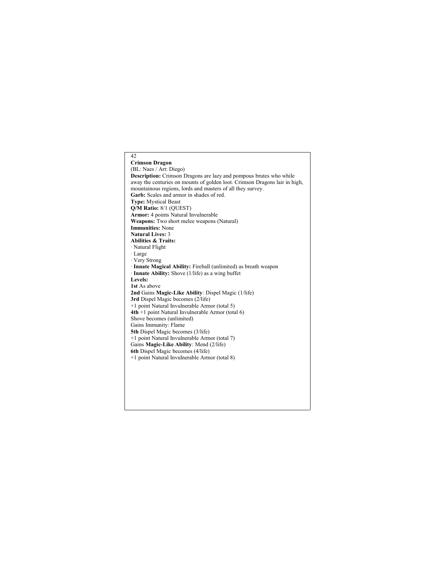## 42 **Crimson Dragon** (BL: Naes / Art: Diego) **Description:** Crimson Dragons are lazy and pompous brutes who while away the centuries on mounts of golden loot. Crimson Dragons lair in high, mountainous regions, lords and masters of all they survey. **Garb:** Scales and armor in shades of red. **Type:** Mystical Beast **Q/M Ratio:** 8/1 (QUEST) **Armor:** 4 points Natural Invulnerable **Weapons:** Two short melee weapons (Natural) **Immunities:** None **Natural Lives:** 3 **Abilities & Traits:** · Natural Flight · Large · Very Strong · **Innate Magical Ability:** Fireball (unlimited) as breath weapon · **Innate Ability:** Shove (1/life) as a wing buffet **Levels: 1st** As above **2nd** Gains **Magic-Like Ability**: Dispel Magic (1/life) **3rd** Dispel Magic becomes (2/life) +1 point Natural Invulnerable Armor (total 5) **4th** +1 point Natural Invulnerable Armor (total 6) Shove becomes (unlimited) Gains Immunity: Flame **5th** Dispel Magic becomes (3/life) +1 point Natural Invulnerable Armor (total 7) Gains **Magic-Like Ability**: Mend (2/life) **6th** Dispel Magic becomes (4/life) +1 point Natural Invulnerable Armor (total 8)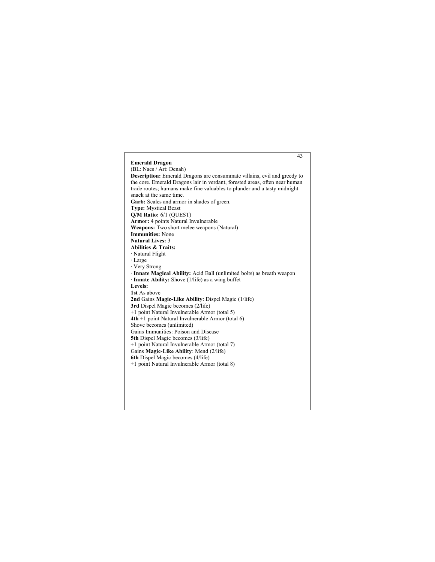### 43 **Emerald Dragon** (BL: Naes / Art: Denah) **Description:** Emerald Dragons are consummate villains, evil and greedy to the core. Emerald Dragons lair in verdant, forested areas, often near human trade routes; humans make fine valuables to plunder and a tasty midnight snack at the same time. **Garb:** Scales and armor in shades of green. **Type:** Mystical Beast **Q/M Ratio:** 6/1 (QUEST) **Armor:** 4 points Natural Invulnerable **Weapons:** Two short melee weapons (Natural) **Immunities:** None **Natural Lives:** 3 **Abilities & Traits:** · Natural Flight · Large · Very Strong · **Innate Magical Ability:** Acid Ball (unlimited bolts) as breath weapon · **Innate Ability:** Shove (1/life) as a wing buffet **Levels: 1st** As above **2nd** Gains **Magic-Like Ability**: Dispel Magic (1/life) **3rd** Dispel Magic becomes (2/life) +1 point Natural Invulnerable Armor (total 5) **4th** +1 point Natural Invulnerable Armor (total 6) Shove becomes (unlimited) Gains Immunities: Poison and Disease **5th** Dispel Magic becomes (3/life) +1 point Natural Invulnerable Armor (total 7) Gains **Magic-Like Ability**: Mend (2/life) **6th** Dispel Magic becomes (4/life) +1 point Natural Invulnerable Armor (total 8)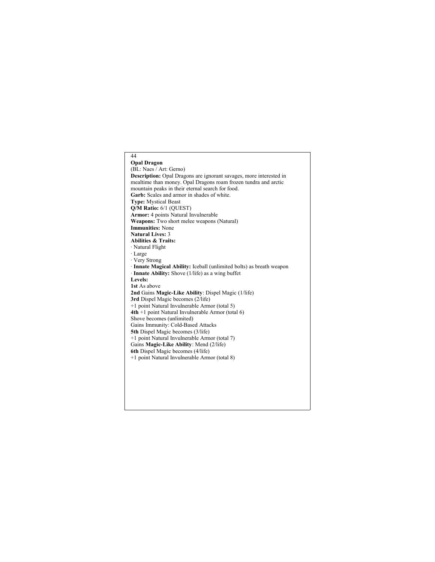### 44 **Opal Dragon** (BL: Naes / Art: Gerno) **Description:** Opal Dragons are ignorant savages, more interested in mealtime than money. Opal Dragons roam frozen tundra and arctic mountain peaks in their eternal search for food. **Garb:** Scales and armor in shades of white. **Type:** Mystical Beast **Q/M Ratio:** 6/1 (QUEST) **Armor:** 4 points Natural Invulnerable **Weapons:** Two short melee weapons (Natural) **Immunities:** None **Natural Lives:** 3 **Abilities & Traits:** · Natural Flight · Large · Very Strong · **Innate Magical Ability:** Iceball (unlimited bolts) as breath weapon · **Innate Ability:** Shove (1/life) as a wing buffet **Levels: 1st** As above **2nd** Gains **Magic-Like Ability**: Dispel Magic (1/life) **3rd** Dispel Magic becomes (2/life) +1 point Natural Invulnerable Armor (total 5) **4th** +1 point Natural Invulnerable Armor (total 6) Shove becomes (unlimited) Gains Immunity: Cold-Based Attacks **5th** Dispel Magic becomes (3/life) +1 point Natural Invulnerable Armor (total 7) Gains **Magic-Like Ability**: Mend (2/life) **6th** Dispel Magic becomes (4/life) +1 point Natural Invulnerable Armor (total 8)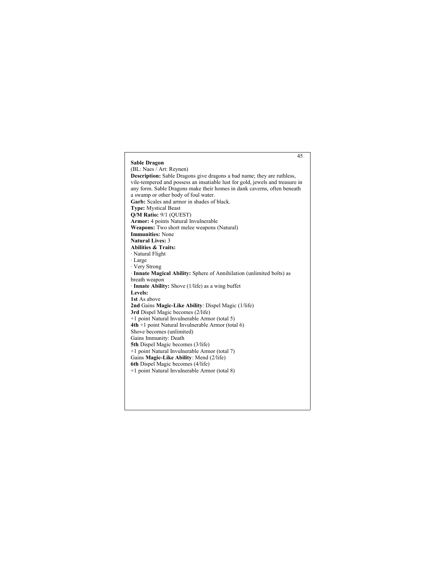### 45 **Sable Dragon** (BL: Naes / Art: Reynen) **Description:** Sable Dragons give dragons a bad name; they are ruthless, vile-tempered and possess an insatiable lust for gold, jewels and treasure in any form. Sable Dragons make their homes in dank caverns, often beneath a swamp or other body of foul water. **Garb:** Scales and armor in shades of black. **Type:** Mystical Beast **Q/M Ratio:** 9/1 (QUEST) **Armor:** 4 points Natural Invulnerable **Weapons:** Two short melee weapons (Natural) **Immunities:** None **Natural Lives:** 3 **Abilities & Traits:** · Natural Flight · Large · Very Strong · **Innate Magical Ability:** Sphere of Annihilation (unlimited bolts) as breath weapon · **Innate Ability:** Shove (1/life) as a wing buffet **Levels: 1st** As above **2nd** Gains **Magic-Like Ability**: Dispel Magic (1/life) **3rd** Dispel Magic becomes (2/life) +1 point Natural Invulnerable Armor (total 5) **4th** +1 point Natural Invulnerable Armor (total 6) Shove becomes (unlimited) Gains Immunity: Death **5th** Dispel Magic becomes (3/life) +1 point Natural Invulnerable Armor (total 7) Gains **Magic-Like Ability**: Mend (2/life) **6th** Dispel Magic becomes (4/life) +1 point Natural Invulnerable Armor (total 8)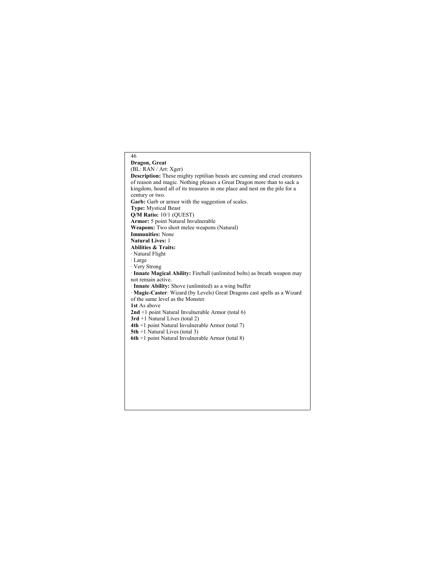## 46 **Dragon, Great** (BL: RAN / Art: Xger) **Description:** These mighty reptilian beasts are cunning and cruel creatures of reason and magic. Nothing pleases a Great Dragon more than to sack a kingdom, hoard all of its treasures in one place and nest on the pile for a century or two. Garb: Garb or armor with the suggestion of scales. **Type:** Mystical Beast **Q/M Ratio:** 10/1 (QUEST) **Armor:** 5 point Natural Invulnerable **Weapons:** Two short melee weapons (Natural) **Immunities:** None **Natural Lives:** 1 **Abilities & Traits:** · Natural Flight · Large · Very Strong · **Innate Magical Ability:** Fireball (unlimited bolts) as breath weapon may not remain active. · **Innate Ability:** Shove (unlimited) as a wing buffet · **Magic-Caster**: Wizard (by Levels) Great Dragons cast spells as a Wizard of the same level as the Monster. **1st** As above **2nd** +1 point Natural Invulnerable Armor (total 6) **3rd** +1 Natural Lives (total 2) **4th** +1 point Natural Invulnerable Armor (total 7) **5th** +1 Natural Lives (total 3) **6th** +1 point Natural Invulnerable Armor (total 8)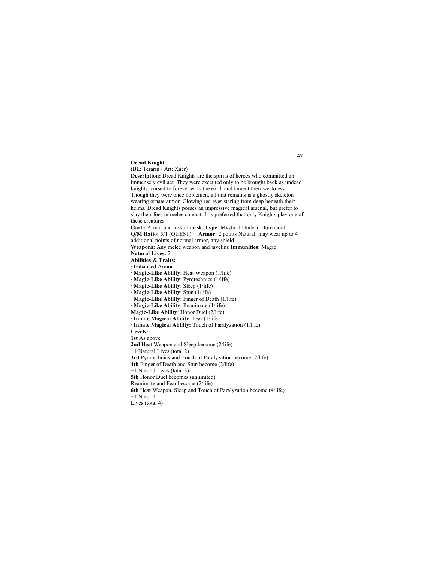#### 47 **Dread Knight** (BL: Terarin / Art: Xger) **Description:** Dread Knights are the spirits of heroes who committed an immensely evil act. They were executed only to be brought back as undead knights, cursed to forever walk the earth and lament their weakness. Though they were once noblemen, all that remains is a ghostly skeleton wearing ornate armor. Glowing red eyes staring from deep beneath their helms. Dread Knights posses an impressive magical arsenal, but prefer to slay their foes in melee combat. It is preferred that only Knights play one of these creatures. **Garb:** Armor and a skull mask. **Type:** Mystical Undead Humanoid **Q/M Ratio:** 5/1 (QUEST) **Armor:** 2 points Natural, may wear up to 4 additional points of normal armor, any shield **Weapons:** Any melee weapon and javelins **Immunities:** Magic **Natural Lives:** 2 **Abilities & Traits:** · Enhanced Armor · **Magic-Like Ability**: Heat Weapon (1/life) · **Magic-Like Ability**: Pyrotechnics (1/life) · **Magic-Like Ability**: Sleep (1/life) · **Magic-Like Ability**: Stun (1/life) · **Magic-Like Ability**: Finger of Death (1/life) · **Magic-Like Ability**: Reanimate (1/life) **Magic-Like Ability**: Honor Duel (2/life) · **Innate Magical Ability:** Fear (1/life) · **Innate Magical Ability:** Touch of Paralyzation (1/life) **Levels: 1st** As above **2nd** Heat Weapon and Sleep become (2/life) +1 Natural Lives (total 2) **3rd** Pyrotechnics and Touch of Paralyzation become (2/life) **4th** Finger of Death and Stun become (2/life) +1 Natural Lives (total 3) **5th** Honor Duel becomes (unlimited) Reanimate and Fear become (2/life) **6th** Heat Weapon, Sleep and Touch of Paralyzation become (4/life) +1 Natural Lives (total 4)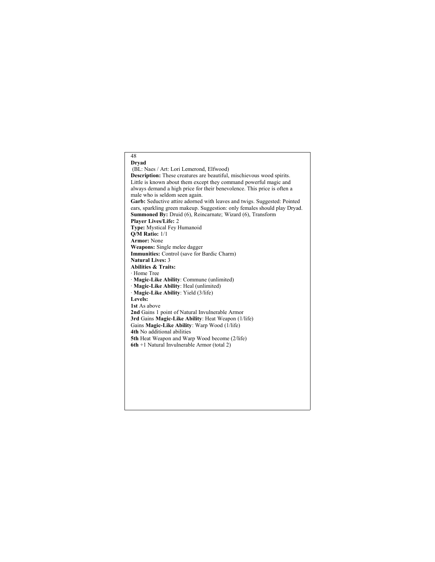## **Dryad** (BL: Naes / Art: Lori Lemerond, Elfwood) **Description:** These creatures are beautiful, mischievous wood spirits. Little is known about them except they command powerful magic and always demand a high price for their benevolence. This price is often a male who is seldom seen again. **Garb:** Seductive attire adorned with leaves and twigs. Suggested: Pointed ears, sparkling green makeup. Suggestion: only females should play Dryad. **Summoned By:** Druid (6), Reincarnate; Wizard (6), Transform **Player Lives/Life:** 2 **Type:** Mystical Fey Humanoid **Q/M Ratio:** 1/1 **Armor:** None **Weapons:** Single melee dagger **Immunities:** Control (save for Bardic Charm) **Natural Lives:** 3 **Abilities & Traits:** · Home Tree · **Magic-Like Ability**: Commune (unlimited) · **Magic-Like Ability**: Heal (unlimited) · **Magic-Like Ability**: Yield (3/life) **Levels: 1st** As above **2nd** Gains 1 point of Natural Invulnerable Armor **3rd** Gains **Magic-Like Ability**: Heat Weapon (1/life) Gains **Magic-Like Ability**: Warp Wood (1/life) **4th** No additional abilities **5th** Heat Weapon and Warp Wood become (2/life) **6th** +1 Natural Invulnerable Armor (total 2)

48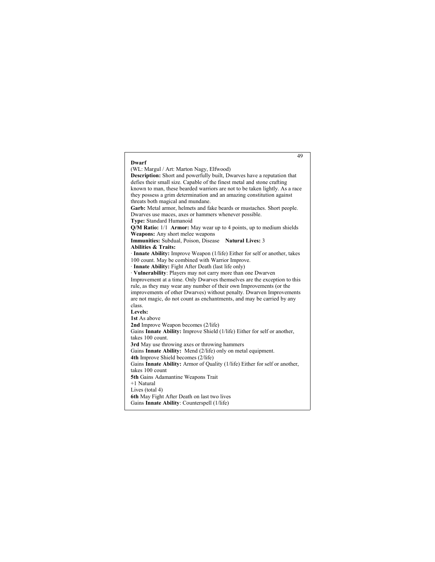| 49                                                                          |
|-----------------------------------------------------------------------------|
| Dwarf                                                                       |
| (WL: Margul / Art: Marton Nagy, Elfwood)                                    |
| Description: Short and powerfully built, Dwarves have a reputation that     |
| defies their small size. Capable of the finest metal and stone crafting     |
| known to man, these bearded warriors are not to be taken lightly. As a race |
| they possess a grim determination and an amazing constitution against       |
| threats both magical and mundane.                                           |
| Garb: Metal armor, helmets and fake beards or mustaches. Short people.      |
| Dwarves use maces, axes or hammers whenever possible.                       |
| Type: Standard Humanoid                                                     |
| Q/M Ratio: 1/1 Armor: May wear up to 4 points, up to medium shields         |
| Weapons: Any short melee weapons                                            |
| Immunities: Subdual, Poison, Disease<br>Natural Lives: 3                    |
| <b>Abilities &amp; Traits:</b>                                              |
| · Innate Ability: Improve Weapon (1/life) Either for self or another, takes |
| 100 count. May be combined with Warrior Improve.                            |
| · Innate Ability: Fight After Death (last life only)                        |
| · Vulnerability: Players may not carry more than one Dwarven                |
| Improvement at a time. Only Dwarves themselves are the exception to this    |
| rule, as they may wear any number of their own Improvements (or the         |
| improvements of other Dwarves) without penalty. Dwarven Improvements        |
| are not magic, do not count as enchantments, and may be carried by any      |
| class.                                                                      |
| Levels:                                                                     |
| 1st As above                                                                |
| <b>2nd</b> Improve Weapon becomes (2/life)                                  |
| Gains Innate Ability: Improve Shield (1/life) Either for self or another,   |
| takes 100 count.                                                            |
| 3rd May use throwing axes or throwing hammers                               |
| Gains Innate Ability: Mend (2/life) only on metal equipment.                |
| 4th Improve Shield becomes (2/life)                                         |
| Gains Innate Ability: Armor of Quality (1/life) Either for self or another, |
| takes 100 count                                                             |
| 5th Gains Adamantine Weapons Trait                                          |
| +1 Natural                                                                  |
| Lives (total 4)                                                             |
| 6th May Fight After Death on last two lives                                 |
| Gains Innate Ability: Counterspell (1/life)                                 |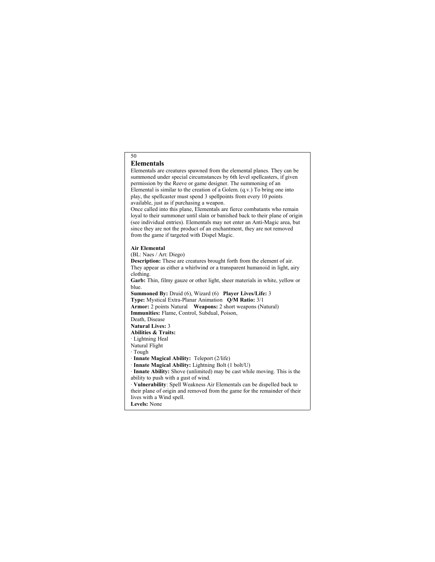## **Elementals**

50

Elementals are creatures spawned from the elemental planes. They can be summoned under special circumstances by 6th level spellcasters, if given permission by the Reeve or game designer. The summoning of an Elemental is similar to the creation of a Golem. (q.v.) To bring one into play, the spellcaster must spend 3 spellpoints from every 10 points available, just as if purchasing a weapon.

Once called into this plane, Elementals are fierce combatants who remain loyal to their summoner until slain or banished back to their plane of origin (see individual entries). Elementals may not enter an Anti-Magic area, but since they are not the product of an enchantment, they are not removed from the game if targeted with Dispel Magic.

#### **Air Elemental**

(BL: Naes / Art: Diego)

**Description:** These are creatures brought forth from the element of air. They appear as either a whirlwind or a transparent humanoid in light, airy clothing.

**Garb:** Thin, filmy gauze or other light, sheer materials in white, yellow or blue.

**Summoned By:** Druid (6), Wizard (6) **Player Lives/Life:** 3 **Type:** Mystical Extra-Planar Animation **Q/M Ratio:** 3/1

**Armor:** 2 points Natural **Weapons:** 2 short weapons (Natural)

**Immunities:** Flame, Control, Subdual, Poison,

Death, Disease

**Natural Lives:** 3

**Abilities & Traits:**

- · Lightning Heal Natural Flight
- 
- · Tough

· **Innate Magical Ability:** Teleport (2/life)

· **Innate Magical Ability:** Lightning Bolt (1 bolt/U)

· **Innate Ability:** Shove (unlimited) may be cast while moving. This is the ability to push with a gust of wind.

· **Vulnerability**: Spell Weakness Air Elementals can be dispelled back to their plane of origin and removed from the game for the remainder of their lives with a Wind spell. **Levels:** None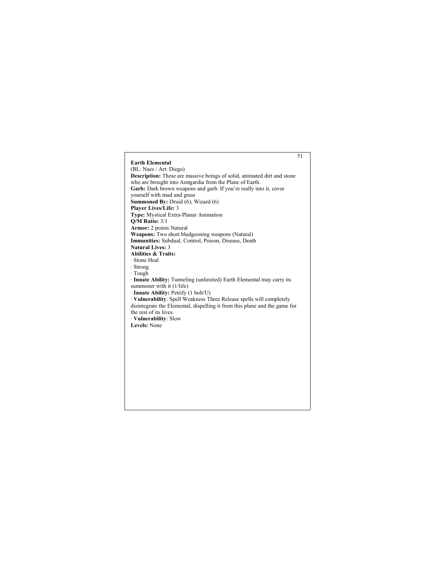## 51 **Earth Elemental** (BL: Naes / Art: Diego) **Description:** These are massive beings of solid, animated dirt and stone who are brought into Amtgardia from the Plane of Earth. Garb: Dark brown weapons and garb. If you're really into it, cover yourself with mud and grass **Summoned By:** Druid (6), Wizard (6) **Player Lives/Life:** 3 **Type:** Mystical Extra-Planar Animation **Q/M Ratio:** 3/1 **Armor:** 2 points Natural **Weapons:** Two short bludgeoning weapons (Natural) **Immunities:** Subdual, Control, Poison, Disease, Death **Natural Lives:** 3 **Abilities & Traits:** · Stone Heal · Strong · Tough · **Innate Ability:** Tunneling (unlimited) Earth Elemental may carry its summoner with it (1/life) · **Innate Ability:** Petrify (1 bolt/U) · **Vulnerability**: Spell Weakness Three Release spells will completely disintegrate the Elemental, dispelling it from this plane and the game for the rest of its lives. · **Vulnerability**: Slow **Levels:** None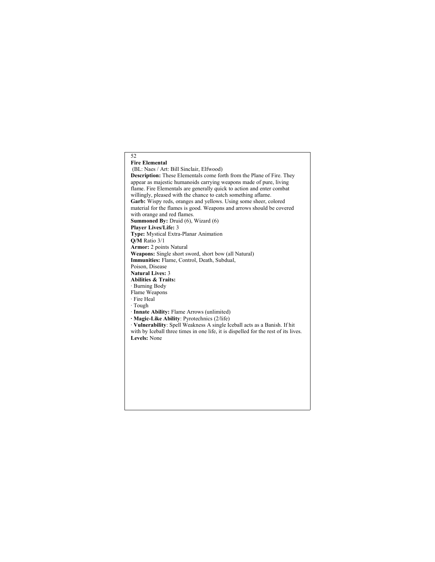## 52 **Fire Elemental** (BL: Naes / Art: Bill Sinclair, Elfwood) **Description:** These Elementals come forth from the Plane of Fire. They appear as majestic humanoids carrying weapons made of pure, living flame. Fire Elementals are generally quick to action and enter combat willingly, pleased with the chance to catch something aflame. Garb: Wispy reds, oranges and yellows. Using some sheer, colored material for the flames is good. Weapons and arrows should be covered with orange and red flames. **Summoned By:** Druid (6), Wizard (6) **Player Lives/Life:** 3 **Type:** Mystical Extra-Planar Animation **Q/M** Ratio 3/1 **Armor:** 2 points Natural **Weapons:** Single short sword, short bow (all Natural) **Immunities:** Flame, Control, Death, Subdual, Poison, Disease **Natural Lives:** 3 **Abilities & Traits:** · Burning Body Flame Weapons · Fire Heal · Tough · **Innate Ability:** Flame Arrows (unlimited) **· Magic-Like Ability**: Pyrotechnics (2/life) · **Vulnerability**: Spell Weakness A single Iceball acts as a Banish. If hit with by Iceball three times in one life, it is dispelled for the rest of its lives. **Levels:** None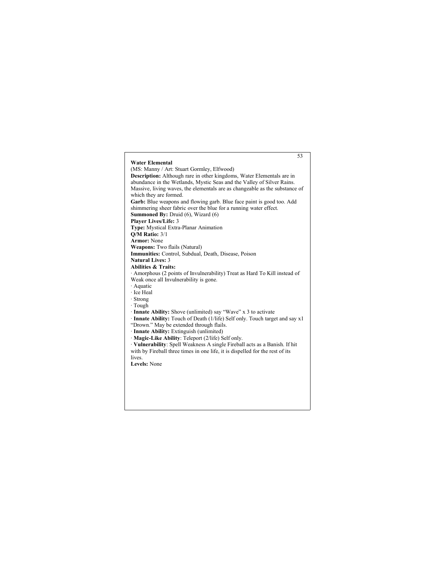### 53 **Water Elemental** (MS: Manny / Art: Stuart Gormley, Elfwood) **Description:** Although rare in other kingdoms, Water Elementals are in abundance in the Wetlands, Mystic Seas and the Valley of Silver Rains. Massive, living waves, the elementals are as changeable as the substance of which they are formed. **Garb:** Blue weapons and flowing garb. Blue face paint is good too. Add shimmering sheer fabric over the blue for a running water effect. **Summoned By:** Druid (6), Wizard (6) **Player Lives/Life:** 3 **Type:** Mystical Extra-Planar Animation **Q/M Ratio:** 3/1 **Armor:** None **Weapons:** Two flails (Natural) **Immunities:** Control, Subdual, Death, Disease, Poison **Natural Lives:** 3 **Abilities & Traits:** · Amorphous (2 points of Invulnerability) Treat as Hard To Kill instead of Weak once all Invulnerability is gone. · Aquatic · Ice Heal · Strong · Tough · **Innate Ability:** Shove (unlimited) say "Wave" x 3 to activate · **Innate Ability:** Touch of Death (1/life) Self only. Touch target and say x1 "Drown." May be extended through flails. · **Innate Ability:** Extinguish (unlimited) · **Magic-Like Ability**: Teleport (2/life) Self only. · **Vulnerability**: Spell Weakness A single Fireball acts as a Banish. If hit with by Fireball three times in one life, it is dispelled for the rest of its lives. **Levels:** None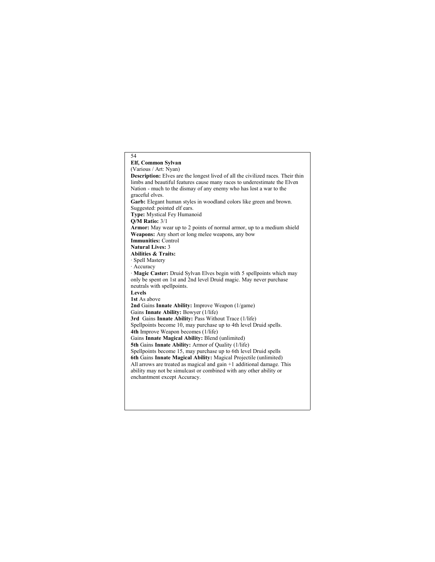54 **Elf, Common Sylvan** (Various / Art: Nyan) **Description:** Elves are the longest lived of all the civilized races. Their thin limbs and beautiful features cause many races to underestimate the Elven Nation - much to the dismay of any enemy who has lost a war to the graceful elves. **Garb:** Elegant human styles in woodland colors like green and brown. Suggested: pointed elf ears. **Type:** Mystical Fey Humanoid **Q/M Ratio:** 3/1 **Armor:** May wear up to 2 points of normal armor, up to a medium shield **Weapons:** Any short or long melee weapons, any bow **Immunities:** Control **Natural Lives:** 3 **Abilities & Traits:** · Spell Mastery · Accuracy · **Magic Caster:** Druid Sylvan Elves begin with 5 spellpoints which may only be spent on 1st and 2nd level Druid magic. May never purchase neutrals with spellpoints. **Levels 1st** As above **2nd** Gains **Innate Ability:** Improve Weapon (1/game) Gains **Innate Ability:** Bowyer (1/life) **3rd** Gains **Innate Ability:** Pass Without Trace (1/life) Spellpoints become 10, may purchase up to 4th level Druid spells. **4th** Improve Weapon becomes (1/life) Gains **Innate Magical Ability:** Blend (unlimited) **5th** Gains **Innate Ability:** Armor of Quality (1/life) Spellpoints become 15, may purchase up to 6th level Druid spells **6th** Gains **Innate Magical Ability:** Magical Projectile (unlimited) All arrows are treated as magical and gain +1 additional damage. This ability may not be simulcast or combined with any other ability or enchantment except Accuracy.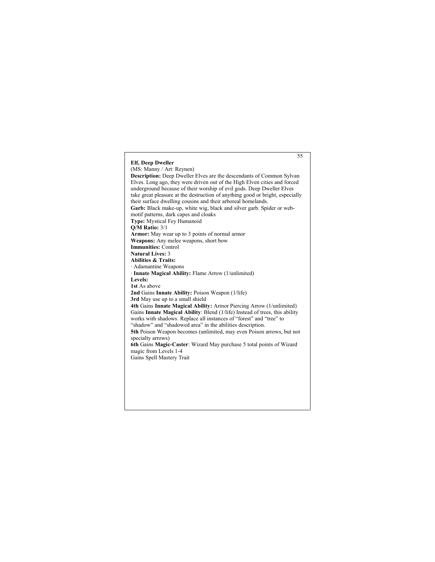## **Elf, Deep Dweller** (MS: Manny / Art: Reynen)

**Description:** Deep Dweller Elves are the descendants of Common Sylvan Elves. Long ago, they were driven out of the High Elven cities and forced underground because of their worship of evil gods. Deep Dweller Elves take great pleasure at the destruction of anything good or bright, especially their surface dwelling cousins and their arboreal homelands. **Garb:** Black make-up, white wig, black and silver garb. Spider or webmotif patterns, dark capes and cloaks **Type:** Mystical Fey Humanoid **Q/M Ratio:** 3/1 **Armor:** May wear up to 3 points of normal armor **Weapons:** Any melee weapons, short bow **Immunities:** Control **Natural Lives:** 3 **Abilities & Traits:** · Adamantine Weapons · **Innate Magical Ability:** Flame Arrow (1/unlimited) **Levels: 1st** As above **2nd** Gains **Innate Ability:** Poison Weapon (1/life) **3rd** May use up to a small shield **4th** Gains **Innate Magical Ability:** Armor Piercing Arrow (1/unlimited) Gains **Innate Magical Ability**: Blend (1/life) Instead of trees, this ability works with shadows. Replace all instances of "forest" and "tree" to "shadow" and "shadowed area" in the abilities description. **5th** Poison Weapon becomes (unlimited, may even Poison arrows, but not specialty arrows) **6th** Gains **Magic-Caster**: Wizard May purchase 5 total points of Wizard magic from Levels 1-4 Gains Spell Mastery Trait

55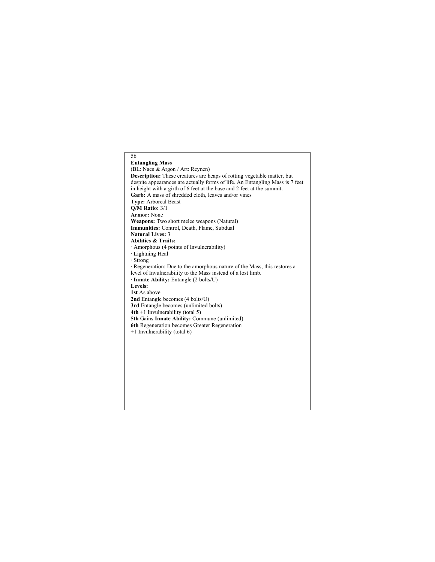## 56 **Entangling Mass** (BL: Naes & Argon / Art: Reynen) **Description:** These creatures are heaps of rotting vegetable matter, but despite appearances are actually forms of life. An Entangling Mass is 7 feet in height with a girth of 6 feet at the base and 2 feet at the summit. Garb: A mass of shredded cloth, leaves and/or vines **Type:** Arboreal Beast **Q/M Ratio:** 3/1 **Armor:** None **Weapons:** Two short melee weapons (Natural) **Immunities:** Control, Death, Flame, Subdual **Natural Lives:** 3 **Abilities & Traits:** · Amorphous (4 points of Invulnerability) · Lightning Heal · Strong · Regeneration: Due to the amorphous nature of the Mass, this restores a level of Invulnerability to the Mass instead of a lost limb. · **Innate Ability:** Entangle (2 bolts/U) **Levels: 1st** As above **2nd** Entangle becomes (4 bolts/U) **3rd** Entangle becomes (unlimited bolts) **4th** +1 Invulnerability (total 5) **5th** Gains **Innate Ability:** Commune (unlimited) **6th** Regeneration becomes Greater Regeneration +1 Invulnerability (total 6)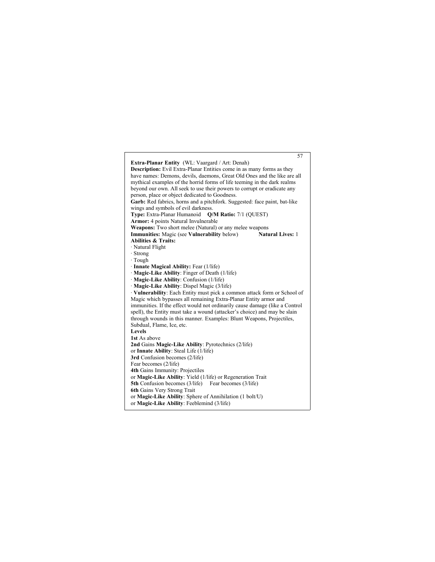57 **Extra-Planar Entity** (WL: Vaargard / Art: Denah) **Description:** Evil Extra-Planar Entities come in as many forms as they have names: Demons, devils, daemons, Great Old Ones and the like are all mythical examples of the horrid forms of life teeming in the dark realms beyond our own. All seek to use their powers to corrupt or eradicate any person, place or object dedicated to Goodness. **Garb:** Red fabrics, horns and a pitchfork. Suggested: face paint, bat-like wings and symbols of evil darkness. **Type:** Extra-Planar Humanoid **Q/M Ratio:** 7/1 (QUEST) **Armor:** 4 points Natural Invulnerable **Weapons:** Two short melee (Natural) or any melee weapons<br>Immunities: Magic (see Vulnerability below) Natural Lives: 1 **Immunities:** Magic (see **Vulnerability** below) **Abilities & Traits:** · Natural Flight · Strong · Tough · **Innate Magical Ability:** Fear (1/life) · **Magic-Like Ability**: Finger of Death (1/life) · **Magic-Like Ability**: Confusion (1/life) · **Magic-Like Ability**: Dispel Magic (3/life) · **Vulnerability**: Each Entity must pick a common attack form or School of Magic which bypasses all remaining Extra-Planar Entity armor and immunities. If the effect would not ordinarily cause damage (like a Control spell), the Entity must take a wound (attacker's choice) and may be slain through wounds in this manner. Examples: Blunt Weapons, Projectiles, Subdual, Flame, Ice, etc. **Levels 1st** As above **2nd** Gains **Magic-Like Ability**: Pyrotechnics (2/life) or **Innate Ability**: Steal Life (1/life) **3rd** Confusion becomes (2/life) Fear becomes (2/life) **4th** Gains Immunity: Projectiles or **Magic-Like Ability**: Yield (1/life) or Regeneration Trait **5th** Confusion becomes (3/life) Fear becomes (3/life) **6th** Gains Very Strong Trait or **Magic-Like Ability**: Sphere of Annihilation (1 bolt/U) or **Magic-Like Ability**: Feeblemind (3/life)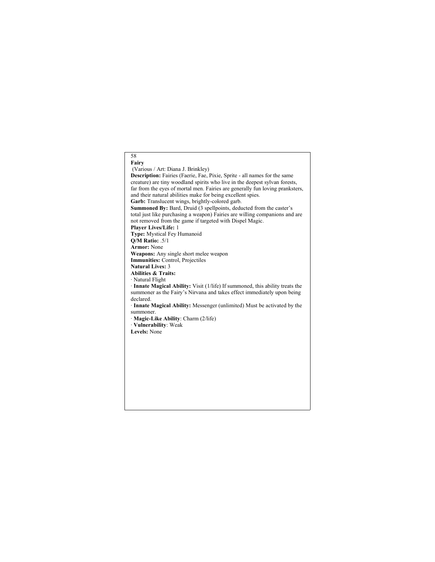## 58 **Fairy** (Various / Art: Diana J. Brinkley) **Description:** Fairies (Faerie, Fae, Pixie, Sprite - all names for the same creature) are tiny woodland spirits who live in the deepest sylvan forests, far from the eyes of mortal men. Fairies are generally fun loving pranksters, and their natural abilities make for being excellent spies. **Garb:** Translucent wings, brightly-colored garb. **Summoned By:** Bard, Druid (3 spellpoints, deducted from the caster's total just like purchasing a weapon) Fairies are willing companions and are not removed from the game if targeted with Dispel Magic. **Player Lives/Life:** 1 **Type:** Mystical Fey Humanoid **Q/M Ratio:** .5/1 **Armor:** None **Weapons:** Any single short melee weapon **Immunities:** Control, Projectiles **Natural Lives:** 3 **Abilities & Traits:** · Natural Flight · **Innate Magical Ability:** Visit (1/life) If summoned, this ability treats the summoner as the Fairy's Nirvana and takes effect immediately upon being declared. · **Innate Magical Ability:** Messenger (unlimited) Must be activated by the summoner. · **Magic-Like Ability**: Charm (2/life) · **Vulnerability**: Weak **Levels:** None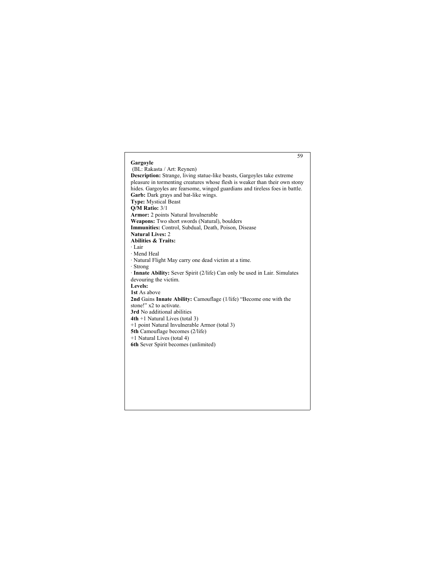## 59 **Gargoyle** (BL: Rakasta / Art: Reynen) **Description:** Strange, living statue-like beasts, Gargoyles take extreme pleasure in tormenting creatures whose flesh is weaker than their own stony hides. Gargoyles are fearsome, winged guardians and tireless foes in battle. **Garb:** Dark grays and bat-like wings. **Type:** Mystical Beast **Q/M Ratio:** 3/1 **Armor:** 2 points Natural Invulnerable **Weapons:** Two short swords (Natural), boulders **Immunities:** Control, Subdual, Death, Poison, Disease **Natural Lives:** 2 **Abilities & Traits:** · Lair · Mend Heal · Natural Flight May carry one dead victim at a time. · Strong · **Innate Ability:** Sever Spirit (2/life) Can only be used in Lair. Simulates devouring the victim. **Levels: 1st** As above **2nd** Gains **Innate Ability:** Camouflage (1/life) "Become one with the stone!" x2 to activate. **3rd** No additional abilities **4th** +1 Natural Lives (total 3) +1 point Natural Invulnerable Armor (total 3) **5th** Camouflage becomes (2/life) +1 Natural Lives (total 4) **6th** Sever Spirit becomes (unlimited)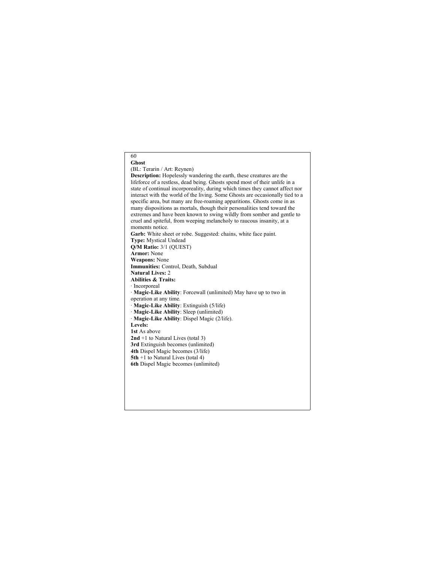#### 60 **Ghost**

#### (BL: Terarin / Art: Reynen)

**Description:** Hopelessly wandering the earth, these creatures are the lifeforce of a restless, dead being. Ghosts spend most of their unlife in a state of continual incorporeality, during which times they cannot affect nor interact with the world of the living. Some Ghosts are occasionally tied to a specific area, but many are free-roaming apparitions. Ghosts come in as many dispositions as mortals, though their personalities tend toward the extremes and have been known to swing wildly from somber and gentle to cruel and spiteful, from weeping melancholy to raucous insanity, at a moments notice. **Garb:** White sheet or robe. Suggested: chains, white face paint. **Type:** Mystical Undead **Q/M Ratio:** 3/1 (QUEST) **Armor:** None **Weapons:** None **Immunities:** Control, Death, Subdual **Natural Lives:** 2 **Abilities & Traits:** · Incorporeal · **Magic-Like Ability**: Forcewall (unlimited) May have up to two in operation at any time. · **Magic-Like Ability**: Extinguish (5/life) · **Magic-Like Ability**: Sleep (unlimited) · **Magic-Like Ability**: Dispel Magic (2/life). **Levels: 1st** As above **2nd** +1 to Natural Lives (total 3) **3rd** Extinguish becomes (unlimited) **4th** Dispel Magic becomes (3/life) **5th** +1 to Natural Lives (total 4) **6th** Dispel Magic becomes (unlimited)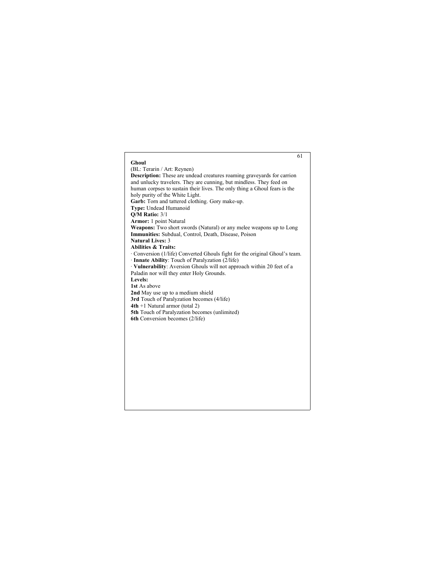## 61 **Ghoul** (BL: Terarin / Art: Reynen) **Description:** These are undead creatures roaming graveyards for carrion and unlucky travelers. They are cunning, but mindless. They feed on human corpses to sustain their lives. The only thing a Ghoul fears is the holy purity of the White Light. **Garb:** Torn and tattered clothing. Gory make-up. **Type:** Undead Humanoid **Q/M Ratio:** 3/1 **Armor:** 1 point Natural **Weapons:** Two short swords (Natural) or any melee weapons up to Long **Immunities:** Subdual, Control, Death, Disease, Poison **Natural Lives:** 3 **Abilities & Traits:** · Conversion (1/life) Converted Ghouls fight for the original Ghoul's team. · **Innate Ability**: Touch of Paralyzation (2/life) · **Vulnerability**: Aversion Ghouls will not approach within 20 feet of a Paladin nor will they enter Holy Grounds. **Levels: 1st** As above **2nd** May use up to a medium shield **3rd** Touch of Paralyzation becomes (4/life) **4th** +1 Natural armor (total 2) **5th** Touch of Paralyzation becomes (unlimited) **6th** Conversion becomes (2/life)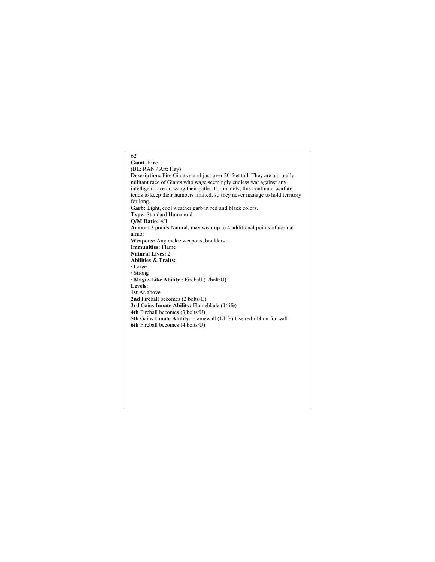## 62 **Giant, Fire** (BL: RAN / Art: Hay) **Description:** Fire Giants stand just over 20 feet tall. They are a brutally militant race of Giants who wage seemingly endless war against any intelligent race crossing their paths. Fortunately, this continual warfare tends to keep their numbers limited, so they never manage to hold territory for long. **Garb:** Light, cool weather garb in red and black colors. **Type:** Standard Humanoid **Q/M Ratio:** 4/1 **Armor:** 3 points Natural, may wear up to 4 additional points of normal armor **Weapons:** Any melee weapons, boulders **Immunities:** Flame **Natural Lives:** 2 **Abilities & Traits:** · Large · Strong · **Magic-Like Ability** : Fireball (1/bolt/U) **Levels: 1st** As above **2nd** Fireball becomes (2 bolts/U) **3rd** Gains **Innate Ability:** Flameblade (1/life) **4th** Fireball becomes (3 bolts/U) **5th** Gains **Innate Ability:** Flamewall (1/life) Use red ribbon for wall. **6th** Fireball becomes (4 bolts/U)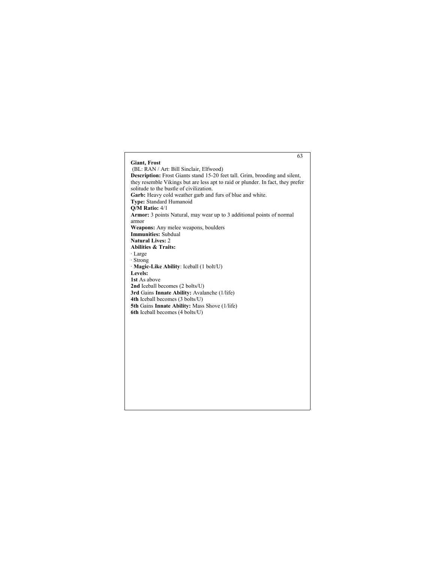# 63 **Giant, Frost** (BL: RAN / Art: Bill Sinclair, Elfwood) **Description:** Frost Giants stand 15-20 feet tall. Grim, brooding and silent, they resemble Vikings but are less apt to raid or plunder. In fact, they prefer solitude to the bustle of civilization. **Garb:** Heavy cold weather garb and furs of blue and white. **Type:** Standard Humanoid **Q/M Ratio:** 4/1 **Armor:** 3 points Natural, may wear up to 3 additional points of normal armor **Weapons:** Any melee weapons, boulders **Immunities:** Subdual **Natural Lives:** 2 **Abilities & Traits:** · Large · Strong · **Magic-Like Ability**: Iceball (1 bolt/U) **Levels: 1st** As above **2nd** Iceball becomes (2 bolts/U) **3rd** Gains **Innate Ability:** Avalanche (1/life) **4th** Iceball becomes (3 bolts/U) **5th** Gains **Innate Ability:** Mass Shove (1/life) **6th** Iceball becomes (4 bolts/U)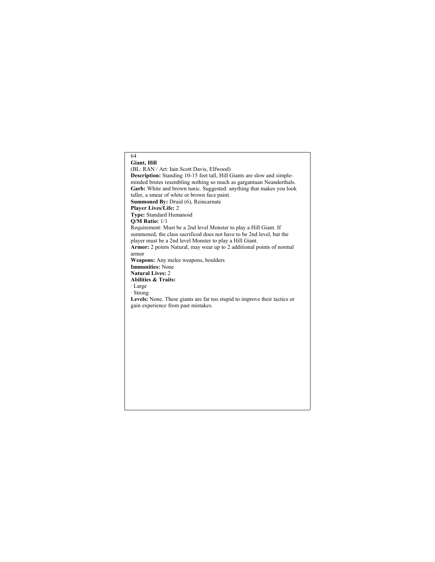# 64 **Giant, Hill** (BL: RAN / Art: Iain Scott Davis, Elfwood) **Description:** Standing 10-15 feet tall, Hill Giants are slow and simpleminded brutes resembling nothing so much as gargantuan Neanderthals. Garb: White and brown tunic. Suggested: anything that makes you look taller, a smear of white or brown face paint. **Summoned By:** Druid (6), Reincarnate **Player Lives/Life:** 2 **Type:** Standard Humanoid **Q/M Ratio:** 1/1 Requirement: Must be a 2nd level Monster to play a Hill Giant. If summoned, the class sacrificed does not have to be 2nd level, but the player must be a 2nd level Monster to play a Hill Giant. **Armor:** 2 points Natural, may wear up to 2 additional points of normal armor **Weapons:** Any melee weapons, boulders **Immunities:** None **Natural Lives:** 2 **Abilities & Traits:** · Large · Strong **Levels:** None. These giants are far too stupid to improve their tactics or gain experience from past mistakes.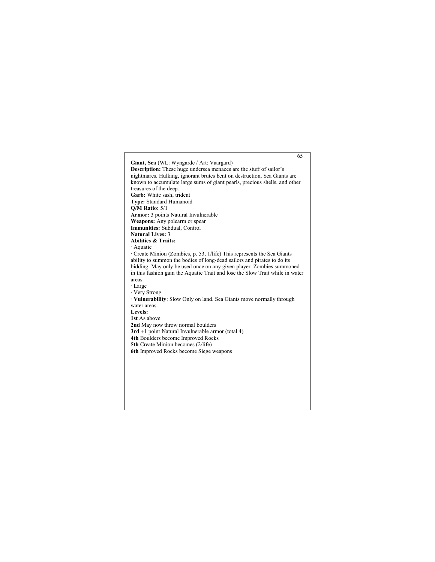65 **Giant, Sea** (WL: Wyngarde / Art: Vaargard) **Description:** These huge undersea menaces are the stuff of sailor's nightmares. Hulking, ignorant brutes bent on destruction, Sea Giants are known to accumulate large sums of giant pearls, precious shells, and other treasures of the deep. **Garb:** White sash, trident **Type:** Standard Humanoid **Q/M Ratio:** 5/1 **Armor:** 3 points Natural Invulnerable **Weapons:** Any polearm or spear **Immunities:** Subdual, Control **Natural Lives:** 3 **Abilities & Traits:** · Aquatic · Create Minion (Zombies, p. 53, 1/life) This represents the Sea Giants ability to summon the bodies of long-dead sailors and pirates to do its bidding. May only be used once on any given player. Zombies summoned in this fashion gain the Aquatic Trait and lose the Slow Trait while in water areas. · Large · Very Strong · **Vulnerability**: Slow Only on land. Sea Giants move normally through water areas. **Levels: 1st** As above **2nd** May now throw normal boulders **3rd** +1 point Natural Invulnerable armor (total 4) **4th** Boulders become Improved Rocks **5th** Create Minion becomes (2/life) **6th** Improved Rocks become Siege weapons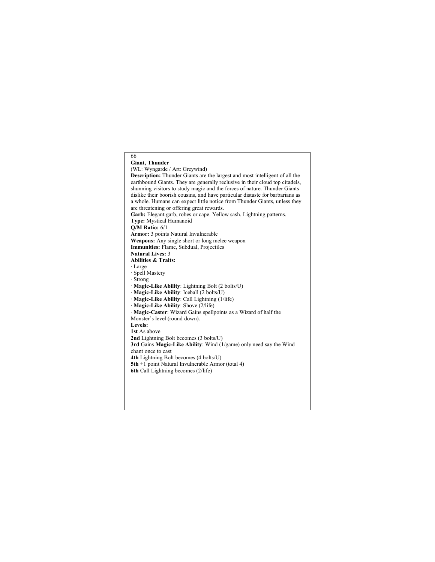66 **Giant, Thunder** (WL: Wyngarde / Art: Greywind) **Description:** Thunder Giants are the largest and most intelligent of all the earthbound Giants. They are generally reclusive in their cloud top citadels, shunning visitors to study magic and the forces of nature. Thunder Giants dislike their boorish cousins, and have particular distaste for barbarians as a whole. Humans can expect little notice from Thunder Giants, unless they are threatening or offering great rewards. **Garb:** Elegant garb, robes or cape. Yellow sash. Lightning patterns. **Type:** Mystical Humanoid **Q/M Ratio:** 6/1 **Armor:** 3 points Natural Invulnerable **Weapons:** Any single short or long melee weapon **Immunities:** Flame, Subdual, Projectiles **Natural Lives:** 3 **Abilities & Traits:** · Large · Spell Mastery · Strong · **Magic-Like Ability**: Lightning Bolt (2 bolts/U) · **Magic-Like Ability**: Iceball (2 bolts/U) · **Magic-Like Ability**: Call Lightning (1/life) · **Magic-Like Ability**: Shove (2/life) · **Magic-Caster**: Wizard Gains spellpoints as a Wizard of half the Monster's level (round down). **Levels: 1st** As above **2nd** Lightning Bolt becomes (3 bolts/U) **3rd** Gains **Magic-Like Ability**: Wind (1/game) only need say the Wind chant once to cast **4th** Lightning Bolt becomes (4 bolts/U) **5th** +1 point Natural Invulnerable Armor (total 4) **6th** Call Lightning becomes (2/life)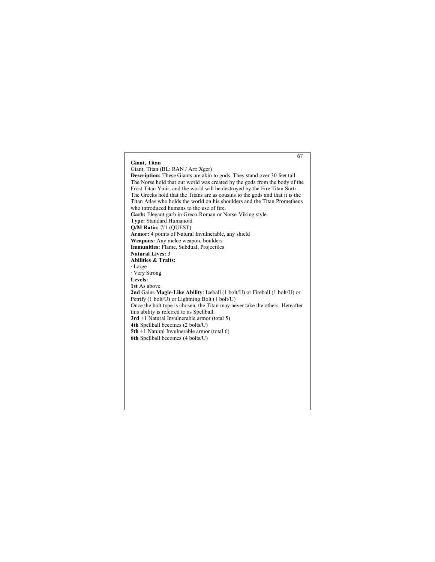## 67 **Giant, Titan** Giant, Titan (BL: RAN / Art: Xger) **Description:** These Giants are akin to gods. They stand over 30 feet tall. The Norse hold that our world was created by the gods from the body of the Frost Titan Ymir, and the world will be destroyed by the Fire Titan Surtr. The Greeks hold that the Titans are as cousins to the gods and that it is the Titan Atlas who holds the world on his shoulders and the Titan Prometheus who introduced humans to the use of fire. **Garb:** Elegant garb in Greco-Roman or Norse-Viking style. **Type:** Standard Humanoid **Q/M Ratio:** 7/1 (QUEST) **Armor:** 4 points of Natural Invulnerable, any shield **Weapons:** Any melee weapon, boulders **Immunities:** Flame, Subdual, Projectiles **Natural Lives:** 3 **Abilities & Traits:** · Large · Very Strong **Levels: 1st** As above **2nd** Gains **Magic-Like Ability**: Iceball (1 bolt/U) or Fireball (1 bolt/U) or Petrify (1 bolt/U) or Lightning Bolt (1 bolt/U) Once the bolt type is chosen, the Titan may never take the others. Hereafter this ability is referred to as Spellball. **3rd** +1 Natural Invulnerable armor (total 5) **4th** Spellball becomes (2 bolts/U) **5th** +1 Natural Invulnerable armor (total 6) **6th** Spellball becomes (4 bolts/U)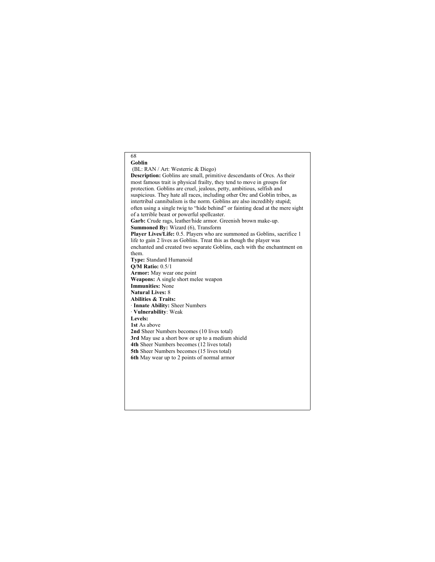68 **Goblin** (BL: RAN / Art: Westerric & Diego) **Description:** Goblins are small, primitive descendants of Orcs. As their most famous trait is physical frailty, they tend to move in groups for protection. Goblins are cruel, jealous, petty, ambitious, selfish and suspicious. They hate all races, including other Orc and Goblin tribes, as intertribal cannibalism is the norm. Goblins are also incredibly stupid; often using a single twig to "hide behind" or fainting dead at the mere sight of a terrible beast or powerful spellcaster. **Garb:** Crude rags, leather/hide armor. Greenish brown make-up. **Summoned By:** Wizard (6), Transform **Player Lives/Life:** 0.5. Players who are summoned as Goblins, sacrifice 1 life to gain 2 lives as Goblins. Treat this as though the player was enchanted and created two separate Goblins, each with the enchantment on them. **Type:** Standard Humanoid **Q/M Ratio:** 0.5/1 **Armor:** May wear one point **Weapons:** A single short melee weapon **Immunities:** None **Natural Lives:** 8 **Abilities & Traits:** · **Innate Ability:** Sheer Numbers · **Vulnerability**: Weak **Levels: 1st** As above **2nd** Sheer Numbers becomes (10 lives total) **3rd** May use a short bow or up to a medium shield **4th** Sheer Numbers becomes (12 lives total) **5th** Sheer Numbers becomes (15 lives total) **6th** May wear up to 2 points of normal armor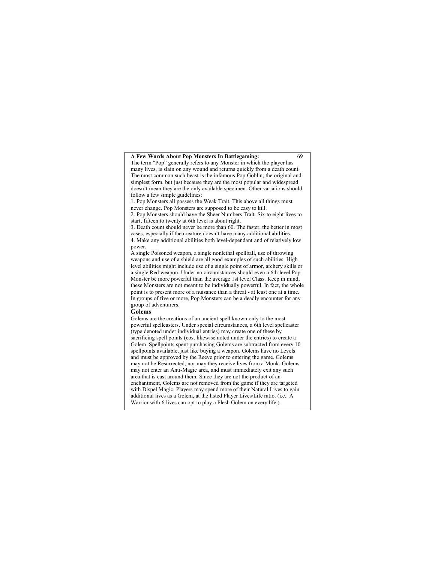## **A Few Words About Pop Monsters In Battlegaming:** 69

The term "Pop" generally refers to any Monster in which the player has many lives, is slain on any wound and returns quickly from a death count. The most common such beast is the infamous Pop Goblin, the original and simplest form, but just because they are the most popular and widespread doesn't mean they are the only available specimen. Other variations should follow a few simple guidelines:

1. Pop Monsters all possess the Weak Trait. This above all things must

never change. Pop Monsters are supposed to be easy to kill. 2. Pop Monsters should have the Sheer Numbers Trait. Six to eight lives to

start, fifteen to twenty at 6th level is about right.

3. Death count should never be more than 60. The faster, the better in most cases, especially if the creature doesn't have many additional abilities. 4. Make any additional abilities both level-dependant and of relatively low power.

A single Poisoned weapon, a single nonlethal spellball, use of throwing weapons and use of a shield are all good examples of such abilities. High level abilities might include use of a single point of armor, archery skills or a single Red weapon. Under no circumstances should even a 6th level Pop Monster be more powerful than the average 1st level Class. Keep in mind, these Monsters are not meant to be individually powerful. In fact, the whole point is to present more of a nuisance than a threat - at least one at a time. In groups of five or more, Pop Monsters can be a deadly encounter for any group of adventurers.

### **Golems**

Golems are the creations of an ancient spell known only to the most powerful spellcasters. Under special circumstances, a 6th level spellcaster (type denoted under individual entries) may create one of these by sacrificing spell points (cost likewise noted under the entries) to create a Golem. Spellpoints spent purchasing Golems are subtracted from every 10 spellpoints available, just like buying a weapon. Golems have no Levels and must be approved by the Reeve prior to entering the game. Golems may not be Resurrected, nor may they receive lives from a Monk. Golems may not enter an Anti-Magic area, and must immediately exit any such area that is cast around them. Since they are not the product of an enchantment, Golems are not removed from the game if they are targeted with Dispel Magic. Players may spend more of their Natural Lives to gain additional lives as a Golem, at the listed Player Lives/Life ratio. (i.e.: A Warrior with 6 lives can opt to play a Flesh Golem on every life.)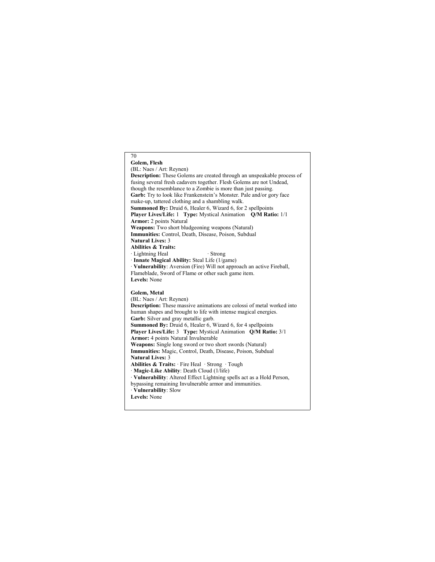#### 70 **Golem, Flesh** (BL: Naes / Art: Reynen) **Description:** These Golems are created through an unspeakable process of fusing several fresh cadavers together. Flesh Golems are not Undead, though the resemblance to a Zombie is more than just passing. **Garb:** Try to look like Frankenstein's Monster. Pale and/or gory face make-up, tattered clothing and a shambling walk. **Summoned By:** Druid 6, Healer 6, Wizard 6, for 2 spellpoints **Player Lives/Life:** 1 **Type:** Mystical Animation **Q/M Ratio:** 1/1 **Armor:** 2 points Natural **Weapons:** Two short bludgeoning weapons (Natural) **Immunities:** Control, Death, Disease, Poison, Subdual **Natural Lives:** 3 **Abilities & Traits:** · Lightning Heal · Strong · **Innate Magical Ability:** Steal Life (1/game) · **Vulnerability**: Aversion (Fire) Will not approach an active Fireball, Flameblade, Sword of Flame or other such game item. **Levels:** None **Golem, Metal** (BL: Naes / Art: Reynen) **Description:** These massive animations are colossi of metal worked into human shapes and brought to life with intense magical energies. **Garb:** Silver and gray metallic garb. **Summoned By:** Druid 6, Healer 6, Wizard 6, for 4 spellpoints **Player Lives/Life:** 3 **Type:** Mystical Animation **Q/M Ratio:** 3/1 **Armor:** 4 points Natural Invulnerable **Weapons:** Single long sword or two short swords (Natural) **Immunities:** Magic, Control, Death, Disease, Poison, Subdual **Natural Lives:** 3 **Abilities & Traits:** · Fire Heal · Strong · Tough · **Magic-Like Ability**: Death Cloud (1/life) · **Vulnerability**: Altered Effect Lightning spells act as a Hold Person, bypassing remaining Invulnerable armor and immunities. · **Vulnerability**: Slow **Levels:** None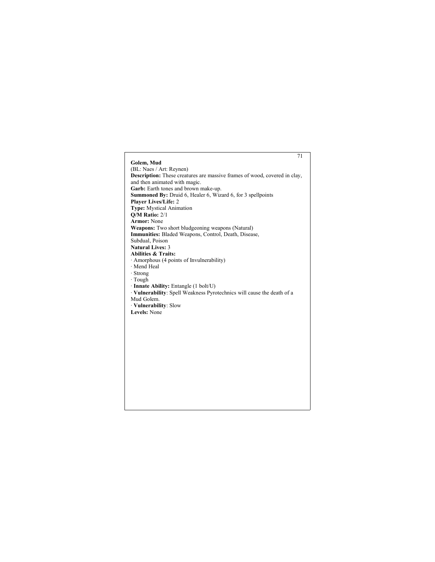# 71 **Golem, Mud** (BL: Naes / Art: Reynen) **Description:** These creatures are massive frames of wood, covered in clay, and then animated with magic. **Garb:** Earth tones and brown make-up. **Summoned By:** Druid 6, Healer 6, Wizard 6, for 3 spellpoints **Player Lives/Life:** 2 **Type:** Mystical Animation **Q/M Ratio:** 2/1 **Armor:** None **Weapons:** Two short bludgeoning weapons (Natural) **Immunities:** Bladed Weapons, Control, Death, Disease, Subdual, Poison **Natural Lives:** 3 **Abilities & Traits:** · Amorphous (4 points of Invulnerability) · Mend Heal · Strong · Tough · **Innate Ability:** Entangle (1 bolt/U) · **Vulnerability**: Spell Weakness Pyrotechnics will cause the death of a Mud Golem. · **Vulnerability**: Slow **Levels:** None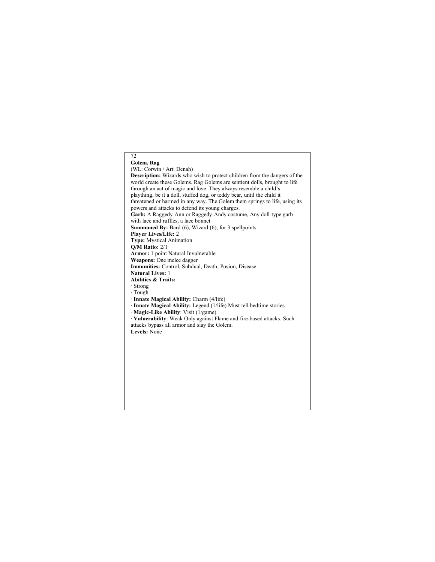#### **Golem, Rag** (WL: Corwin / Art: Denah)

72

**Description:** Wizards who wish to protect children from the dangers of the world create these Golems. Rag Golems are sentient dolls, brought to life through an act of magic and love. They always resemble a child's plaything, be it a doll, stuffed dog, or teddy bear, until the child it threatened or harmed in any way. The Golem them springs to life, using its powers and attacks to defend its young charges. **Garb:** A Raggedy-Ann or Raggedy-Andy costume, Any doll-type garb with lace and ruffles, a lace bonnet **Summoned By:** Bard (6), Wizard (6), for 3 spellpoints **Player Lives/Life:** 2 **Type:** Mystical Animation **Q/M Ratio:** 2/1 **Armor:** 1 point Natural Invulnerable **Weapons:** One melee dagger **Immunities:** Control, Subdual, Death, Posion, Disease **Natural Lives:** 1 **Abilities & Traits:** · Strong · Tough · **Innate Magical Ability:** Charm (4/life) · **Innate Magical Ability:** Legend (1/life) Must tell bedtime stories. · **Magic-Like Ability**: Visit (1/game) · **Vulnerability**: Weak Only against Flame and fire-based attacks. Such attacks bypass all armor and slay the Golem. **Levels:** None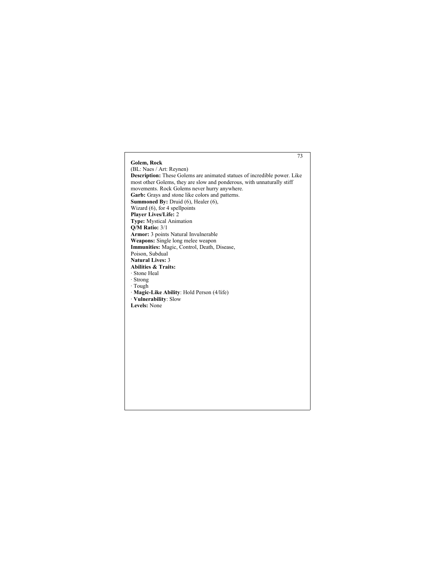# 73 **Golem, Rock** (BL: Naes / Art: Reynen) **Description:** These Golems are animated statues of incredible power. Like most other Golems, they are slow and ponderous, with unnaturally stiff movements. Rock Golems never hurry anywhere. **Garb:** Grays and stone like colors and patterns. **Summoned By:** Druid (6), Healer (6), Wizard (6), for 4 spellpoints **Player Lives/Life:** 2 **Type:** Mystical Animation **Q/M Ratio:** 3/1 **Armor:** 3 points Natural Invulnerable **Weapons:** Single long melee weapon **Immunities:** Magic, Control, Death, Disease, Poison, Subdual **Natural Lives:** 3 **Abilities & Traits:** · Stone Heal · Strong · Tough · **Magic-Like Ability**: Hold Person (4/life) · **Vulnerability**: Slow **Levels:** None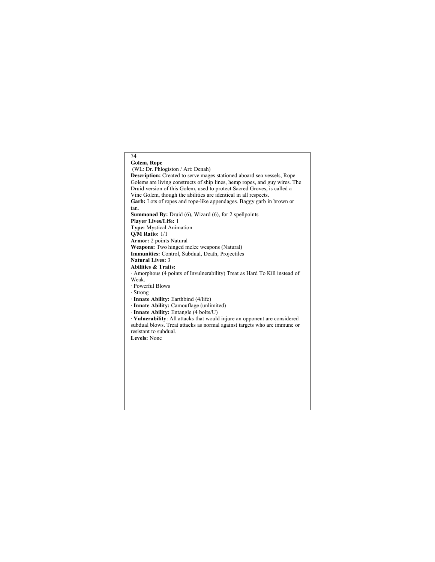## 74 **Golem, Rope** (WL: Dr. Phlogiston / Art: Denah) **Description:** Created to serve mages stationed aboard sea vessels, Rope Golems are living constructs of ship lines, hemp ropes, and guy wires. The Druid version of this Golem, used to protect Sacred Groves, is called a Vine Golem, though the abilities are identical in all respects. **Garb:** Lots of ropes and rope-like appendages. Baggy garb in brown or tan. **Summoned By:** Druid (6), Wizard (6), for 2 spellpoints **Player Lives/Life:** 1 **Type:** Mystical Animation **Q/M Ratio:** 1/1 **Armor:** 2 points Natural **Weapons:** Two hinged melee weapons (Natural) **Immunities:** Control, Subdual, Death, Projectiles **Natural Lives:** 3 **Abilities & Traits:** · Amorphous (4 points of Invulnerability) Treat as Hard To Kill instead of Weak. · Powerful Blows · Strong · **Innate Ability:** Earthbind (4/life) · **Innate Ability:** Camouflage (unlimited) · **Innate Ability:** Entangle (4 bolts/U) · **Vulnerability**: All attacks that would injure an opponent are considered subdual blows. Treat attacks as normal against targets who are immune or resistant to subdual. **Levels:** None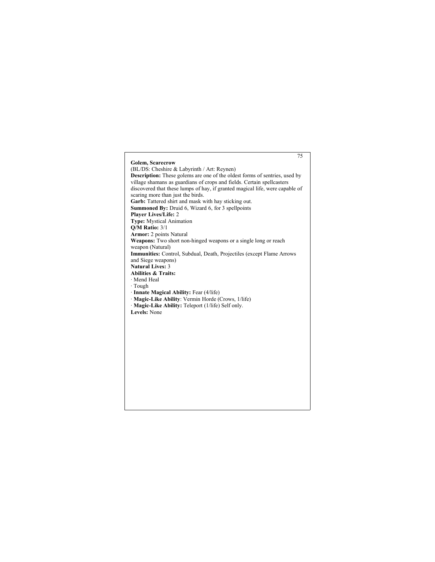# 75 **Golem, Scarecrow** (BL/DS: Cheshire & Labyrinth / Art: Reynen) **Description:** These golems are one of the oldest forms of sentries, used by village shamans as guardians of crops and fields. Certain spellcasters discovered that these lumps of hay, if granted magical life, were capable of scaring more than just the birds. Garb: Tattered shirt and mask with hay sticking out. **Summoned By:** Druid 6, Wizard 6, for 3 spellpoints **Player Lives/Life:** 2 **Type:** Mystical Animation **Q/M Ratio:** 3/1 **Armor:** 2 points Natural **Weapons:** Two short non-hinged weapons or a single long or reach weapon (Natural) **Immunities:** Control, Subdual, Death, Projectiles (except Flame Arrows and Siege weapons) **Natural Lives:** 3 **Abilities & Traits:** · Mend Heal · Tough · **Innate Magical Ability:** Fear (4/life) · **Magic-Like Ability**: Vermin Horde (Crows, 1/life) · **Magic-Like Ability:** Teleport (1/life) Self only. **Levels:** None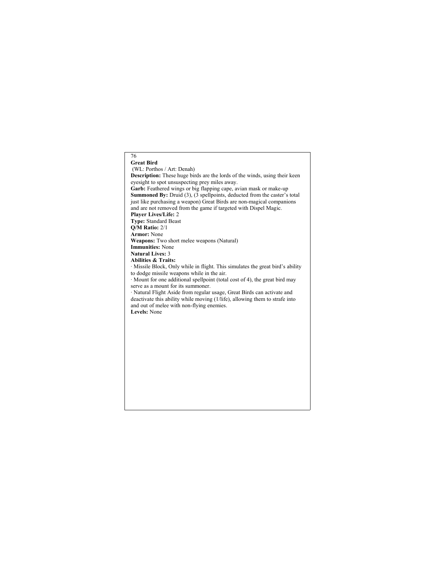# 76 **Great Bird** (WL: Porthos / Art: Denah) **Description:** These huge birds are the lords of the winds, using their keen eyesight to spot unsuspecting prey miles away. **Garb:** Feathered wings or big flapping cape, avian mask or make-up **Summoned By:** Druid (3), (3 spellpoints, deducted from the caster's total just like purchasing a weapon) Great Birds are non-magical companions and are not removed from the game if targeted with Dispel Magic. **Player Lives/Life:** 2 **Type:** Standard Beast **Q/M Ratio:** 2/1 **Armor:** None **Weapons:** Two short melee weapons (Natural) **Immunities:** None **Natural Lives:** 3 **Abilities & Traits:** · Missile Block, Only while in flight. This simulates the great bird's ability to dodge missile weapons while in the air. · Mount for one additional spellpoint (total cost of 4), the great bird may serve as a mount for its summoner. · Natural Flight Aside from regular usage, Great Birds can activate and deactivate this ability while moving (1/life), allowing them to strafe into and out of melee with non-flying enemies. **Levels:** None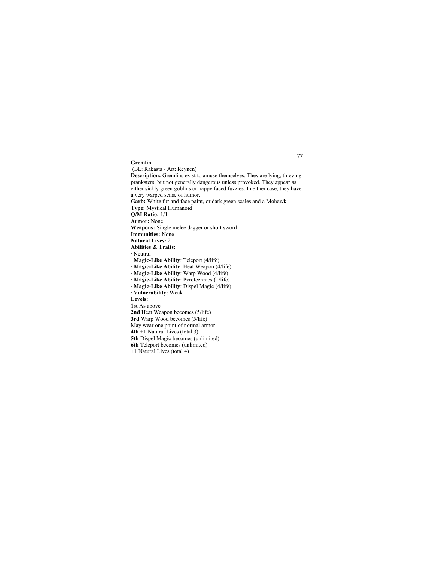## 77 **Gremlin** (BL: Rakasta / Art: Reynen) **Description:** Gremlins exist to amuse themselves. They are lying, thieving pranksters, but not generally dangerous unless provoked. They appear as either sickly green goblins or happy faced fuzzies. In either case, they have a very warped sense of humor. **Garb:** White fur and face paint, or dark green scales and a Mohawk **Type:** Mystical Humanoid **Q/M Ratio:** 1/1 **Armor:** None **Weapons:** Single melee dagger or short sword **Immunities:** None **Natural Lives:** 2 **Abilities & Traits:** · Neutral · **Magic-Like Ability**: Teleport (4/life) · **Magic-Like Ability**: Heat Weapon (4/life) · **Magic-Like Ability**: Warp Wood (4/life) · **Magic-Like Ability**: Pyrotechnics (1/life) · **Magic-Like Ability**: Dispel Magic (4/life) · **Vulnerability**: Weak **Levels: 1st** As above **2nd** Heat Weapon becomes (5/life) **3rd** Warp Wood becomes (5/life) May wear one point of normal armor **4th** +1 Natural Lives (total 3) **5th** Dispel Magic becomes (unlimited) **6th** Teleport becomes (unlimited) +1 Natural Lives (total 4)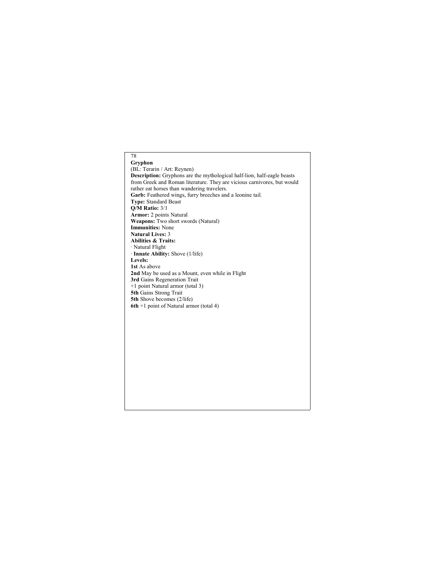### 78 **Gryphon**

(BL: Terarin / Art: Reynen) **Description:** Gryphons are the mythological half-lion, half-eagle beasts from Greek and Roman literature. They are vicious carnivores, but would rather eat horses than wandering travelers. **Garb:** Feathered wings, furry breeches and a leonine tail. **Type:** Standard Beast **Q/M Ratio:** 3/1 **Armor:** 2 points Natural **Weapons:** Two short swords (Natural) **Immunities:** None **Natural Lives:** 3 **Abilities & Traits:** · Natural Flight · **Innate Ability:** Shove (1/life) **Levels: 1st** As above **2nd** May be used as a Mount, even while in Flight **3rd** Gains Regeneration Trait +1 point Natural armor (total 3) **5th** Gains Strong Trait **5th** Shove becomes (2/life) **6th** +1 point of Natural armor (total 4)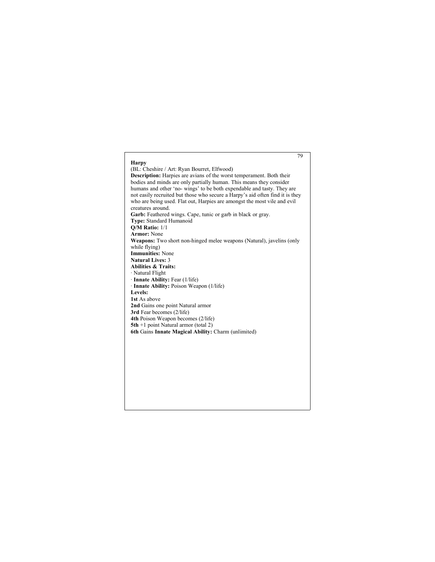## 79 **Harpy** (BL: Cheshire / Art: Ryan Bourret, Elfwood) **Description:** Harpies are avians of the worst temperament. Both their bodies and minds are only partially human. This means they consider humans and other 'no- wings' to be both expendable and tasty. They are not easily recruited but those who secure a Harpy's aid often find it is they who are being used. Flat out, Harpies are amongst the most vile and evil creatures around. **Garb:** Feathered wings. Cape, tunic or garb in black or gray. **Type:** Standard Humanoid **Q/M Ratio:** 1/1 **Armor:** None **Weapons:** Two short non-hinged melee weapons (Natural), javelins (only while flying) **Immunities:** None **Natural Lives:** 3 **Abilities & Traits:** · Natural Flight · **Innate Ability:** Fear (1/life) · **Innate Ability:** Poison Weapon (1/life) **Levels: 1st** As above **2nd** Gains one point Natural armor **3rd** Fear becomes (2/life) **4th** Poison Weapon becomes (2/life) **5th** +1 point Natural armor (total 2) **6th** Gains **Innate Magical Ability:** Charm (unlimited)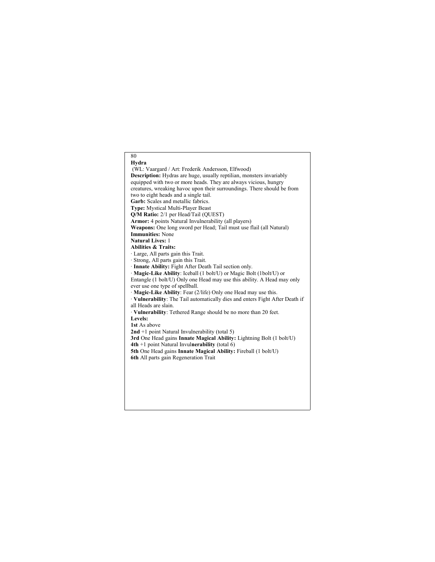## 80 **Hydra** (WL: Vaargard / Art: Frederik Andersson, Elfwood) **Description:** Hydras are huge, usually reptilian, monsters invariably equipped with two or more heads. They are always vicious, hungry creatures, wreaking havoc upon their surroundings. There should be from two to eight heads and a single tail. **Garb:** Scales and metallic fabrics. **Type:** Mystical Multi-Player Beast **Q/M Ratio:** 2/1 per Head/Tail (QUEST) **Armor:** 4 points Natural Invulnerability (all players) **Weapons:** One long sword per Head; Tail must use flail (all Natural) **Immunities:** None **Natural Lives:** 1 **Abilities & Traits:** · Large, All parts gain this Trait. · Strong, All parts gain this Trait. · **Innate Ability:** Fight After Death Tail section only. · **Magic-Like Ability**: Iceball (1 bolt/U) or Magic Bolt (1bolt/U) or Entangle (1 bolt/U) Only one Head may use this ability. A Head may only ever use one type of spellball. · **Magic-Like Ability**: Fear (2/life) Only one Head may use this. · **Vulnerability**: The Tail automatically dies and enters Fight After Death if all Heads are slain. · **Vulnerability**: Tethered Range should be no more than 20 feet. **Levels: 1st** As above **2nd** +1 point Natural Invulnerability (total 5) **3rd** One Head gains **Innate Magical Ability:** Lightning Bolt (1 bolt/U) **4th** +1 point Natural Invul**nerability** (total 6) **5th** One Head gains **Innate Magical Ability:** Fireball (1 bolt/U) **6th** All parts gain Regeneration Trait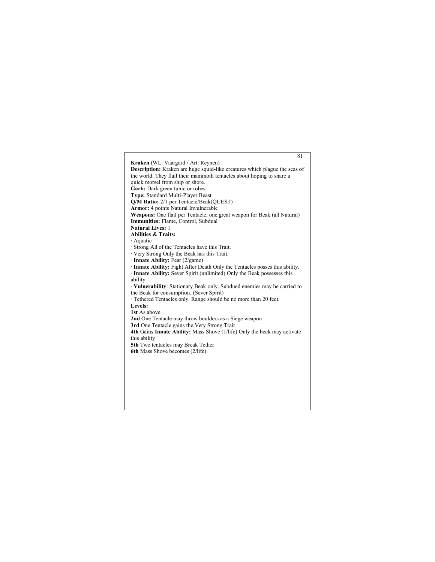81 **Kraken** (WL: Vaargard / Art: Reynen) **Description:** Kraken are huge squid-like creatures which plague the seas of the world. They flail their mammoth tentacles about hoping to snare a quick morsel from ship or shore. **Garb:** Dark green tunic or robes. **Type:** Standard Multi-Player Beast **Q/M Ratio:** 2/1 per Tentacle/Beak(QUEST) **Armor:** 4 points Natural Invulnerable **Weapons:** One flail per Tentacle, one great weapon for Beak (all Natural) **Immunities:** Flame, Control, Subdual **Natural Lives:** 1 **Abilities & Traits:** · Aquatic · Strong All of the Tentacles have this Trait. · Very Strong Only the Beak has this Trait. · **Innate Ability:** Fear (2/game) · **Innate Ability:** Fight After Death Only the Tentacles posses this ability. · **Innate Ability:** Sever Spirit (unlimited) Only the Beak possesses this ability. · **Vulnerability**: Stationary Beak only. Subdued enemies may be carried to the Beak for consumption. (Sever Spirit) · Tethered Tentacles only. Range should be no more than 20 feet. **Levels: 1st** As above **2nd** One Tentacle may throw boulders as a Siege weapon **3rd** One Tentacle gains the Very Strong Trait **4th** Gains **Innate Ability:** Mass Shove (1/life) Only the beak may activate this ability **5th** Two tentacles may Break Tether **6th** Mass Shove becomes (2/life)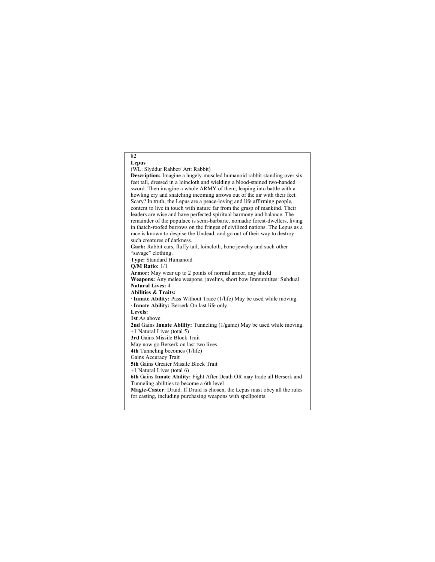82 **Lepus** (WL: Slyddur Rahbet/ Art: Rabbit) **Description:** Imagine a hugely-muscled humanoid rabbit standing over six feet tall, dressed in a loincloth and wielding a blood-stained two-handed sword. Then imagine a whole ARMY of them, leaping into battle with a howling cry and snatching incoming arrows out of the air with their feet. Scary? In truth, the Lepus are a peace-loving and life affirming people, content to live in touch with nature far from the grasp of mankind. Their leaders are wise and have perfected spiritual harmony and balance. The remainder of the populace is semi-barbaric, nomadic forest-dwellers, living in thatch-roofed burrows on the fringes of civilized nations. The Lepus as a race is known to despise the Undead, and go out of their way to destroy such creatures of darkness. **Garb:** Rabbit ears, fluffy tail, loincloth, bone jewelry and such other "savage" clothing. **Type:** Standard Humanoid **Q/M Ratio:** 1/1 **Armor:** May wear up to 2 points of normal armor, any shield Weapons: Any melee weapons, javelins, short bow Immunitites: Subdual **Natural Lives:** 4 **Abilities & Traits:** · **Innate Ability:** Pass Without Trace (1/life) May be used while moving. · **Innate Ability:** Berserk On last life only. **Levels: 1st** As above **2nd** Gains **Innate Ability:** Tunneling (1/game) May be used while moving. +1 Natural Lives (total 5)

**3rd** Gains Missile Block Trait

May now go Berserk on last two lives

**4th** Tunneling becomes (1/life)

Gains Accuracy Trait **5th** Gains Greater Missile Block Trait

+1 Natural Lives (total 6)

**6th** Gains **Innate Ability:** Fight After Death OR may trade all Berserk and Tunneling abilities to become a 6th level

**Magic-Caster**: Druid. If Druid is chosen, the Lepus must obey all the rules for casting, including purchasing weapons with spellpoints.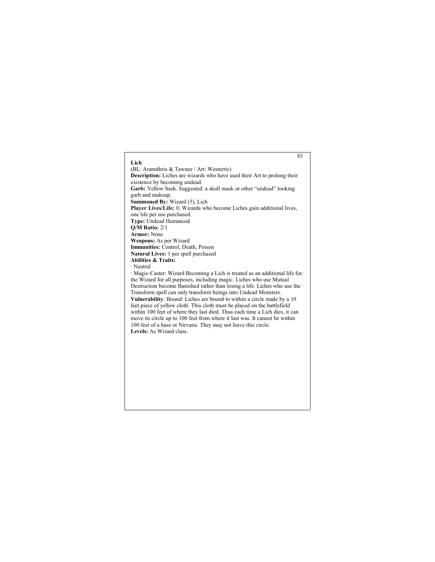## 83 **Lich** (BL: Aramithris & Tawnee / Art: Westerric) **Description:** Liches are wizards who have used their Art to prolong their existence by becoming undead. **Garb:** Yellow Sash. Suggested: a skull mask or other "undead" looking garb and makeup. **Summoned By:** Wizard (5), Lich **Player Lives/Life:** 0, Wizards who become Liches gain additional lives, one life per use purchased. **Type:** Undead Humanoid **Q/M Ratio:** 2/1 **Armor:** None **Weapons:** As per Wizard **Immunities:** Control, Death, Poison **Natural Lives:** 1 per spell purchased **Abilities & Traits:** · Neutral · Magic-Caster: Wizard Becoming a Lich is treated as an additional life for the Wizard for all purposes, including magic. Liches who use Mutual Destruction become Banished rather than losing a life. Liches who use the Transform spell can only transform beings into Undead Monsters. **Vulnerability**: Bound: Liches are bound to within a circle made by a 10 feet piece of yellow cloth. This cloth must be placed on the battlefield within 100 feet of where they last died. Thus each time a Lich dies, it can move its circle up to 100 feet from where it last was. It cannot be within 100 feet of a base or Nirvana. They may not leave this circle. **Levels:** As Wizard class.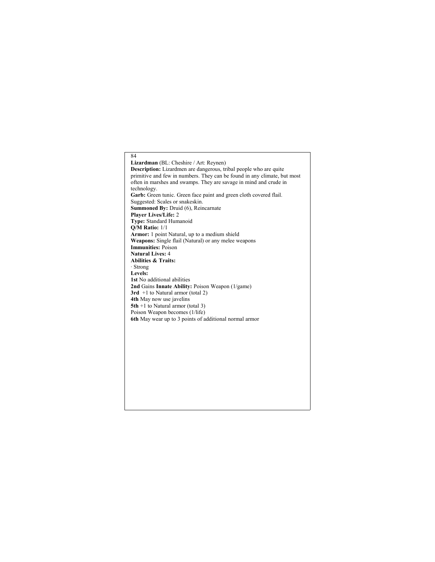84 **Lizardman** (BL: Cheshire / Art: Reynen) **Description:** Lizardmen are dangerous, tribal people who are quite primitive and few in numbers. They can be found in any climate, but most often in marshes and swamps. They are savage in mind and crude in technology. Garb: Green tunic. Green face paint and green cloth covered flail. Suggested: Scales or snakeskin. **Summoned By:** Druid (6), Reincarnate **Player Lives/Life:** 2 **Type:** Standard Humanoid **Q/M Ratio:** 1/1 **Armor:** 1 point Natural, up to a medium shield **Weapons:** Single flail (Natural) or any melee weapons **Immunities:** Poison **Natural Lives:** 4 **Abilities & Traits:** · Strong **Levels: 1st** No additional abilities **2nd** Gains **Innate Ability:** Poison Weapon (1/game) **3rd** +1 to Natural armor (total 2) **4th** May now use javelins **5th** +1 to Natural armor (total 3) Poison Weapon becomes (1/life) **6th** May wear up to 3 points of additional normal armor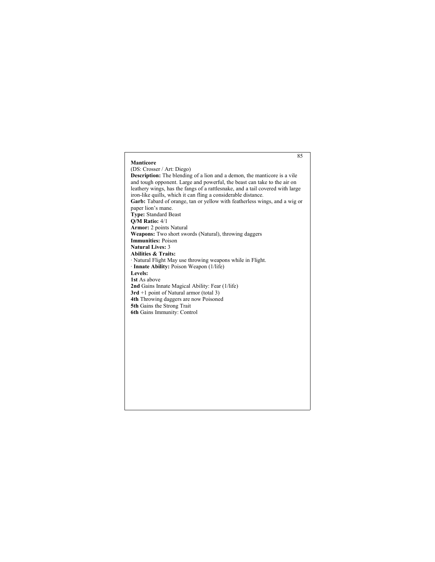# 85 **Manticore** (DS: Crosser / Art: Diego) **Description:** The blending of a lion and a demon, the manticore is a vile and tough opponent. Large and powerful, the beast can take to the air on leathery wings, has the fangs of a rattlesnake, and a tail covered with large iron-like quills, which it can fling a considerable distance. **Garb:** Tabard of orange, tan or yellow with featherless wings, and a wig or paper lion's mane. **Type:** Standard Beast **Q/M Ratio:** 4/1 **Armor:** 2 points Natural **Weapons:** Two short swords (Natural), throwing daggers **Immunities:** Poison **Natural Lives:** 3 **Abilities & Traits:** · Natural Flight May use throwing weapons while in Flight. · **Innate Ability:** Poison Weapon (1/life) **Levels: 1st** As above **2nd** Gains Innate Magical Ability: Fear (1/life) **3rd** +1 point of Natural armor (total 3) **4th** Throwing daggers are now Poisoned **5th** Gains the Strong Trait **6th** Gains Immunity: Control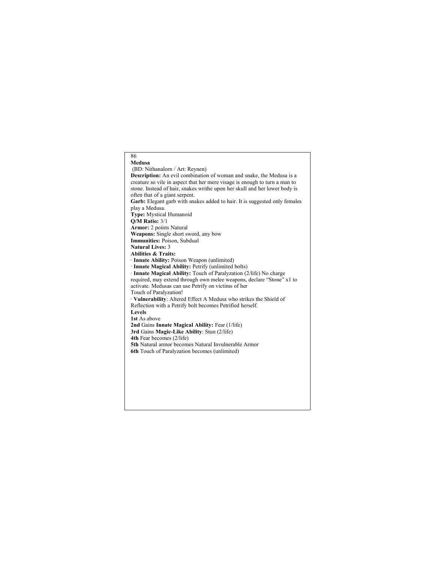## 86 **Medusa** (BD: Nithanalorn / Art: Reynen) **Description:** An evil combination of woman and snake, the Medusa is a creature so vile in aspect that her mere visage is enough to turn a man to stone. Instead of hair, snakes writhe upon her skull and her lower body is often that of a giant serpent. Garb: Elegant garb with snakes added to hair. It is suggested only females play a Medusa. **Type:** Mystical Humanoid **Q/M Ratio:** 3/1 **Armor:** 2 points Natural **Weapons:** Single short sword, any bow **Immunities:** Poison, Subdual **Natural Lives:** 3 **Abilities & Traits:** · **Innate Ability:** Poison Weapon (unlimited) · **Innate Magical Ability:** Petrify (unlimited bolts) · **Innate Magical Ability:** Touch of Paralyzation (2/life) No charge required, may extend through own melee weapons, declare "Stone" x1 to activate. Medusas can use Petrify on victims of her Touch of Paralyzation! · **Vulnerability**: Altered Effect A Medusa who strikes the Shield of Reflection with a Petrify bolt becomes Petrified herself. **Levels 1st** As above **2nd** Gains **Innate Magical Ability:** Fear (1/life) **3rd** Gains **Magic-Like Ability**: Stun (2/life) **4th** Fear becomes (2/life) **5th** Natural armor becomes Natural Invulnerable Armor **6th** Touch of Paralyzation becomes (unlimited)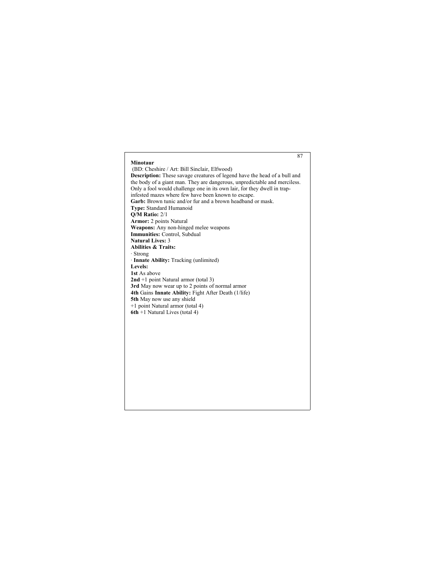#### **Minotaur**

(BD: Cheshire / Art: Bill Sinclair, Elfwood) **Description:** These savage creatures of legend have the head of a bull and the body of a giant man. They are dangerous, unpredictable and merciless. Only a fool would challenge one in its own lair, for they dwell in trapinfested mazes where few have been known to escape. **Garb:** Brown tunic and/or fur and a brown headband or mask. **Type:** Standard Humanoid **Q/M Ratio:** 2/1 **Armor:** 2 points Natural **Weapons:** Any non-hinged melee weapons **Immunities:** Control, Subdual **Natural Lives:** 3 **Abilities & Traits:** · Strong · **Innate Ability:** Tracking (unlimited) **Levels: 1st** As above **2nd** +1 point Natural armor (total 3) **3rd** May now wear up to 2 points of normal armor **4th** Gains **Innate Ability:** Fight After Death (1/life) **5th** May now use any shield +1 point Natural armor (total 4) **6th** +1 Natural Lives (total 4)

87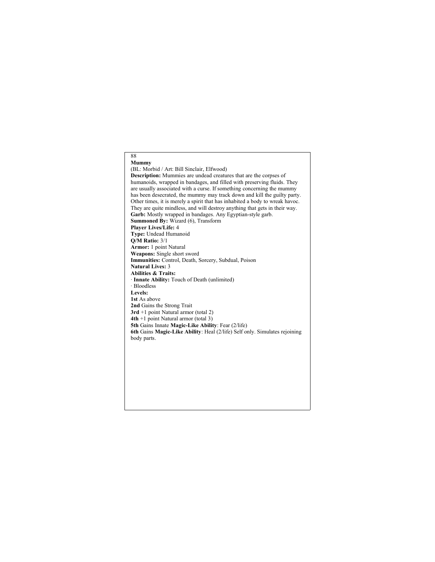#### 88 **Mummy**

(BL: Morbid / Art: Bill Sinclair, Elfwood) **Description:** Mummies are undead creatures that are the corpses of humanoids, wrapped in bandages, and filled with preserving fluids. They are usually associated with a curse. If something concerning the mummy has been desecrated, the mummy may track down and kill the guilty party. Other times, it is merely a spirit that has inhabited a body to wreak havoc. They are quite mindless, and will destroy anything that gets in their way. **Garb:** Mostly wrapped in bandages. Any Egyptian-style garb. **Summoned By:** Wizard (6), Transform **Player Lives/Life:** 4 **Type:** Undead Humanoid **Q/M Ratio:** 3/1 **Armor:** 1 point Natural **Weapons:** Single short sword **Immunities:** Control, Death, Sorcery, Subdual, Poison **Natural Lives:** 3 **Abilities & Traits:** · **Innate Ability:** Touch of Death (unlimited) · Bloodless **Levels: 1st** As above **2nd** Gains the Strong Trait **3rd** +1 point Natural armor (total 2) **4th** +1 point Natural armor (total 3) **5th** Gains Innate **Magic-Like Ability**: Fear (2/life) **6th** Gains **Magic-Like Ability**: Heal (2/life) Self only. Simulates rejoining body parts.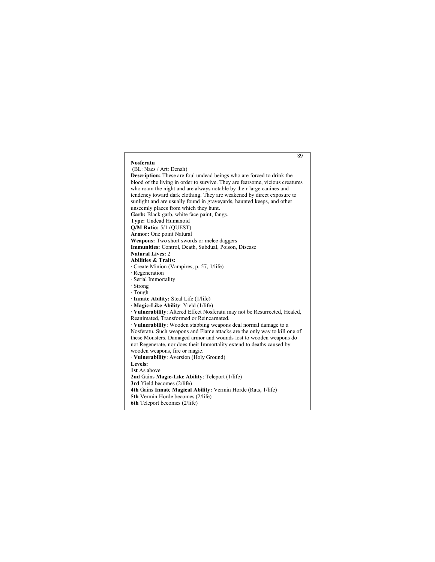#### 89 **Nosferatu** (BL: Naes / Art: Denah) **Description:** These are foul undead beings who are forced to drink the blood of the living in order to survive. They are fearsome, vicious creatures who roam the night and are always notable by their large canines and tendency toward dark clothing. They are weakened by direct exposure to sunlight and are usually found in graveyards, haunted keeps, and other unseemly places from which they hunt. **Garb:** Black garb, white face paint, fangs. **Type:** Undead Humanoid **Q/M Ratio:** 5/1 (QUEST) **Armor:** One point Natural **Weapons:** Two short swords or melee daggers **Immunities:** Control, Death, Subdual, Poison, Disease **Natural Lives:** 2 **Abilities & Traits:** · Create Minion (Vampires, p. 57, 1/life) · Regeneration · Serial Immortality · Strong · Tough · **Innate Ability:** Steal Life (1/life) · **Magic-Like Ability**: Yield (1/life) · **Vulnerability**: Altered Effect Nosferatu may not be Resurrected, Healed, Reanimated, Transformed or Reincarnated. · **Vulnerability**: Wooden stabbing weapons deal normal damage to a Nosferatu. Such weapons and Flame attacks are the only way to kill one of these Monsters. Damaged armor and wounds lost to wooden weapons do not Regenerate, nor does their Immortality extend to deaths caused by wooden weapons, fire or magic. · **Vulnerability**: Aversion (Holy Ground) **Levels: 1st** As above **2nd** Gains **Magic-Like Ability**: Teleport (1/life) **3rd** Yield becomes (2/life) **4th** Gains **Innate Magical Ability:** Vermin Horde (Rats, 1/life) **5th** Vermin Horde becomes (2/life) **6th** Teleport becomes (2/life)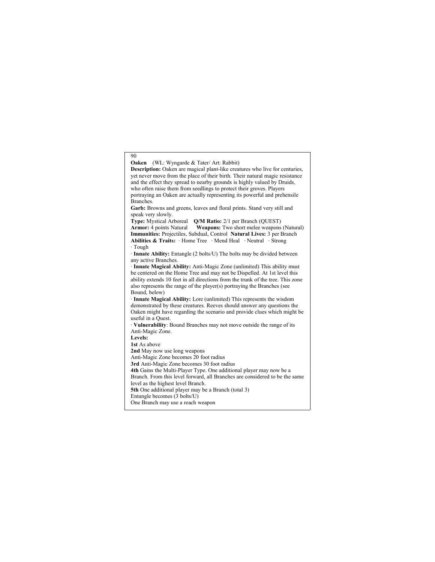#### **Oaken** (WL: Wyngarde & Tater/ Art: Rabbit)

**Description:** Oaken are magical plant-like creatures who live for centuries, yet never move from the place of their birth. Their natural magic resistance and the effect they spread to nearby grounds is highly valued by Druids, who often raise them from seedlings to protect their groves. Players portraying an Oaken are actually representing its powerful and prehensile Branches. **Garb:** Browns and greens, leaves and floral prints. Stand very still and

speak very slowly.

**Type:** Mystical Arboreal **Q/M Ratio:** 2/1 per Branch (QUEST) **Armor:** 4 points Natural **Weapons:** Two short melee weapons **Weapons:** Two short melee weapons (Natural) **Immunities:** Projectiles, Subdual, Control **Natural Lives:** 3 per Branch **Abilities & Traits:** · Home Tree · Mend Heal · Neutral · Strong · Tough

· **Innate Ability:** Entangle (2 bolts/U) The bolts may be divided between any active Branches.

· **Innate Magical Ability:** Anti-Magic Zone (unlimited) This ability must be centered on the Home Tree and may not be Dispelled. At 1st level this ability extends 10 feet in all directions from the trunk of the tree. This zone also represents the range of the player(s) portraying the Branches (see Bound, below)

· **Innate Magical Ability:** Lore (unlimited) This represents the wisdom demonstrated by these creatures. Reeves should answer any questions the Oaken might have regarding the scenario and provide clues which might be useful in a Quest.

· **Vulnerability**: Bound Branches may not move outside the range of its Anti-Magic Zone.

**Levels:**

90

**1st** As above

**2nd** May now use long weapons

Anti-Magic Zone becomes 20 foot radius

**3rd** Anti-Magic Zone becomes 30 foot radius

**4th** Gains the Multi-Player Type. One additional player may now be a

Branch. From this level forward, all Branches are considered to be the same level as the highest level Branch.

**5th** One additional player may be a Branch (total 3)

Entangle becomes (3 bolts/U)

One Branch may use a reach weapon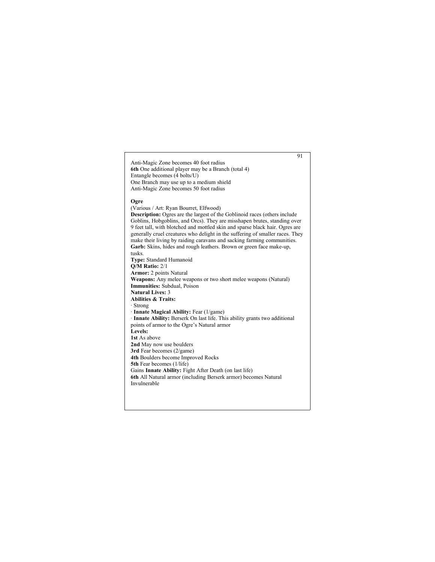Anti-Magic Zone becomes 40 foot radius **6th** One additional player may be a Branch (total 4) Entangle becomes (4 bolts/U) One Branch may use up to a medium shield Anti-Magic Zone becomes 50 foot radius

#### **Ogre**

(Various / Art: Ryan Bourret, Elfwood) **Description:** Ogres are the largest of the Goblinoid races (others include Goblins, Hobgoblins, and Orcs). They are misshapen brutes, standing over 9 feet tall, with blotched and mottled skin and sparse black hair. Ogres are generally cruel creatures who delight in the suffering of smaller races. They make their living by raiding caravans and sacking farming communities. **Garb:** Skins, hides and rough leathers. Brown or green face make-up, tusks. **Type:** Standard Humanoid **Q/M Ratio:** 2/1 **Armor:** 2 points Natural **Weapons:** Any melee weapons or two short melee weapons (Natural) **Immunities:** Subdual, Poison **Natural Lives:** 3 **Abilities & Traits:** · Strong · **Innate Magical Ability:** Fear (1/game) · **Innate Ability:** Berserk On last life. This ability grants two additional points of armor to the Ogre's Natural armor **Levels: 1st** As above **2nd** May now use boulders **3rd** Fear becomes (2/game) **4th** Boulders become Improved Rocks **5th** Fear becomes (1/life) Gains **Innate Ability:** Fight After Death (on last life) **6th** All Natural armor (including Berserk armor) becomes Natural Invulnerable

91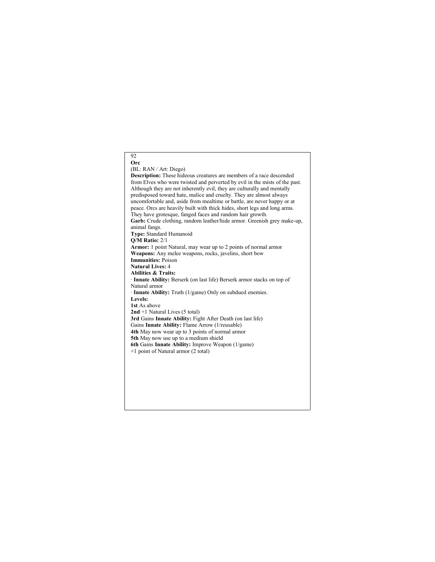#### 92 **Orc**

#### (BL: RAN / Art: Diego)

**Description:** These hideous creatures are members of a race descended from Elves who were twisted and perverted by evil in the mists of the past. Although they are not inherently evil, they are culturally and mentally predisposed toward hate, malice and cruelty. They are almost always uncomfortable and, aside from mealtime or battle, are never happy or at peace. Orcs are heavily built with thick hides, short legs and long arms. They have grotesque, fanged faces and random hair growth. **Garb:** Crude clothing, random leather/hide armor. Greenish grey make-up, animal fangs. **Type:** Standard Humanoid **Q/M Ratio:** 2/1 **Armor:** 1 point Natural, may wear up to 2 points of normal armor **Weapons:** Any melee weapons, rocks, javelins, short bow **Immunities:** Poison **Natural Lives:** 4 **Abilities & Traits:** · **Innate Ability:** Berserk (on last life) Berserk armor stacks on top of Natural armor · **Innate Ability:** Truth (1/game) Only on subdued enemies. **Levels: 1st** As above **2nd** +1 Natural Lives (5 total) **3rd** Gains **Innate Ability:** Fight After Death (on last life) Gains **Innate Ability:** Flame Arrow (1/reusable) **4th** May now wear up to 3 points of normal armor **5th** May now use up to a medium shield **6th** Gains **Innate Ability:** Improve Weapon (1/game) +1 point of Natural armor (2 total)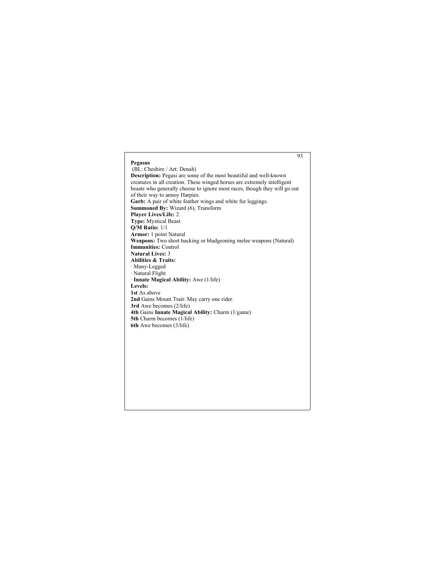## 93 **Pegasus** (BL: Cheshire / Art: Denah) **Description:** Pegasi are some of the most beautiful and well-known creatures in all creation. These winged horses are extremely intelligent beasts who generally choose to ignore most races, though they will go out of their way to annoy Harpies. **Garb:** A pair of white feather wings and white fur leggings. **Summoned By:** Wizard (6), Transform **Player Lives/Life:** 2 **Type:** Mystical Beast **Q/M Ratio:** 1/1 **Armor:** 1 point Natural **Weapons:** Two short hacking or bludgeoning melee weapons (Natural) **Immunities:** Control **Natural Lives:** 3 **Abilities & Traits:** · Many-Legged · Natural Flight · **Innate Magical Ability:** Awe (1/life) **Levels: 1st** As above **2nd** Gains Mount Trait: May carry one rider. **3rd** Awe becomes (2/life) **4th** Gains **Innate Magical Ability:** Charm (1/game) **5th** Charm becomes (1/life) **6th** Awe becomes (3/life)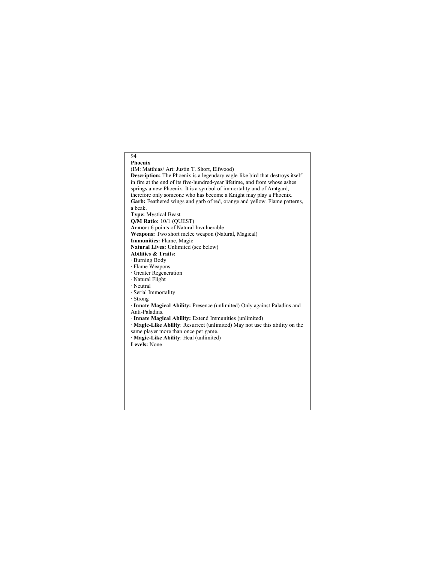## 94 **Phoenix** (IM: Matthias/ Art: Justin T. Short, Elfwood) **Description:** The Phoenix is a legendary eagle-like bird that destroys itself in fire at the end of its five-hundred-year lifetime, and from whose ashes springs a new Phoenix. It is a symbol of immortality and of Amtgard, therefore only someone who has become a Knight may play a Phoenix. Garb: Feathered wings and garb of red, orange and yellow. Flame patterns, a beak. **Type:** Mystical Beast **Q/M Ratio:** 10/1 (QUEST) **Armor:** 6 points of Natural Invulnerable **Weapons:** Two short melee weapon (Natural, Magical) **Immunities:** Flame, Magic **Natural Lives:** Unlimited (see below) **Abilities & Traits:** · Burning Body · Flame Weapons · Greater Regeneration · Natural Flight · Neutral · Serial Immortality · Strong · **Innate Magical Ability:** Presence (unlimited) Only against Paladins and Anti-Paladins. · **Innate Magical Ability:** Extend Immunities (unlimited) · **Magic-Like Ability**: Resurrect (unlimited) May not use this ability on the same player more than once per game. · **Magic-Like Ability**: Heal (unlimited) **Levels:** None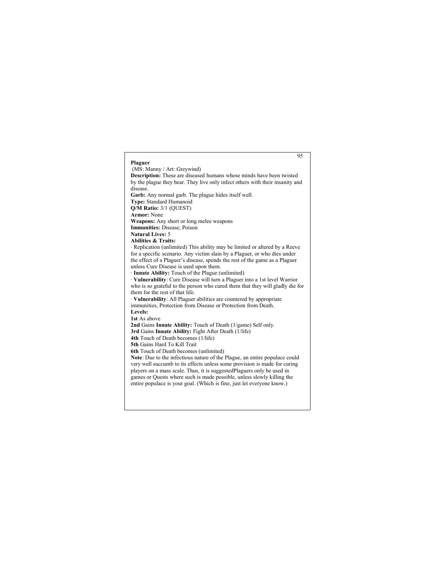#### 95 **Plaguer** (MS: Manny / Art: Greywind) **Description:** These are diseased humans whose minds have been twisted by the plague they bear. They live only infect others with their insanity and disease. **Garb:** Any normal garb. The plague hides itself well. **Type:** Standard Humanoid **Q/M Ratio:** 3/1 (QUEST) **Armor:** None **Weapons:** Any short or long melee weapons **Immunities:** Disease, Poison **Natural Lives:** 5 **Abilities & Traits:** · Replication (unlimited) This ability may be limited or altered by a Reeve for a specific scenario. Any victim slain by a Plaguer, or who dies under the effect of a Plaguer's disease, spends the rest of the game as a Plaguer unless Cure Disease is used upon them. · **Innate Ability:** Touch of the Plague (unlimited) · **Vulnerability**: Cure Disease will turn a Plaguer into a 1st level Warrior who is so grateful to the person who cured them that they will gladly die for them for the rest of that life. · **Vulnerability**: All Plaguer abilities are countered by appropriate immunities, Protection from Disease or Protection from Death. **Levels: 1st** As above **2nd** Gains **Innate Ability:** Touch of Death (1/game) Self only. **3rd** Gains **Innate Ability:** Fight After Death (1/life) **4th** Touch of Death becomes (1/life) **5th** Gains Hard To Kill Trait **6th** Touch of Death becomes (unlimited) **Note**: Due to the infectious nature of the Plague, an entire populace could very well succumb to its effects unless some provision is made for curing players on a mass scale. Thus, it is suggestedPlaguers only be used in games or Quests where such is made possible, unless slowly killing the entire populace is your goal. (Which is fine, just let everyone know.)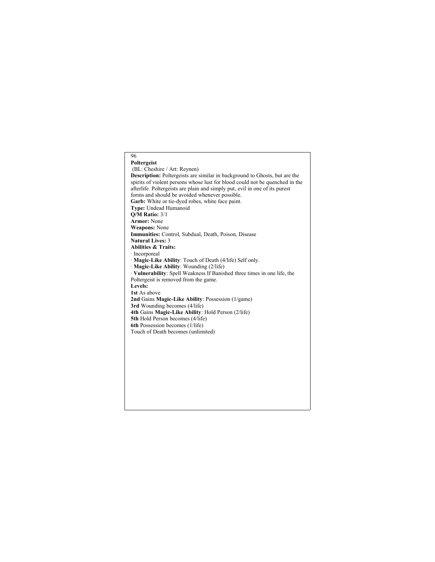#### **Poltergeist** (BL: Cheshire / Art: Reynen) **Description:** Poltergeists are similar in background to Ghosts, but are the spirits of violent persons whose lust for blood could not be quenched in the afterlife. Poltergeists are plain and simply put, evil in one of its purest forms and should be avoided whenever possible. **Garb:** White or tie-dyed robes, white face paint. **Type:** Undead Humanoid **Q/M Ratio:** 3/1 **Armor:** None **Weapons:** None **Immunities:** Control, Subdual, Death, Poison, Disease **Natural Lives:** 3 **Abilities & Traits:** · Incorporeal · **Magic-Like Ability**: Touch of Death (4/life) Self only. · **Magic-Like Ability**: Wounding (2/life)

- · **Vulnerability**: Spell Weakness If Banished three times in one life, the Poltergeist is removed from the game.
- **Levels: 1st** As above

96

- 
- **2nd** Gains **Magic-Like Ability**: Possession (1/game)
- **3rd** Wounding becomes (4/life) **4th** Gains **Magic-Like Ability**: Hold Person (2/life)
- **5th** Hold Person becomes (4/life)
- **6th** Possession becomes (1/life)
- Touch of Death becomes (unlimited)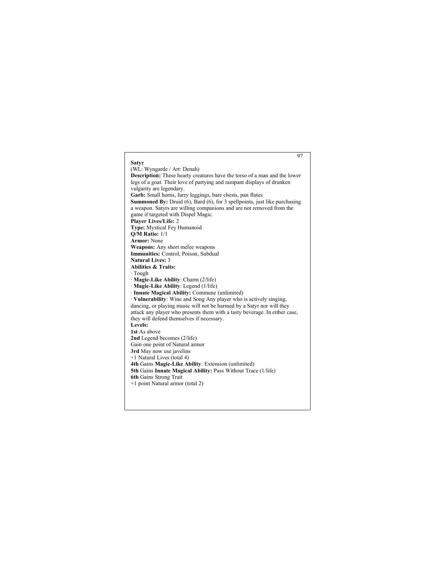#### 97 **Satyr** (WL: Wyngarde / Art: Denah) **Description:** These hearty creatures have the torso of a man and the lower legs of a goat. Their love of partying and rampant displays of drunken vulgarity are legendary. **Garb:** Small horns, furry leggings, bare chests, pan flutes **Summoned By:** Druid (6), Bard (6), for 3 spellpoints, just like purchasing a weapon. Satyrs are willing companions and are not removed from the game if targeted with Dispel Magic. **Player Lives/Life:** 2 **Type:** Mystical Fey Humanoid **Q/M Ratio:** 1/1 **Armor:** None **Weapons:** Any short melee weapons **Immunities:** Control, Poison, Subdual **Natural Lives:** 3 **Abilities & Traits:** · Tough · **Magic-Like Ability**: Charm (2/life) · **Magic-Like Ability**: Legend (1/life) · **Innate Magical Ability:** Commune (unlimited) · **Vulnerability**: Wine and Song Any player who is actively singing, dancing, or playing music will not be harmed by a Satyr nor will they attack any player who presents them with a tasty beverage. In either case, they will defend themselves if necessary. **Levels: 1st** As above **2nd** Legend becomes (2/life) Gain one point of Natural armor **3rd** May now use javelins +1 Natural Lives (total 4) **4th** Gains **Magic-Like Ability**: Extension (unlimited) **5th** Gains **Innate Magical Ability:** Pass Without Trace (1/life) **6th** Gains Strong Trait +1 point Natural armor (total 2)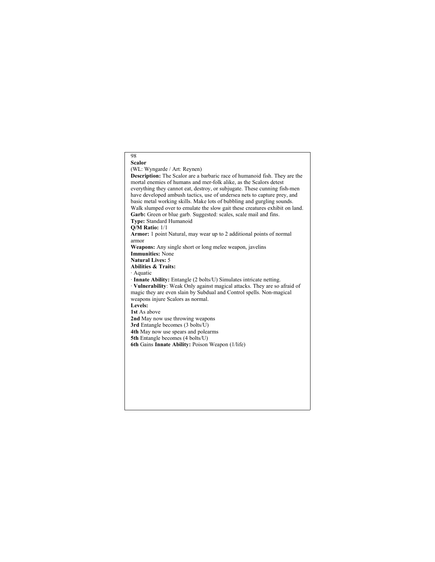## 98 **Scalor** (WL: Wyngarde / Art: Reynen) **Description:** The Scalor are a barbaric race of humanoid fish. They are the mortal enemies of humans and mer-folk alike, as the Scalors detest everything they cannot eat, destroy, or subjugate. These cunning fish-men have developed ambush tactics, use of undersea nets to capture prey, and basic metal working skills. Make lots of bubbling and gurgling sounds. Walk slumped over to emulate the slow gait these creatures exhibit on land. Garb: Green or blue garb. Suggested: scales, scale mail and fins. **Type:** Standard Humanoid **Q/M Ratio:** 1/1 **Armor:** 1 point Natural, may wear up to 2 additional points of normal armor **Weapons:** Any single short or long melee weapon, javelins **Immunities:** None **Natural Lives:** 5 **Abilities & Traits:** · Aquatic · **Innate Ability:** Entangle (2 bolts/U) Simulates intricate netting. · **Vulnerability**: Weak Only against magical attacks. They are so afraid of magic they are even slain by Subdual and Control spells. Non-magical weapons injure Scalors as normal. **Levels: 1st** As above **2nd** May now use throwing weapons **3rd** Entangle becomes (3 bolts/U) **4th** May now use spears and polearms **5th** Entangle becomes (4 bolts/U) **6th** Gains **Innate Ability:** Poison Weapon (1/life)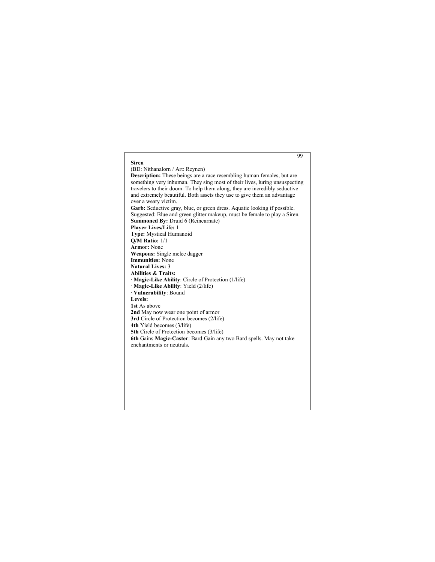## 99 **Siren** (BD: Nithanalorn / Art: Reynen) **Description:** These beings are a race resembling human females, but are something very inhuman. They sing most of their lives, luring unsuspecting travelers to their doom. To help them along, they are incredibly seductive and extremely beautiful. Both assets they use to give them an advantage over a weary victim. Garb: Seductive gray, blue, or green dress. Aquatic looking if possible. Suggested: Blue and green glitter makeup, must be female to play a Siren. **Summoned By:** Druid 6 (Reincarnate) **Player Lives/Life:** 1 **Type:** Mystical Humanoid **Q/M Ratio:** 1/1 **Armor:** None **Weapons:** Single melee dagger **Immunities:** None **Natural Lives:** 3 **Abilities & Traits:** · **Magic-Like Ability**: Circle of Protection (1/life) · **Magic-Like Ability**: Yield (2/life) · **Vulnerability**: Bound **Levels: 1st** As above **2nd** May now wear one point of armor **3rd** Circle of Protection becomes (2/life) **4th** Yield becomes (3/life) **5th** Circle of Protection becomes (3/life) **6th** Gains **Magic-Caster**: Bard Gain any two Bard spells. May not take enchantments or neutrals.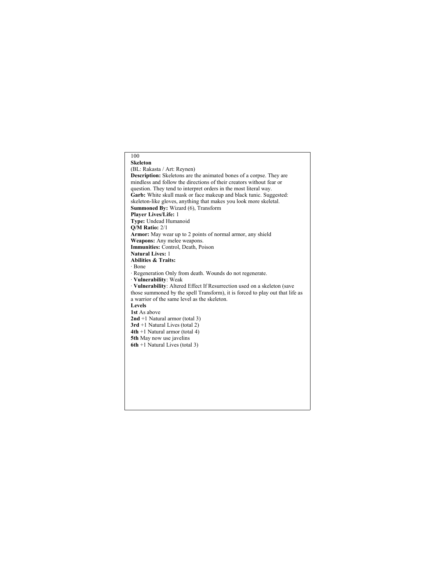## 100 **Skeleton** (BL: Rakasta / Art: Reynen) **Description:** Skeletons are the animated bones of a corpse. They are mindless and follow the directions of their creators without fear or question. They tend to interpret orders in the most literal way. **Garb:** White skull mask or face makeup and black tunic. Suggested: skeleton-like gloves, anything that makes you look more skeletal. **Summoned By:** Wizard (6), Transform **Player Lives/Life:** 1 **Type:** Undead Humanoid **Q/M Ratio:** 2/1 **Armor:** May wear up to 2 points of normal armor, any shield **Weapons:** Any melee weapons. **Immunities:** Control, Death, Poison **Natural Lives:** 1 **Abilities & Traits:** · Bone · Regeneration Only from death. Wounds do not regenerate. · **Vulnerability**: Weak · **Vulnerability**: Altered Effect If Resurrection used on a skeleton (save those summoned by the spell Transform), it is forced to play out that life as a warrior of the same level as the skeleton. **Levels 1st** As above **2nd** +1 Natural armor (total 3) **3rd** +1 Natural Lives (total 2) **4th** +1 Natural armor (total 4) **5th** May now use javelins **6th** +1 Natural Lives (total 3)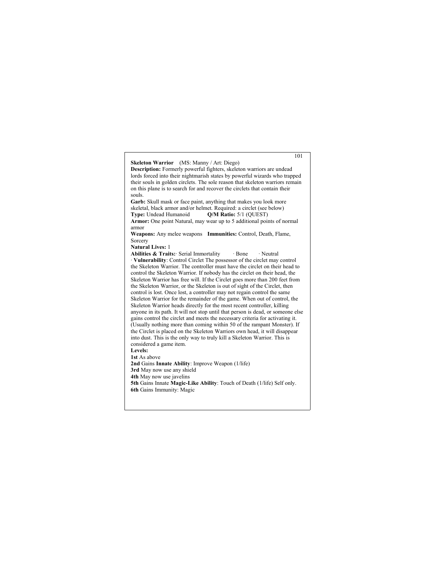101 **Skeleton Warrior** (MS: Manny / Art: Diego) **Description:** Formerly powerful fighters, skeleton warriors are undead lords forced into their nightmarish states by powerful wizards who trapped their souls in golden circlets. The sole reason that skeleton warriors remain on this plane is to search for and recover the circlets that contain their souls. **Garb:** Skull mask or face paint, anything that makes you look more skeletal, black armor and/or helmet. Required: a circlet (see below)<br>Type: Undead Humanoid Q/M Ratio: 5/1 (QUEST) **Q/M Ratio:** 5/1 (QUEST) **Armor:** One point Natural, may wear up to 5 additional points of normal armor **Weapons:** Any melee weapons **Immunities:** Control, Death, Flame, Sorcery **Natural Lives:** 1 **Abilities & Traits:** Serial Immortality · Bone · Neutral · **Vulnerability**: Control Circlet The possessor of the circlet may control the Skeleton Warrior. The controller must have the circlet on their head to control the Skeleton Warrior. If nobody has the circlet on their head, the Skeleton Warrior has free will. If the Circlet goes more than 200 feet from the Skeleton Warrior, or the Skeleton is out of sight of the Circlet, then control is lost. Once lost, a controller may not regain control the same Skeleton Warrior for the remainder of the game. When out of control, the Skeleton Warrior heads directly for the most recent controller, killing anyone in its path. It will not stop until that person is dead, or someone else gains control the circlet and meets the necessary criteria for activating it. (Usually nothing more than coming within 50 of the rampant Monster). If the Circlet is placed on the Skeleton Warriors own head, it will disappear into dust. This is the only way to truly kill a Skeleton Warrior. This is considered a game item. **Levels: 1st** As above **2nd** Gains **Innate Ability**: Improve Weapon (1/life) **3rd** May now use any shield **4th** May now use javelins **5th** Gains Innate **Magic-Like Ability**: Touch of Death (1/life) Self only. **6th** Gains Immunity: Magic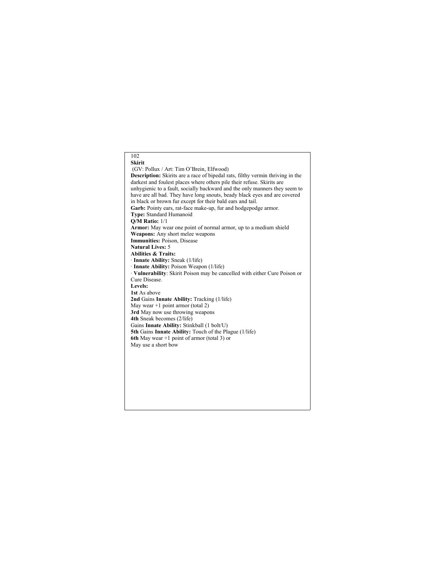## 102 **Skirit** (GV: Pollux / Art: Tim O'Brein, Elfwood) **Description:** Skirits are a race of bipedal rats, filthy vermin thriving in the darkest and foulest places where others pile their refuse. Skirits are unhygienic to a fault, socially backward and the only manners they seem to have are all bad. They have long snouts, beady black eyes and are covered in black or brown fur except for their bald ears and tail. **Garb:** Pointy ears, rat-face make-up, fur and hodgepodge armor. **Type:** Standard Humanoid **Q/M Ratio:** 1/1 **Armor:** May wear one point of normal armor, up to a medium shield **Weapons:** Any short melee weapons **Immunities:** Poison, Disease **Natural Lives:** 5 **Abilities & Traits:** · **Innate Ability:** Sneak (1/life) · **Innate Ability:** Poison Weapon (1/life) · **Vulnerability**: Skirit Poison may be cancelled with either Cure Poison or Cure Disease. **Levels: 1st** As above **2nd** Gains **Innate Ability:** Tracking (1/life) May wear +1 point armor (total 2) **3rd** May now use throwing weapons **4th** Sneak becomes (2/life) Gains **Innate Ability:** Stinkball (1 bolt/U) **5th** Gains **Innate Ability:** Touch of the Plague (1/life) **6th** May wear +1 point of armor (total 3) or May use a short bow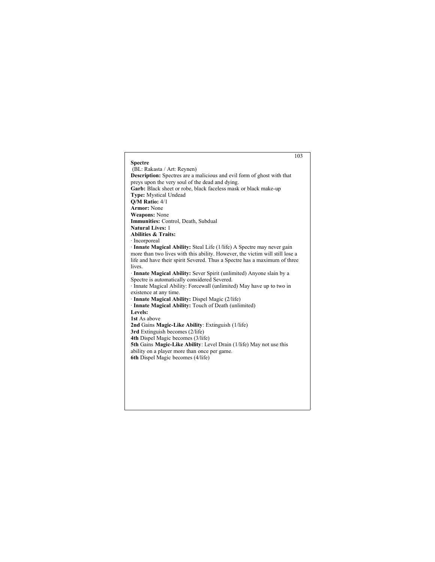|                                                                               | 103 |
|-------------------------------------------------------------------------------|-----|
| <b>Spectre</b>                                                                |     |
| (BL: Rakasta / Art: Reynen)                                                   |     |
| <b>Description:</b> Spectres are a malicious and evil form of ghost with that |     |
| preys upon the very soul of the dead and dying.                               |     |
| Garb: Black sheet or robe, black faceless mask or black make-up               |     |
| <b>Type:</b> Mystical Undead                                                  |     |
| $O/M$ Ratio: $4/1$                                                            |     |
| <b>Armor: None</b>                                                            |     |
| <b>Weapons: None</b>                                                          |     |
| Immunities: Control, Death, Subdual                                           |     |
| <b>Natural Lives: 1</b>                                                       |     |
| <b>Abilities &amp; Traits:</b>                                                |     |
| · Incorporeal                                                                 |     |
| Innate Magical Ability: Steal Life (1/life) A Spectre may never gain          |     |
| more than two lives with this ability. However, the victim will still lose a  |     |
| life and have their spirit Severed. Thus a Spectre has a maximum of three     |     |
| lives.                                                                        |     |
| · Innate Magical Ability: Sever Spirit (unlimited) Anyone slain by a          |     |
| Spectre is automatically considered Severed.                                  |     |
| · Innate Magical Ability: Forcewall (unlimited) May have up to two in         |     |
| existence at any time.                                                        |     |
| · Innate Magical Ability: Dispel Magic (2/life)                               |     |
| · Innate Magical Ability: Touch of Death (unlimited)                          |     |
| Levels:                                                                       |     |
| 1st As above                                                                  |     |
| 2nd Gains Magic-Like Ability: Extinguish (1/life)                             |     |
| 3rd Extinguish becomes (2/life)                                               |     |
| <b>4th Dispel Magic becomes (3/life)</b>                                      |     |
| 5th Gains Magic-Like Ability: Level Drain (1/life) May not use this           |     |
| ability on a player more than once per game.                                  |     |
| 6th Dispel Magic becomes (4/life)                                             |     |
|                                                                               |     |
|                                                                               |     |
|                                                                               |     |
|                                                                               |     |
|                                                                               |     |
|                                                                               |     |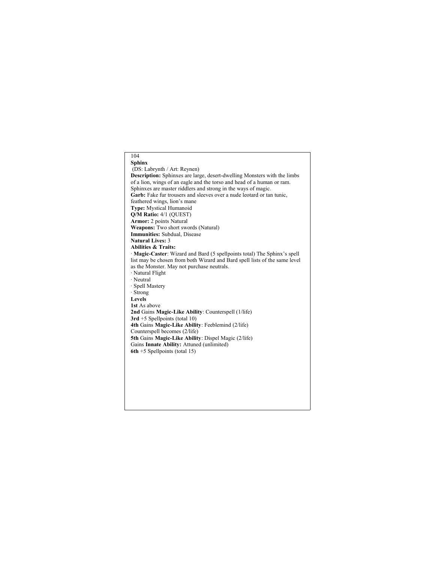## 104 **Sphinx** (DS: Labrynth / Art: Reynen) **Description:** Sphinxes are large, desert-dwelling Monsters with the limbs of a lion, wings of an eagle and the torso and head of a human or ram. Sphinxes are master riddlers and strong in the ways of magic. Garb: Fake fur trousers and sleeves over a nude leotard or tan tunic, feathered wings, lion's mane **Type:** Mystical Humanoid **Q/M Ratio:** 4/1 (QUEST) **Armor:** 2 points Natural **Weapons:** Two short swords (Natural) **Immunities:** Subdual, Disease **Natural Lives:** 3 **Abilities & Traits:** · **Magic-Caster**: Wizard and Bard (5 spellpoints total) The Sphinx's spell list may be chosen from both Wizard and Bard spell lists of the same level as the Monster. May not purchase neutrals. · Natural Flight · Neutral · Spell Mastery · Strong **Levels 1st** As above **2nd** Gains **Magic-Like Ability**: Counterspell (1/life) **3rd** +5 Spellpoints (total 10) **4th** Gains **Magic-Like Ability**: Feeblemind (2/life) Counterspell becomes (2/life) **5th** Gains **Magic-Like Ability**: Dispel Magic (2/life) Gains **Innate Ability:** Attuned (unlimited) **6th** +5 Spellpoints (total 15)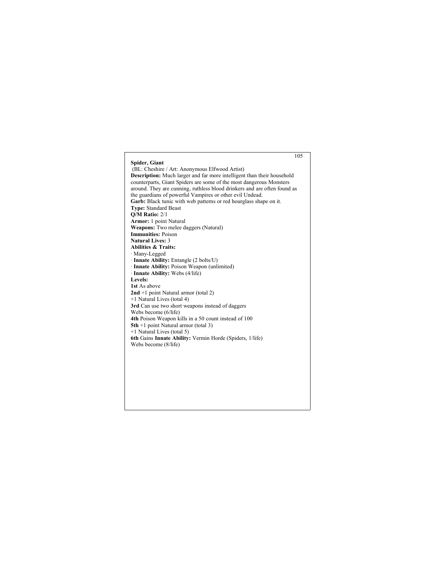# 105 **Spider, Giant** (BL: Cheshire / Art: Anonymous Elfwood Artist) **Description:** Much larger and far more intelligent than their household counterparts, Giant Spiders are some of the most dangerous Monsters around. They are cunning, ruthless blood drinkers and are often found as the guardians of powerful Vampires or other evil Undead. **Garb:** Black tunic with web patterns or red hourglass shape on it. **Type:** Standard Beast **Q/M Ratio:** 2/1 **Armor:** 1 point Natural **Weapons:** Two melee daggers (Natural) **Immunities:** Poison **Natural Lives:** 3 **Abilities & Traits:** · Many-Legged · **Innate Ability:** Entangle (2 bolts/U) · **Innate Ability:** Poison Weapon (unlimited) · **Innate Ability:** Webs (4/life) **Levels: 1st** As above **2nd** +1 point Natural armor (total 2) +1 Natural Lives (total 4) **3rd** Can use two short weapons instead of daggers Webs become (6/life) **4th** Poison Weapon kills in a 50 count instead of 100 **5th** +1 point Natural armor (total 3) +1 Natural Lives (total 5) **6th** Gains **Innate Ability:** Vermin Horde (Spiders, 1/life) Webs become (8/life)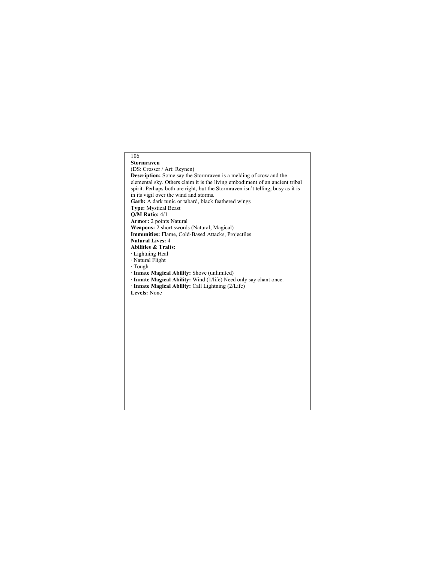# 106 **Stormraven** (DS: Crosser / Art: Reynen) **Description:** Some say the Stormraven is a melding of crow and the elemental sky. Others claim it is the living embodiment of an ancient tribal spirit. Perhaps both are right, but the Stormraven isn't telling, busy as it is in its vigil over the wind and storms. Garb: A dark tunic or tabard, black feathered wings **Type:** Mystical Beast **Q/M Ratio:** 4/1 **Armor:** 2 points Natural **Weapons:** 2 short swords (Natural, Magical) **Immunities:** Flame, Cold-Based Attacks, Projectiles **Natural Lives:** 4 **Abilities & Traits:** · Lightning Heal · Natural Flight · Tough · **Innate Magical Ability:** Shove (unlimited) · **Innate Magical Ability:** Wind (1/life) Need only say chant once. · **Innate Magical Ability:** Call Lightning (2/Life) **Levels:** None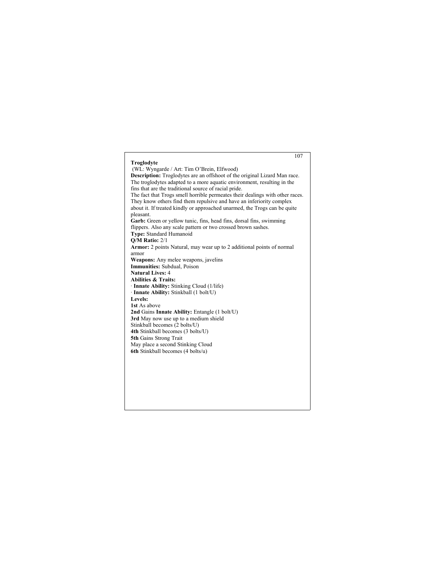# 107 **Troglodyte** (WL: Wyngarde / Art: Tim O'Brein, Elfwood) **Description:** Troglodytes are an offshoot of the original Lizard Man race. The troglodytes adapted to a more aquatic environment, resulting in the fins that are the traditional source of racial pride. The fact that Trogs smell horrible permeates their dealings with other races. They know others find them repulsive and have an inferiority complex about it. If treated kindly or approached unarmed, the Trogs can be quite pleasant. **Garb:** Green or yellow tunic, fins, head fins, dorsal fins, swimming flippers. Also any scale pattern or two crossed brown sashes. **Type:** Standard Humanoid **Q/M Ratio:** 2/1 **Armor:** 2 points Natural, may wear up to 2 additional points of normal armor **Weapons:** Any melee weapons, javelins **Immunities:** Subdual, Poison **Natural Lives:** 4 **Abilities & Traits:** · **Innate Ability:** Stinking Cloud (1/life) · **Innate Ability:** Stinkball (1 bolt/U) **Levels: 1st** As above **2nd** Gains **Innate Ability:** Entangle (1 bolt/U) **3rd** May now use up to a medium shield Stinkball becomes (2 bolts/U) **4th** Stinkball becomes (3 bolts/U) **5th** Gains Strong Trait May place a second Stinking Cloud **6th** Stinkball becomes (4 bolts/u)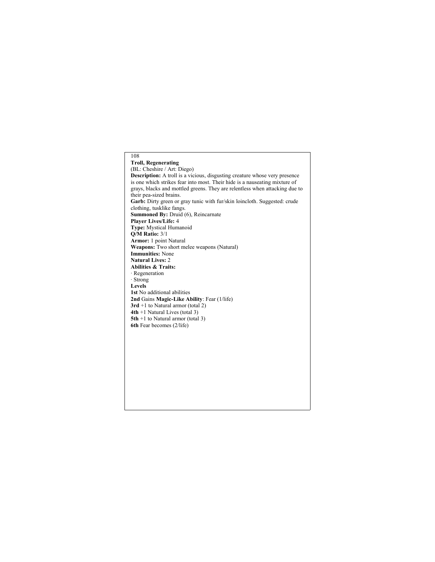108 **Troll, Regenerating** (BL: Cheshire / Art: Diego) **Description:** A troll is a vicious, disgusting creature whose very presence is one which strikes fear into most. Their hide is a nauseating mixture of grays, blacks and mottled greens. They are relentless when attacking due to their pea-sized brains. Garb: Dirty green or gray tunic with fur/skin loincloth. Suggested: crude clothing, tusklike fangs. **Summoned By:** Druid (6), Reincarnate **Player Lives/Life:** 4 **Type:** Mystical Humanoid **Q/M Ratio:** 3/1 **Armor:** 1 point Natural **Weapons:** Two short melee weapons (Natural) **Immunities:** None **Natural Lives:** 2 **Abilities & Traits:** · Regeneration · Strong **Levels 1st** No additional abilities **2nd** Gains **Magic-Like Ability**: Fear (1/life) **3rd** +1 to Natural armor (total 2) **4th** +1 Natural Lives (total 3) **5th** +1 to Natural armor (total 3) **6th** Fear becomes (2/life)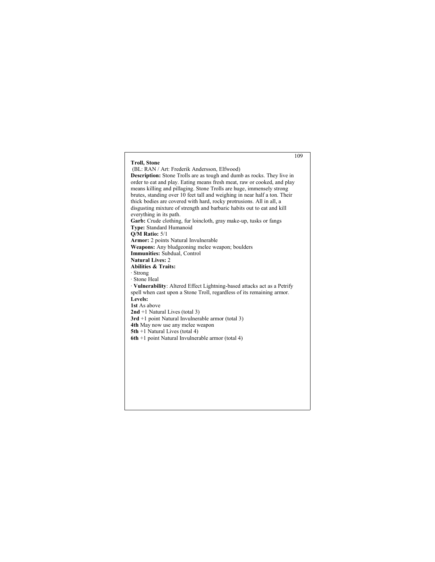# 109 **Troll, Stone** (BL: RAN / Art: Frederik Andersson, Elfwood) **Description:** Stone Trolls are as tough and dumb as rocks. They live in order to eat and play. Eating means fresh meat, raw or cooked, and play means killing and pillaging. Stone Trolls are huge, immensely strong brutes, standing over 10 feet tall and weighing in near half a ton. Their thick bodies are covered with hard, rocky protrusions. All in all, a disgusting mixture of strength and barbaric habits out to eat and kill everything in its path. **Garb:** Crude clothing, fur loincloth, gray make-up, tusks or fangs **Type:** Standard Humanoid **Q/M Ratio:** 5/1 **Armor:** 2 points Natural Invulnerable **Weapons:** Any bludgeoning melee weapon; boulders **Immunities:** Subdual, Control **Natural Lives:** 2 **Abilities & Traits:** · Strong · Stone Heal · **Vulnerability**: Altered Effect Lightning-based attacks act as a Petrify spell when cast upon a Stone Troll, regardless of its remaining armor. **Levels: 1st** As above **2nd** +1 Natural Lives (total 3) **3rd** +1 point Natural Invulnerable armor (total 3) **4th** May now use any melee weapon **5th** +1 Natural Lives (total 4) **6th** +1 point Natural Invulnerable armor (total 4)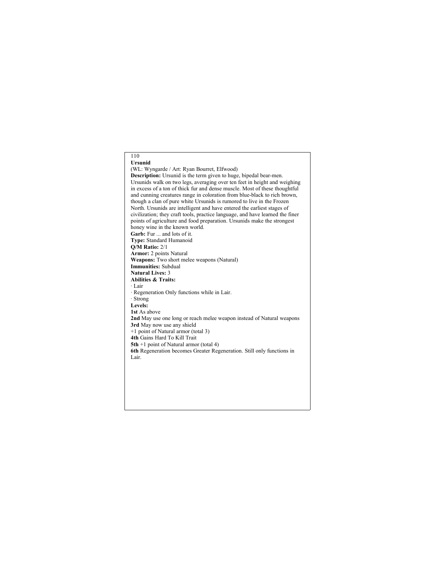# 110 **Ursunid** (WL: Wyngarde / Art: Ryan Bourret, Elfwood) **Description:** Ursunid is the term given to huge, bipedal bear-men. Ursunids walk on two legs, averaging over ten feet in height and weighing in excess of a ton of thick fur and dense muscle. Most of these thoughtful and cunning creatures range in coloration from blue-black to rich brown, though a clan of pure white Ursunids is rumored to live in the Frozen North. Ursunids are intelligent and have entered the earliest stages of civilization; they craft tools, practice language, and have learned the finer points of agriculture and food preparation. Ursunids make the strongest honey wine in the known world. **Garb:** Fur ... and lots of it. **Type:** Standard Humanoid **Q/M Ratio:** 2/1 **Armor:** 2 points Natural **Weapons:** Two short melee weapons (Natural) **Immunities:** Subdual **Natural Lives:** 3 **Abilities & Traits:** · Lair · Regeneration Only functions while in Lair. · Strong **Levels: 1st** As above **2nd** May use one long or reach melee weapon instead of Natural weapons **3rd** May now use any shield +1 point of Natural armor (total 3) **4th** Gains Hard To Kill Trait **5th** +1 point of Natural armor (total 4) **6th** Regeneration becomes Greater Regeneration. Still only functions in Lair.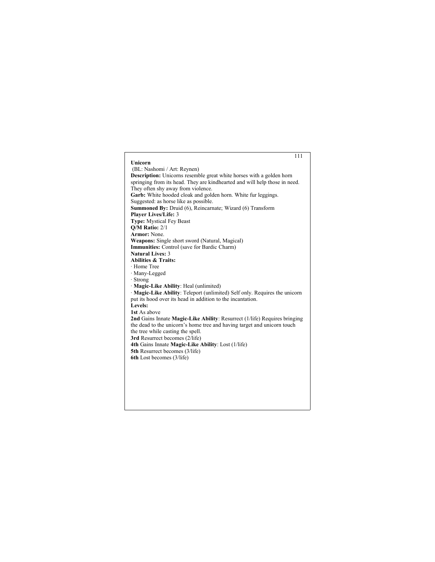# 111 **Unicorn** (BL: Nashomi / Art: Reynen) **Description:** Unicorns resemble great white horses with a golden horn springing from its head. They are kindhearted and will help those in need. They often shy away from violence. **Garb:** White hooded cloak and golden horn. White fur leggings. Suggested: as horse like as possible. **Summoned By:** Druid (6), Reincarnate; Wizard (6) Transform **Player Lives/Life:** 3 **Type:** Mystical Fey Beast **Q/M Ratio:** 2/1 **Armor:** None. **Weapons:** Single short sword (Natural, Magical) **Immunities:** Control (save for Bardic Charm) **Natural Lives:** 3 **Abilities & Traits:** · Home Tree · Many-Legged · Strong · **Magic-Like Ability**: Heal (unlimited) · **Magic-Like Ability**: Teleport (unlimited) Self only. Requires the unicorn put its hood over its head in addition to the incantation. **Levels: 1st** As above **2nd** Gains Innate **Magic-Like Ability**: Resurrect (1/life) Requires bringing the dead to the unicorn's home tree and having target and unicorn touch the tree while casting the spell. **3rd** Resurrect becomes (2/life) **4th** Gains Innate **Magic-Like Ability**: Lost (1/life) **5th** Resurrect becomes (3/life) **6th** Lost becomes (3/life)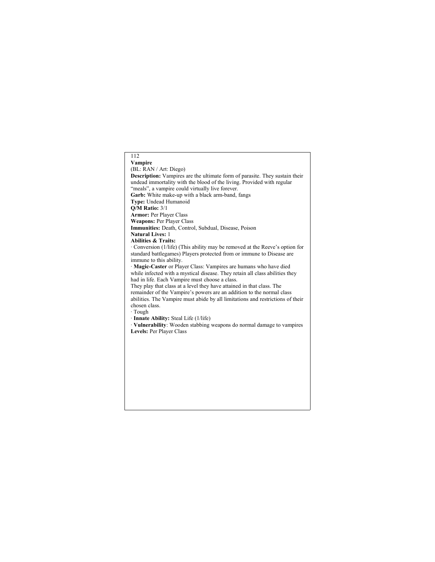# 112 **Vampire** (BL: RAN / Art: Diego) **Description:** Vampires are the ultimate form of parasite. They sustain their undead immortality with the blood of the living. Provided with regular "meals", a vampire could virtually live forever. **Garb:** White make-up with a black arm-band, fangs **Type:** Undead Humanoid **Q/M Ratio:** 3/1 **Armor:** Per Player Class **Weapons:** Per Player Class **Immunities:** Death, Control, Subdual, Disease, Poison **Natural Lives:** 1 **Abilities & Traits:** · Conversion (1/life) (This ability may be removed at the Reeve's option for standard battlegames) Players protected from or immune to Disease are immune to this ability. · **Magic-Caster** or Player Class: Vampires are humans who have died while infected with a mystical disease. They retain all class abilities they had in life. Each Vampire must choose a class. They play that class at a level they have attained in that class. The remainder of the Vampire's powers are an addition to the normal class abilities. The Vampire must abide by all limitations and restrictions of their chosen class. · Tough · **Innate Ability:** Steal Life (1/life) · **Vulnerability**: Wooden stabbing weapons do normal damage to vampires **Levels:** Per Player Class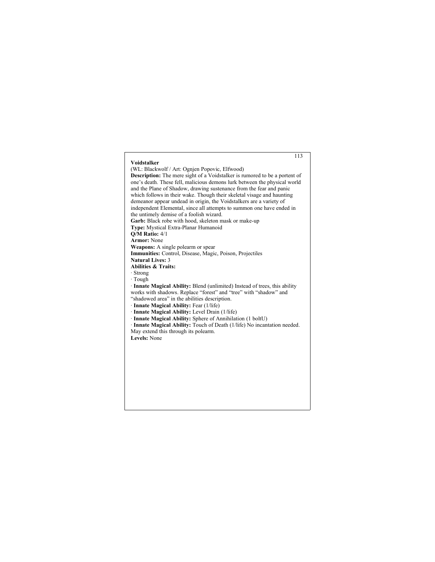# 113 **Voidstalker** (WL: Blackwolf / Art: Ognjen Popovic, Elfwood) **Description:** The mere sight of a Voidstalker is rumored to be a portent of one's death. These fell, malicious demons lurk between the physical world and the Plane of Shadow, drawing sustenance from the fear and panic which follows in their wake. Though their skeletal visage and haunting demeanor appear undead in origin, the Voidstalkers are a variety of independent Elemental, since all attempts to summon one have ended in the untimely demise of a foolish wizard. **Garb:** Black robe with hood, skeleton mask or make-up **Type:** Mystical Extra-Planar Humanoid **Q/M Ratio:** 4/1 **Armor:** None **Weapons:** A single polearm or spear **Immunities:** Control, Disease, Magic, Poison, Projectiles **Natural Lives:** 3 **Abilities & Traits:** · Strong · Tough · **Innate Magical Ability:** Blend (unlimited) Instead of trees, this ability works with shadows. Replace "forest" and "tree" with "shadow" and "shadowed area" in the abilities description. · **Innate Magical Ability:** Fear (1/life) · **Innate Magical Ability:** Level Drain (1/life) · **Innate Magical Ability:** Sphere of Annihilation (1 boltU) · **Innate Magical Ability:** Touch of Death (1/life) No incantation needed. May extend this through its polearm. **Levels:** None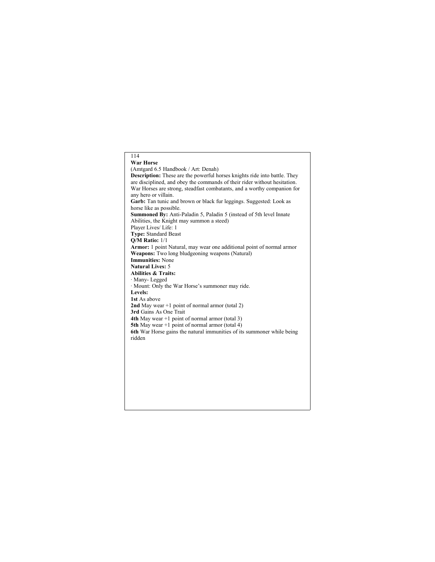# 114 **War Horse** (Amtgard 6.5 Handbook / Art: Denah) **Description:** These are the powerful horses knights ride into battle. They are disciplined, and obey the commands of their rider without hesitation. War Horses are strong, steadfast combatants, and a worthy companion for any hero or villain. **Garb:** Tan tunic and brown or black fur leggings. Suggested: Look as horse like as possible. **Summoned By:** Anti-Paladin 5, Paladin 5 (instead of 5th level Innate Abilities, the Knight may summon a steed) Player Lives/ Life: 1 **Type:** Standard Beast **Q/M Ratio:** 1/1 **Armor:** 1 point Natural, may wear one additional point of normal armor **Weapons:** Two long bludgeoning weapons (Natural) **Immunities:** None **Natural Lives:** 5 **Abilities & Traits:** · Many- Legged · Mount: Only the War Horse's summoner may ride. **Levels: 1st** As above **2nd** May wear +1 point of normal armor (total 2) **3rd** Gains As One Trait **4th** May wear +1 point of normal armor (total 3) **5th** May wear +1 point of normal armor (total 4) **6th** War Horse gains the natural immunities of its summoner while being ridden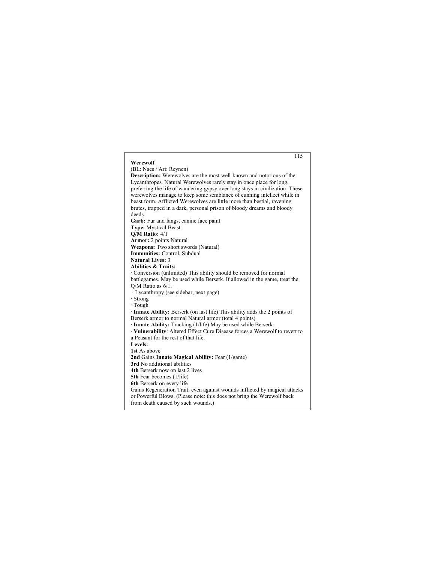#### 115 **Werewolf** (BL: Naes / Art: Reynen) **Description:** Werewolves are the most well-known and notorious of the Lycanthropes. Natural Werewolves rarely stay in once place for long, preferring the life of wandering gypsy over long stays in civilization. These werewolves manage to keep some semblance of cunning intellect while in beast form. Afflicted Werewolves are little more than bestial, ravening brutes, trapped in a dark, personal prison of bloody dreams and bloody deeds. **Garb:** Fur and fangs, canine face paint. **Type:** Mystical Beast **Q/M Ratio:** 4/1 **Armor:** 2 points Natural **Weapons:** Two short swords (Natural) **Immunities:** Control, Subdual **Natural Lives:** 3 **Abilities & Traits:** · Conversion (unlimited) This ability should be removed for normal battlegames. May be used while Berserk. If allowed in the game, treat the Q/M Ratio as 6/1. · Lycanthropy (see sidebar, next page) · Strong · Tough · **Innate Ability:** Berserk (on last life) This ability adds the 2 points of Berserk armor to normal Natural armor (total 4 points) · **Innate Ability:** Tracking (1/life) May be used while Berserk. · **Vulnerability**: Altered Effect Cure Disease forces a Werewolf to revert to a Peasant for the rest of that life. **Levels: 1st** As above **2nd** Gains **Innate Magical Ability:** Fear (1/game) **3rd** No additional abilities **4th** Berserk now on last 2 lives **5th** Fear becomes (1/life) **6th** Berserk on every life Gains Regeneration Trait, even against wounds inflicted by magical attacks or Powerful Blows. (Please note: this does not bring the Werewolf back from death caused by such wounds.)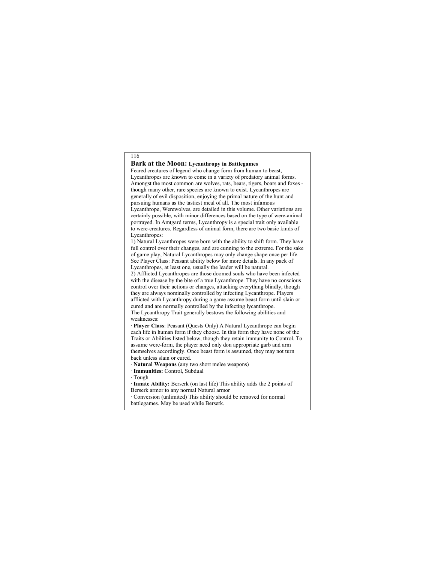# **Bark at the Moon: Lycanthropy in Battlegames**

Feared creatures of legend who change form from human to beast, Lycanthropes are known to come in a variety of predatory animal forms. Amongst the most common are wolves, rats, bears, tigers, boars and foxes though many other, rare species are known to exist. Lycanthropes are generally of evil disposition, enjoying the primal nature of the hunt and pursuing humans as the tastiest meal of all. The most infamous Lycanthrope, Werewolves, are detailed in this volume. Other variations are certainly possible, with minor differences based on the type of were-animal portrayed. In Amtgard terms, Lycanthropy is a special trait only available to were-creatures. Regardless of animal form, there are two basic kinds of Lycanthropes:

1) Natural Lycanthropes were born with the ability to shift form. They have full control over their changes, and are cunning to the extreme. For the sake of game play, Natural Lycanthropes may only change shape once per life. See Player Class: Peasant ability below for more details. In any pack of Lycanthropes, at least one, usually the leader will be natural.

2) Afflicted Lycanthropes are those doomed souls who have been infected with the disease by the bite of a true Lycanthrope. They have no conscious control over their actions or changes, attacking everything blindly, though they are always nominally controlled by infecting Lycanthrope. Players afflicted with Lycanthropy during a game assume beast form until slain or cured and are normally controlled by the infecting lycanthrope. The Lycanthropy Trait generally bestows the following abilities and weaknesses:

· **Player Class**: Peasant (Quests Only) A Natural Lycanthrope can begin each life in human form if they choose. In this form they have none of the Traits or Abilities listed below, though they retain immunity to Control. To assume were-form, the player need only don appropriate garb and arm themselves accordingly. Once beast form is assumed, they may not turn back unless slain or cured.

· **Natural Weapons** (any two short melee weapons)

· **Immunities:** Control, Subdual

· Tough

· **Innate Ability:** Berserk (on last life) This ability adds the 2 points of Berserk armor to any normal Natural armor

· Conversion (unlimited) This ability should be removed for normal battlegames. May be used while Berserk.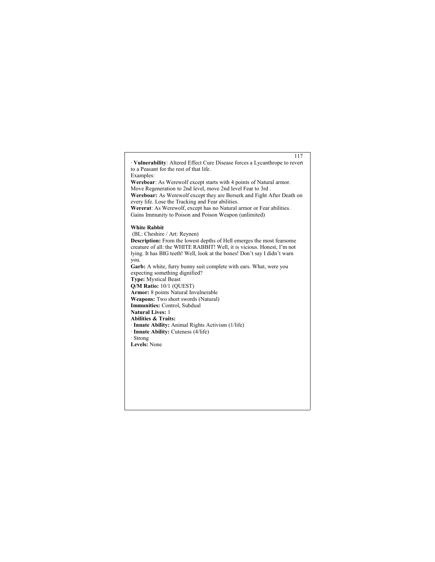· **Vulnerability**: Altered Effect Cure Disease forces a Lycanthrope to revert to a Peasant for the rest of that life. Examples: **Werebear**: As Werewolf except starts with 4 points of Natural armor. Move Regeneration to 2nd level, move 2nd level Fear to 3rd . **Wereboar:** As Werewolf except they are Berserk and Fight After Death on every life. Lose the Tracking and Fear abilities. **Wererat**: As Werewolf, except has no Natural armor or Fear abilities. Gains Immunity to Poison and Poison Weapon (unlimited) **White Rabbit** (BL: Cheshire / Art: Reynen) **Description:** From the lowest depths of Hell emerges the most fearsome creature of all: the WHITE RABBIT! Well, it is vicious. Honest, I'm not lying. It has BIG teeth! Well, look at the bones! Don't say I didn't warn you. Garb: A white, furry bunny suit complete with ears. What, were you expecting something dignified? **Type:** Mystical Beast **Q/M Ratio:** 10/1 (QUEST) **Armor:** 8 points Natural Invulnerable **Weapons:** Two short swords (Natural) **Immunities:** Control, Subdual **Natural Lives:** 1 **Abilities & Traits:** · **Innate Ability:** Animal Rights Activism (1/life) · **Innate Ability:** Cuteness (4/life) · Strong **Levels:** None

117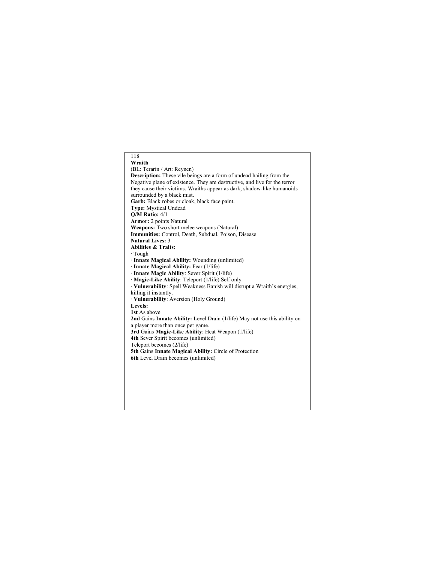# 118 **Wraith** (BL: Terarin / Art: Reynen) **Description:** These vile beings are a form of undead hailing from the Negative plane of existence. They are destructive, and live for the terror they cause their victims. Wraiths appear as dark, shadow-like humanoids surrounded by a black mist. **Garb:** Black robes or cloak, black face paint. **Type:** Mystical Undead **Q/M Ratio:** 4/1 **Armor:** 2 points Natural **Weapons:** Two short melee weapons (Natural) **Immunities:** Control, Death, Subdual, Poison, Disease **Natural Lives:** 3 **Abilities & Traits:** · Tough · **Innate Magical Ability:** Wounding (unlimited) · **Innate Magical Ability:** Fear (1/life) · **Innate Magic Ability**: Sever Spirit (1/life) · **Magic-Like Ability**: Teleport (1/life) Self only. · **Vulnerability**: Spell Weakness Banish will disrupt a Wraith's energies, killing it instantly. · **Vulnerability**: Aversion (Holy Ground) **Levels: 1st** As above **2nd** Gains **Innate Ability:** Level Drain (1/life) May not use this ability on a player more than once per game. **3rd** Gains **Magic-Like Ability**: Heat Weapon (1/life) **4th** Sever Spirit becomes (unlimited) Teleport becomes (2/life) **5th** Gains **Innate Magical Ability:** Circle of Protection **6th** Level Drain becomes (unlimited)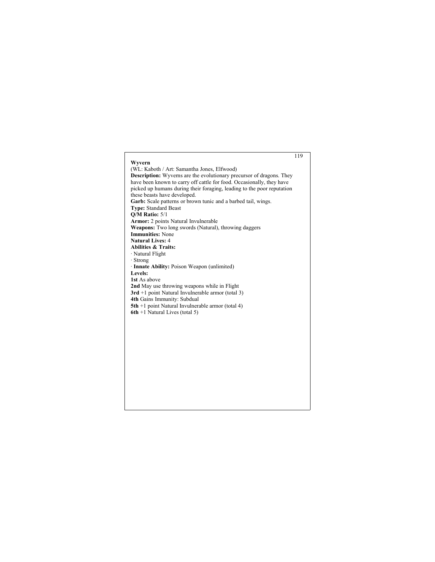# 119 **Wyvern** (WL: Kaboth / Art: Samantha Jones, Elfwood) **Description:** Wyverns are the evolutionary precursor of dragons. They have been known to carry off cattle for food. Occasionally, they have picked up humans during their foraging, leading to the poor reputation these beasts have developed. **Garb:** Scale patterns or brown tunic and a barbed tail, wings. **Type:** Standard Beast **Q/M Ratio:** 5/1 **Armor:** 2 points Natural Invulnerable **Weapons:** Two long swords (Natural), throwing daggers **Immunities:** None **Natural Lives:** 4 **Abilities & Traits:** · Natural Flight · Strong · **Innate Ability:** Poison Weapon (unlimited) **Levels: 1st** As above **2nd** May use throwing weapons while in Flight **3rd** +1 point Natural Invulnerable armor (total 3) **4th** Gains Immunity: Subdual **5th** +1 point Natural Invulnerable armor (total 4) **6th** +1 Natural Lives (total 5)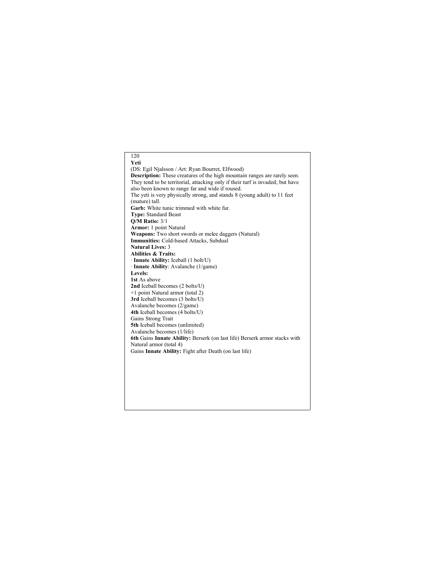# 120 **Yeti** (DS: Egil Njalsson / Art: Ryan Bourret, Elfwood) **Description:** These creatures of the high mountain ranges are rarely seen. They tend to be territorial, attacking only if their turf is invaded; but have also been known to range far and wide if roused. The yeti is very physically strong, and stands 8 (young adult) to 11 feet (mature) tall. **Garb:** White tunic trimmed with white fur. **Type:** Standard Beast **Q/M Ratio:** 3/1 **Armor:** 1 point Natural **Weapons:** Two short swords or melee daggers (Natural) **Immunities:** Cold-based Attacks, Subdual **Natural Lives:** 3 **Abilities & Traits:** · **Innate Ability:** Iceball (1 bolt/U) · **Innate Ability**: Avalanche (1/game) **Levels: 1st** As above **2nd** Iceball becomes (2 bolts/U) +1 point Natural armor (total 2) **3rd** Iceball becomes (3 bolts/U) Avalanche becomes (2/game) **4th** Iceball becomes (4 bolts/U) Gains Strong Trait **5th** Iceball becomes (unlimited) Avalanche becomes (1/life) **6th** Gains **Innate Ability:** Berserk (on last life) Berserk armor stacks with Natural armor (total 4) Gains **Innate Ability:** Fight after Death (on last life)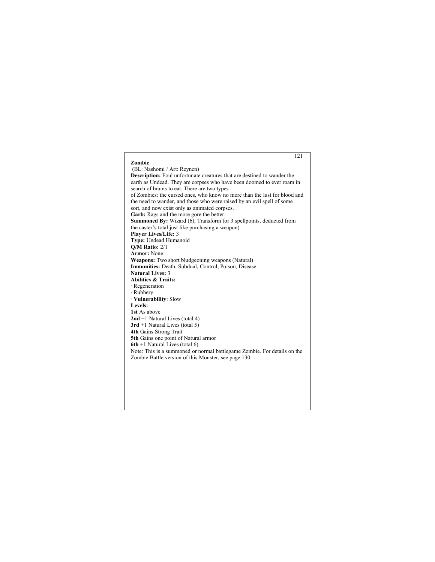### 121 **Zombie** (BL: Nashomi / Art: Reynen) **Description:** Foul unfortunate creatures that are destined to wander the earth as Undead. They are corpses who have been doomed to ever roam in search of brains to eat. There are two types of Zombies: the cursed ones, who know no more than the lust for blood and the need to wander, and those who were raised by an evil spell of some sort, and now exist only as animated corpses. **Garb:** Rags and the more gore the better. **Summoned By:** Wizard (6), Transform (or 3 spellpoints, deducted from the caster's total just like purchasing a weapon) **Player Lives/Life:** 3 **Type:** Undead Humanoid **Q/M Ratio:** 2/1 **Armor:** None **Weapons:** Two short bludgeoning weapons (Natural) **Immunities:** Death, Subdual, Control, Poison, Disease **Natural Lives:** 3 **Abilities & Traits:** · Regeneration · Rubbery · **Vulnerability**: Slow **Levels: 1st** As above **2nd** +1 Natural Lives (total 4) **3rd** +1 Natural Lives (total 5) **4th** Gains Strong Trait **5th** Gains one point of Natural armor **6th** +1 Natural Lives (total 6) Note: This is a summoned or normal battlegame Zombie. For details on the Zombie Battle version of this Monster, see page 130.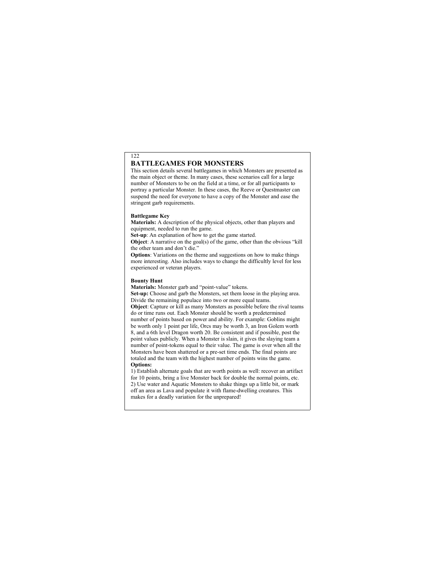# **BATTLEGAMES FOR MONSTERS**

This section details several battlegames in which Monsters are presented as the main object or theme. In many cases, these scenarios call for a large number of Monsters to be on the field at a time, or for all participants to portray a particular Monster. In these cases, the Reeve or Questmaster can suspend the need for everyone to have a copy of the Monster and ease the stringent garb requirements.

#### **Battlegame Key**

122

**Materials:** A description of the physical objects, other than players and equipment, needed to run the game.

**Set-up**: An explanation of how to get the game started.

**Object:** A narrative on the goal(s) of the game, other than the obvious "kill" the other team and don't die."

**Options**: Variations on the theme and suggestions on how to make things more interesting. Also includes ways to change the difficultly level for less experienced or veteran players.

#### **Bounty Hunt**

**Materials:** Monster garb and "point-value" tokens.

**Set-up:** Choose and garb the Monsters, set them loose in the playing area. Divide the remaining populace into two or more equal teams.

**Object**: Capture or kill as many Monsters as possible before the rival teams do or time runs out. Each Monster should be worth a predetermined number of points based on power and ability. For example: Goblins might be worth only 1 point per life, Orcs may be worth 3, an Iron Golem worth 8, and a 6th level Dragon worth 20. Be consistent and if possible, post the point values publicly. When a Monster is slain, it gives the slaying team a number of point-tokens equal to their value. The game is over when all the Monsters have been shattered or a pre-set time ends. The final points are totaled and the team with the highest number of points wins the game. **Options:**

1) Establish alternate goals that are worth points as well: recover an artifact for 10 points, bring a live Monster back for double the normal points, etc. 2) Use water and Aquatic Monsters to shake things up a little bit, or mark off an area as Lava and populate it with flame-dwelling creatures. This makes for a deadly variation for the unprepared!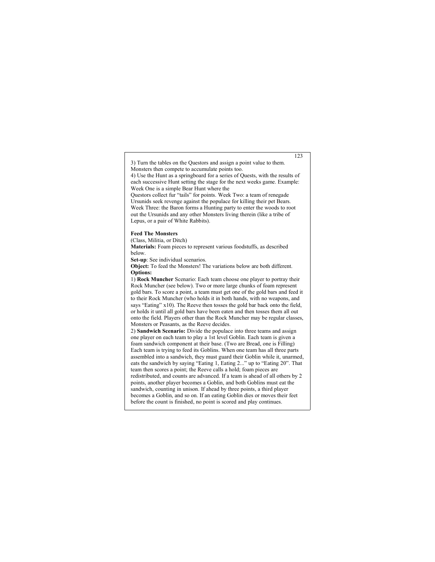3) Turn the tables on the Questors and assign a point value to them. Monsters then compete to accumulate points too.

4) Use the Hunt as a springboard for a series of Quests, with the results of each successive Hunt setting the stage for the next weeks game. Example: Week One is a simple Bear Hunt where the

Questors collect fur "tails" for points. Week Two: a team of renegade Ursunids seek revenge against the populace for killing their pet Bears. Week Three: the Baron forms a Hunting party to enter the woods to root out the Ursunids and any other Monsters living therein (like a tribe of Lepus, or a pair of White Rabbits).

#### **Feed The Monsters**

(Class, Militia, or Ditch)

**Materials:** Foam pieces to represent various foodstuffs, as described below.

**Set-up**: See individual scenarios.

**Object:** To feed the Monsters! The variations below are both different. **Options:**

1) **Rock Muncher** Scenario: Each team choose one player to portray their Rock Muncher (see below). Two or more large chunks of foam represent gold bars. To score a point, a team must get one of the gold bars and feed it to their Rock Muncher (who holds it in both hands, with no weapons, and says "Eating" x10). The Reeve then tosses the gold bar back onto the field, or holds it until all gold bars have been eaten and then tosses them all out onto the field. Players other than the Rock Muncher may be regular classes, Monsters or Peasants, as the Reeve decides.

2) **Sandwich Scenario:** Divide the populace into three teams and assign one player on each team to play a 1st level Goblin. Each team is given a foam sandwich component at their base. (Two are Bread, one is Filling) Each team is trying to feed its Goblins. When one team has all three parts assembled into a sandwich, they must guard their Goblin while it, unarmed, eats the sandwich by saying "Eating 1, Eating 2..." up to "Eating 20". That team then scores a point; the Reeve calls a hold; foam pieces are redistributed, and counts are advanced. If a team is ahead of all others by 2 points, another player becomes a Goblin, and both Goblins must eat the sandwich, counting in unison. If ahead by three points, a third player becomes a Goblin, and so on. If an eating Goblin dies or moves their feet before the count is finished, no point is scored and play continues.

123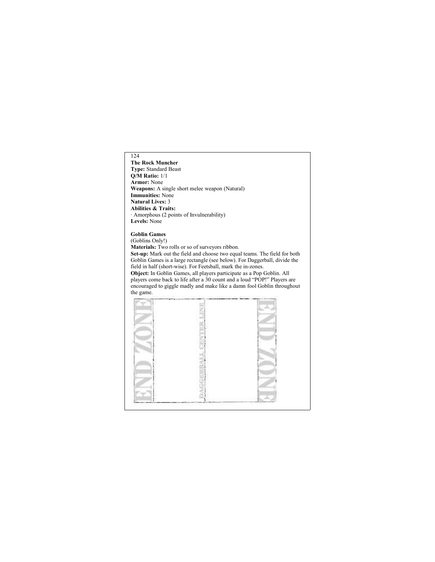**The Rock Muncher Type:** Standard Beast **Q/M Ratio:** 1/1 **Armor:** None **Weapons:** A single short melee weapon (Natural) **Immunities:** None **Natural Lives:** 3 **Abilities & Traits:** · Amorphous (2 points of Invulnerability) **Levels:** None

# **Goblin Games**

(Goblins Only!) **Materials:** Two rolls or so of surveyors ribbon. **Set-up:** Mark out the field and choose two equal teams. The field for both Goblin Games is a large rectangle (see below). For Daggerball, divide the field in half (short-wise). For Feetsball, mark the in-zones. **Object:** In Goblin Games, all players participate as a Pop Goblin. All players come back to life after a 30 count and a loud "POP!" Players are encouraged to giggle madly and make like a damn fool Goblin throughout the game.

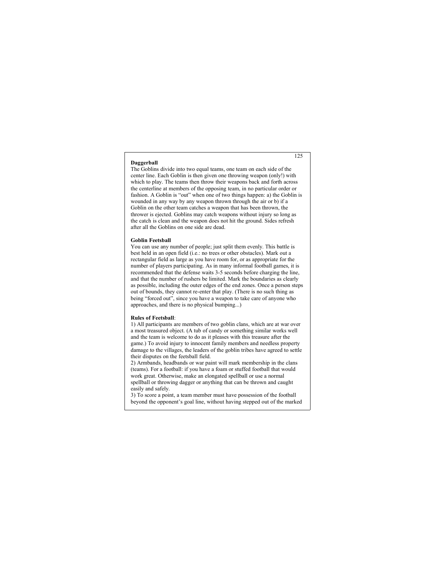#### **Daggerball**

The Goblins divide into two equal teams, one team on each side of the center line. Each Goblin is then given one throwing weapon (only!) with which to play. The teams then throw their weapons back and forth across the centerline at members of the opposing team, in no particular order or fashion. A Goblin is "out" when one of two things happen: a) the Goblin is wounded in any way by any weapon thrown through the air or b) if a Goblin on the other team catches a weapon that has been thrown, the thrower is ejected. Goblins may catch weapons without injury so long as the catch is clean and the weapon does not hit the ground. Sides refresh after all the Goblins on one side are dead.

#### **Goblin Feetsball**

You can use any number of people; just split them evenly. This battle is best held in an open field (i.e.: no trees or other obstacles). Mark out a rectangular field as large as you have room for, or as appropriate for the number of players participating. As in many informal football games, it is recommended that the defense waits 3-5 seconds before charging the line, and that the number of rushers be limited. Mark the boundaries as clearly as possible, including the outer edges of the end zones. Once a person steps out of bounds, they cannot re-enter that play. (There is no such thing as being "forced out", since you have a weapon to take care of anyone who approaches, and there is no physical bumping...)

#### **Rules of Feetsball**:

1) All participants are members of two goblin clans, which are at war over a most treasured object. (A tub of candy or something similar works well and the team is welcome to do as it pleases with this treasure after the game.) To avoid injury to innocent family members and needless property damage to the villages, the leaders of the goblin tribes have agreed to settle their disputes on the feetsball field.

2) Armbands, headbands or war paint will mark membership in the clans (teams). For a football: if you have a foam or stuffed football that would work great. Otherwise, make an elongated spellball or use a normal spellball or throwing dagger or anything that can be thrown and caught easily and safely.

3) To score a point, a team member must have possession of the football beyond the opponent's goal line, without having stepped out of the marked

125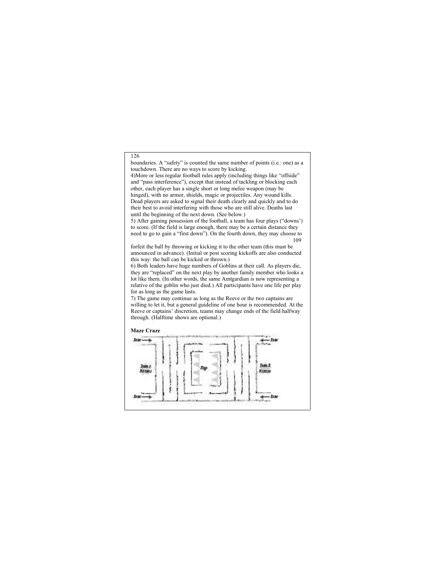boundaries. A "safety" is counted the same number of points (i.e.: one) as a touchdown. There are no ways to score by kicking.

4)More or less regular football rules apply (including things like "offside" and "pass interference"), except that instead of tackling or blocking each other, each player has a single short or long melee weapon (may be hinged), with no armor, shields, magic or projectiles. Any wound kills. Dead players are asked to signal their death clearly and quickly and to do their best to avoid interfering with those who are still alive. Deaths last until the beginning of the next down. (See below.)

5) After gaining possession of the football, a team has four plays ("downs') to score. (If the field is large enough, there may be a certain distance they need to go to gain a "first down"). On the fourth down, they may choose to 109

forfeit the ball by throwing or kicking it to the other team (this must be announced in advance). (Initial or post scoring kickoffs are also conducted this way: the ball can be kicked or thrown.)

6) Both leaders have huge numbers of Goblins at their call. As players die, they are "replaced" on the next play by another family member who looks a lot like them. (In other words, the same Amtgardian is now representing a relative of the goblin who just died.) All participants have one life per play for as long as the game lasts.

7) The game may continue as long as the Reeve or the two captains are willing to let it, but a general guideline of one hour is recommended. At the Reeve or captains' discretion, teams may change ends of the field halfway through. (Halftime shows are optional.)

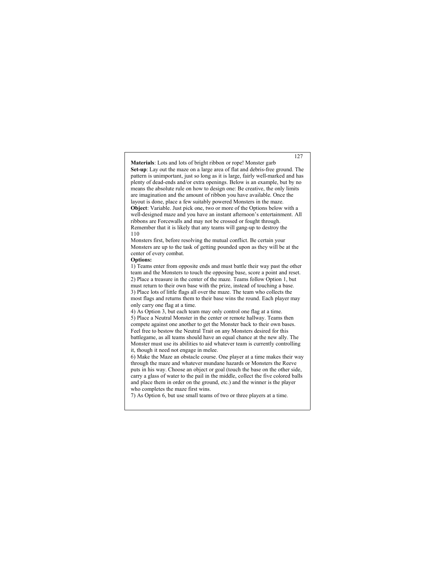**Materials**: Lots and lots of bright ribbon or rope! Monster garb **Set-up**: Lay out the maze on a large area of flat and debris-free ground. The pattern is unimportant, just so long as it is large, fairly well-marked and has plenty of dead-ends and/or extra openings. Below is an example, but by no means the absolute rule on how to design one: Be creative, the only limits are imagination and the amount of ribbon you have available. Once the layout is done, place a few suitably powered Monsters in the maze. **Object**: Variable. Just pick one, two or more of the Options below with a well-designed maze and you have an instant afternoon's entertainment. All ribbons are Forcewalls and may not be crossed or fought through. Remember that it is likely that any teams will gang-up to destroy the 110

Monsters first, before resolving the mutual conflict. Be certain your Monsters are up to the task of getting pounded upon as they will be at the center of every combat.

#### **Options:**

1) Teams enter from opposite ends and must battle their way past the other team and the Monsters to touch the opposing base, score a point and reset. 2) Place a treasure in the center of the maze. Teams follow Option 1, but must return to their own base with the prize, instead of touching a base. 3) Place lots of little flags all over the maze. The team who collects the most flags and returns them to their base wins the round. Each player may only carry one flag at a time.

4) As Option 3, but each team may only control one flag at a time. 5) Place a Neutral Monster in the center or remote hallway. Teams then compete against one another to get the Monster back to their own bases. Feel free to bestow the Neutral Trait on any Monsters desired for this battlegame, as all teams should have an equal chance at the new ally. The Monster must use its abilities to aid whatever team is currently controlling it, though it need not engage in melee.

6) Make the Maze an obstacle course. One player at a time makes their way through the maze and whatever mundane hazards or Monsters the Reeve puts in his way. Choose an object or goal (touch the base on the other side, carry a glass of water to the pail in the middle, collect the five colored balls and place them in order on the ground, etc.) and the winner is the player who completes the maze first wins.

7) As Option 6, but use small teams of two or three players at a time.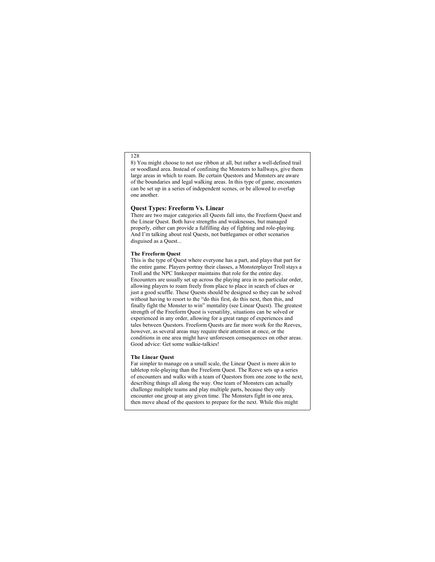8) You might choose to not use ribbon at all, but rather a well-defined trail or woodland area. Instead of confining the Monsters to hallways, give them large areas in which to roam. Be certain Questors and Monsters are aware of the boundaries and legal walking areas. In this type of game, encounters can be set up in a series of independent scenes, or be allowed to overlap one another.

#### **Quest Types: Freeform Vs. Linear**

There are two major categories all Quests fall into, the Freeform Quest and the Linear Quest. Both have strengths and weaknesses, but managed properly, either can provide a fulfilling day of fighting and role-playing. And I'm talking about real Quests, not battlegames or other scenarios disguised as a Quest...

#### **The Freeform Quest**

This is the type of Quest where everyone has a part, and plays that part for the entire game. Players portray their classes, a Monsterplayer Troll stays a Troll and the NPC Innkeeper maintains that role for the entire day. Encounters are usually set up across the playing area in no particular order, allowing players to roam freely from place to place in search of clues or just a good scuffle. These Quests should be designed so they can be solved without having to resort to the "do this first, do this next, then this, and finally fight the Monster to win" mentality (see Linear Quest). The greatest strength of the Freeform Quest is versatility, situations can be solved or experienced in any order, allowing for a great range of experiences and tales between Questors. Freeform Quests are far more work for the Reeves, however, as several areas may require their attention at once, or the conditions in one area might have unforeseen consequences on other areas. Good advice: Get some walkie-talkies!

#### **The Linear Quest**

Far simpler to manage on a small scale, the Linear Quest is more akin to tabletop role-playing than the Freeform Quest. The Reeve sets up a series of encounters and walks with a team of Questors from one zone to the next, describing things all along the way. One team of Monsters can actually challenge multiple teams and play multiple parts, because they only encounter one group at any given time. The Monsters fight in one area, then move ahead of the questors to prepare for the next. While this might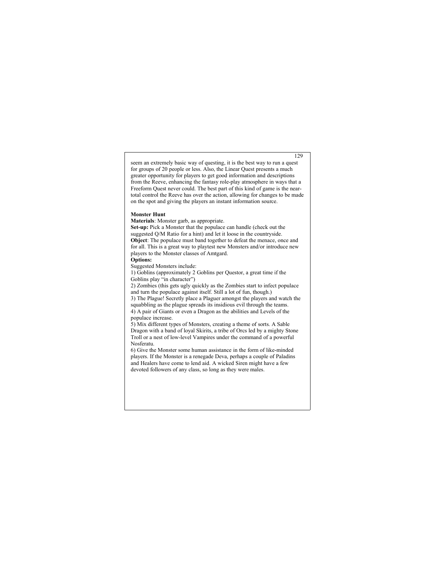seem an extremely basic way of questing, it is the best way to run a quest for groups of 20 people or less. Also, the Linear Quest presents a much greater opportunity for players to get good information and descriptions from the Reeve, enhancing the fantasy role-play atmosphere in ways that a Freeform Quest never could. The best part of this kind of game is the neartotal control the Reeve has over the action, allowing for changes to be made on the spot and giving the players an instant information source.

#### **Monster Hunt**

**Materials**: Monster garb, as appropriate.

**Set-up:** Pick a Monster that the populace can handle (check out the suggested Q/M Ratio for a hint) and let it loose in the countryside. **Object**: The populace must band together to defeat the menace, once and for all. This is a great way to playtest new Monsters and/or introduce new players to the Monster classes of Amtgard.

#### **Options:**

Suggested Monsters include:

1) Goblins (approximately 2 Goblins per Questor, a great time if the Goblins play "in character")

2) Zombies (this gets ugly quickly as the Zombies start to infect populace and turn the populace against itself. Still a lot of fun, though.)

3) The Plague! Secretly place a Plaguer amongst the players and watch the squabbling as the plague spreads its insidious evil through the teams. 4) A pair of Giants or even a Dragon as the abilities and Levels of the populace increase.

5) Mix different types of Monsters, creating a theme of sorts. A Sable Dragon with a band of loyal Skirits, a tribe of Orcs led by a mighty Stone Troll or a nest of low-level Vampires under the command of a powerful Nosferatu.

6) Give the Monster some human assistance in the form of like-minded players. If the Monster is a renegade Deva, perhaps a couple of Paladins and Healers have come to lend aid. A wicked Siren might have a few devoted followers of any class, so long as they were males.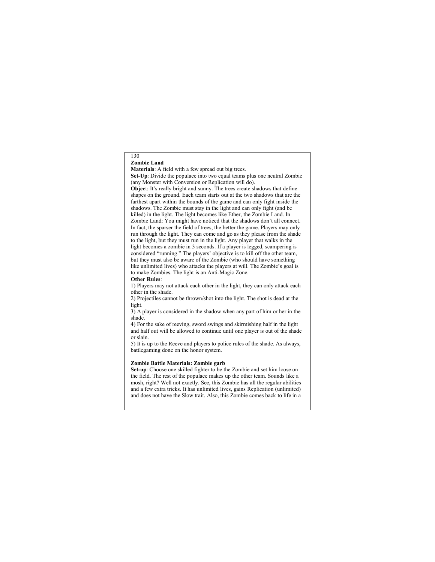#### 130 **Zombie Land**

**Materials**: A field with a few spread out big trees.

**Set-Up**: Divide the populace into two equal teams plus one neutral Zombie (any Monster with Conversion or Replication will do).

**Objec**t: It's really bright and sunny. The trees create shadows that define shapes on the ground. Each team starts out at the two shadows that are the farthest apart within the bounds of the game and can only fight inside the shadows. The Zombie must stay in the light and can only fight (and be killed) in the light. The light becomes like Ether, the Zombie Land. In Zombie Land: You might have noticed that the shadows don't all connect. In fact, the sparser the field of trees, the better the game. Players may only run through the light. They can come and go as they please from the shade to the light, but they must run in the light. Any player that walks in the light becomes a zombie in 3 seconds. If a player is legged, scampering is considered "running." The players' objective is to kill off the other team, but they must also be aware of the Zombie (who should have something like unlimited lives) who attacks the players at will. The Zombie's goal is to make Zombies. The light is an Anti-Magic Zone.

**Other Rules**:

1) Players may not attack each other in the light, they can only attack each other in the shade.

2) Projectiles cannot be thrown/shot into the light. The shot is dead at the light.

3) A player is considered in the shadow when any part of him or her in the shade.

4) For the sake of reeving, sword swings and skirmishing half in the light and half out will be allowed to continue until one player is out of the shade or slain.

5) It is up to the Reeve and players to police rules of the shade. As always, battlegaming done on the honor system.

#### **Zombie Battle Materials: Zombie garb**

**Set-up**: Choose one skilled fighter to be the Zombie and set him loose on the field. The rest of the populace makes up the other team. Sounds like a mosh, right? Well not exactly. See, this Zombie has all the regular abilities and a few extra tricks. It has unlimited lives, gains Replication (unlimited) and does not have the Slow trait. Also, this Zombie comes back to life in a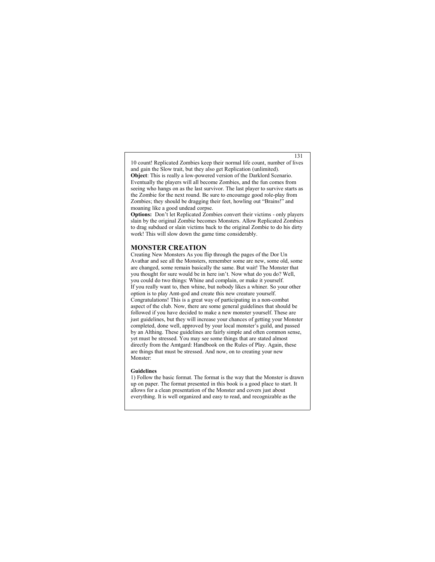10 count! Replicated Zombies keep their normal life count, number of lives and gain the Slow trait, but they also get Replication (unlimited). **Object**: This is really a low-powered version of the Darklord Scenario. Eventually the players will all become Zombies, and the fun comes from seeing who hangs on as the last survivor. The last player to survive starts as the Zombie for the next round. Be sure to encourage good role-play from Zombies; they should be dragging their feet, howling out "Brains!" and moaning like a good undead corpse.

**Options:** Don't let Replicated Zombies convert their victims - only players slain by the original Zombie becomes Monsters. Allow Replicated Zombies to drag subdued or slain victims back to the original Zombie to do his dirty work! This will slow down the game time considerably.

### **MONSTER CREATION**

Creating New Monsters As you flip through the pages of the Dor Un Avathar and see all the Monsters, remember some are new, some old, some are changed, some remain basically the same. But wait! The Monster that you thought for sure would be in here isn't. Now what do you do? Well, you could do two things: Whine and complain, or make it yourself. If you really want to, then whine, but nobody likes a whiner. So your other option is to play Amt-god and create this new creature yourself. Congratulations! This is a great way of participating in a non-combat aspect of the club. Now, there are some general guidelines that should be followed if you have decided to make a new monster yourself. These are just guidelines, but they will increase your chances of getting your Monster completed, done well, approved by your local monster's guild, and passed by an Althing. These guidelines are fairly simple and often common sense, yet must be stressed. You may see some things that are stated almost directly from the Amtgard: Handbook on the Rules of Play. Again, these are things that must be stressed. And now, on to creating your new Monster:

#### **Guidelines**

1) Follow the basic format. The format is the way that the Monster is drawn up on paper. The format presented in this book is a good place to start. It allows for a clean presentation of the Monster and covers just about everything. It is well organized and easy to read, and recognizable as the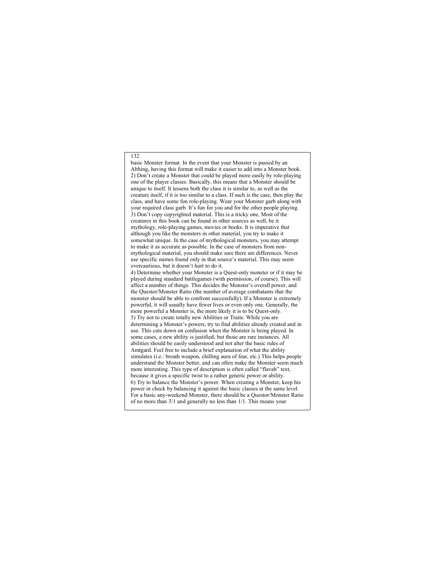basic Monster format. In the event that your Monster is passed by an Althing, having this format will make it easier to add into a Monster book. 2) Don't create a Monster that could be played more easily by role-playing one of the player classes. Basically, this means that a Monster should be unique to itself. It lessens both the class it is similar to, as well as the creature itself, if it is too similar to a class. If such is the case, then play the class, and have some fun role-playing. Wear your Monster garb along with your required class garb. It's fun for you and for the other people playing. 3) Don't copy copyrighted material. This is a tricky one. Most of the creatures in this book can be found in other sources as well, be it mythology, role-playing games, movies or books. It is imperative that although you like the monsters in other material, you try to make it somewhat unique. In the case of mythological monsters, you may attempt to make it as accurate as possible. In the case of monsters from nonmythological material, you should make sure there are differences. Never use specific names found only in that source's material. This may seem overcautious, but it doesn't hurt to do it. 4) Determine whether your Monster is a Quest-only monster or if it may be played during standard battlegames (with permission, of course). This will affect a number of things. This decides the Monster's overall power, and the Questor/Monster Ratio (the number of average combatants that the monster should be able to confront successfully). If a Monster is extremely powerful, it will usually have fewer lives or even only one. Generally, the more powerful a Monster is, the more likely it is to be Quest-only.

5) Try not to create totally new Abilities or Traits. While you are determining a Monster's powers, try to find abilities already created and in use. This cuts down on confusion when the Monster is being played. In some cases, a new ability is justified, but those are rare instances. All abilities should be easily understood and not alter the basic rules of Amtgard. Feel free to include a brief explanation of what the ability simulates (i.e.: breath weapon, chilling aura of fear, etc.) This helps people understand the Monster better, and can often make the Monster seem much more interesting. This type of description is often called "flavah" text, because it gives a specific twist to a rather generic power or ability. 6) Try to balance the Monster's power. When creating a Monster, keep his power in check by balancing it against the basic classes at the same level. For a basic any-weekend Monster, there should be a Questor/Monster Ratio of no more than 3/1 and generally no less than 1/1. This means your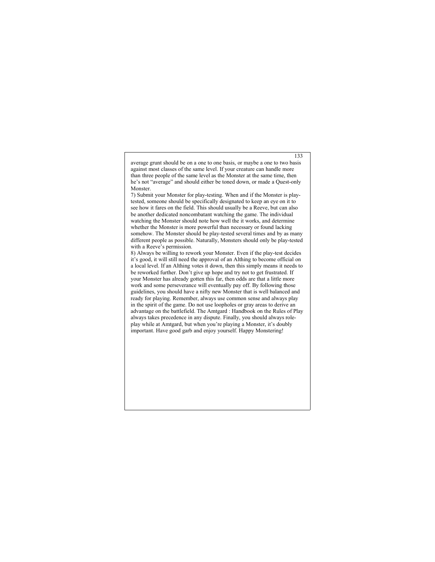average grunt should be on a one to one basis, or maybe a one to two basis against most classes of the same level. If your creature can handle more than three people of the same level as the Monster at the same time, then he's not "average" and should either be toned down, or made a Quest-only Monster.

133

7) Submit your Monster for play-testing. When and if the Monster is playtested, someone should be specifically designated to keep an eye on it to see how it fares on the field. This should usually be a Reeve, but can also be another dedicated noncombatant watching the game. The individual watching the Monster should note how well the it works, and determine whether the Monster is more powerful than necessary or found lacking somehow. The Monster should be play-tested several times and by as many different people as possible. Naturally, Monsters should only be play-tested with a Reeve's permission.

8) Always be willing to rework your Monster. Even if the play-test decides it's good, it will still need the approval of an Althing to become official on a local level. If an Althing votes it down, then this simply means it needs to be reworked further. Don't give up hope and try not to get frustrated. If your Monster has already gotten this far, then odds are that a little more work and some perseverance will eventually pay off. By following those guidelines, you should have a nifty new Monster that is well balanced and ready for playing. Remember, always use common sense and always play in the spirit of the game. Do not use loopholes or gray areas to derive an advantage on the battlefield. The Amtgard : Handbook on the Rules of Play always takes precedence in any dispute. Finally, you should always roleplay while at Amtgard, but when you're playing a Monster, it's doubly important. Have good garb and enjoy yourself. Happy Monstering!